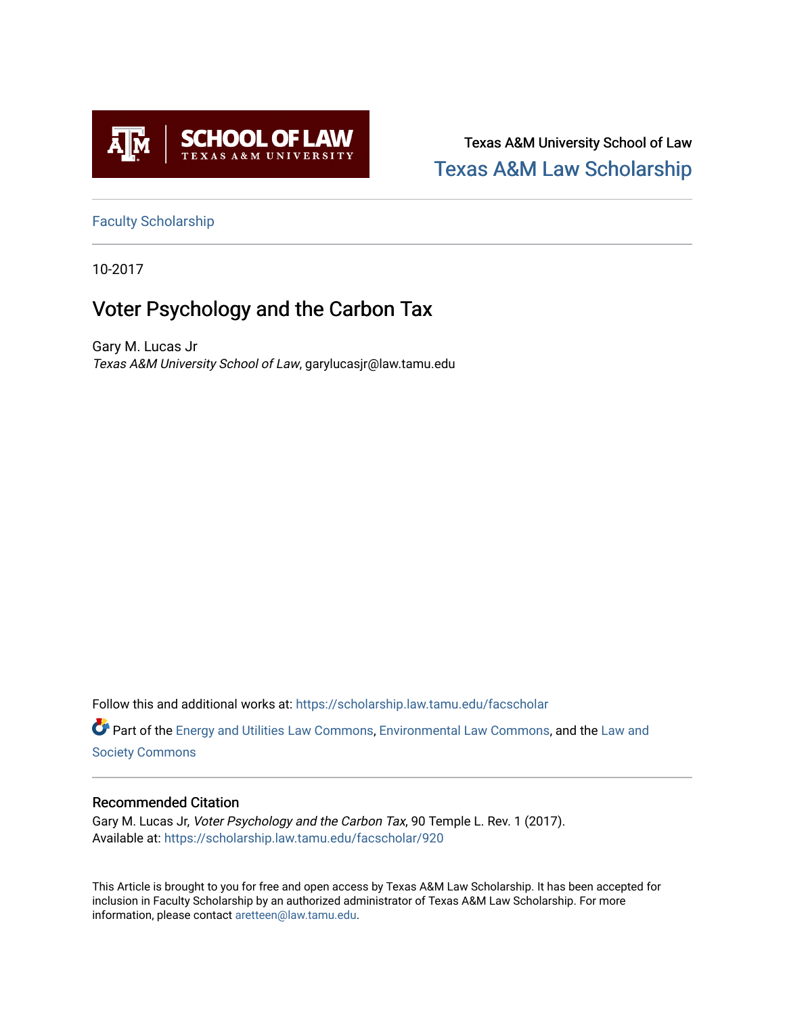

Texas A&M University School of Law [Texas A&M Law Scholarship](https://scholarship.law.tamu.edu/) 

[Faculty Scholarship](https://scholarship.law.tamu.edu/facscholar)

10-2017

## Voter Psychology and the Carbon Tax

Gary M. Lucas Jr Texas A&M University School of Law, garylucasjr@law.tamu.edu

Follow this and additional works at: [https://scholarship.law.tamu.edu/facscholar](https://scholarship.law.tamu.edu/facscholar?utm_source=scholarship.law.tamu.edu%2Ffacscholar%2F920&utm_medium=PDF&utm_campaign=PDFCoverPages) 

Part of the [Energy and Utilities Law Commons,](http://network.bepress.com/hgg/discipline/891?utm_source=scholarship.law.tamu.edu%2Ffacscholar%2F920&utm_medium=PDF&utm_campaign=PDFCoverPages) [Environmental Law Commons](http://network.bepress.com/hgg/discipline/599?utm_source=scholarship.law.tamu.edu%2Ffacscholar%2F920&utm_medium=PDF&utm_campaign=PDFCoverPages), and the [Law and](http://network.bepress.com/hgg/discipline/853?utm_source=scholarship.law.tamu.edu%2Ffacscholar%2F920&utm_medium=PDF&utm_campaign=PDFCoverPages)  [Society Commons](http://network.bepress.com/hgg/discipline/853?utm_source=scholarship.law.tamu.edu%2Ffacscholar%2F920&utm_medium=PDF&utm_campaign=PDFCoverPages)

## Recommended Citation

Gary M. Lucas Jr, Voter Psychology and the Carbon Tax, 90 Temple L. Rev. 1 (2017). Available at: [https://scholarship.law.tamu.edu/facscholar/920](https://scholarship.law.tamu.edu/facscholar/920?utm_source=scholarship.law.tamu.edu%2Ffacscholar%2F920&utm_medium=PDF&utm_campaign=PDFCoverPages)

This Article is brought to you for free and open access by Texas A&M Law Scholarship. It has been accepted for inclusion in Faculty Scholarship by an authorized administrator of Texas A&M Law Scholarship. For more information, please contact [aretteen@law.tamu.edu](mailto:aretteen@law.tamu.edu).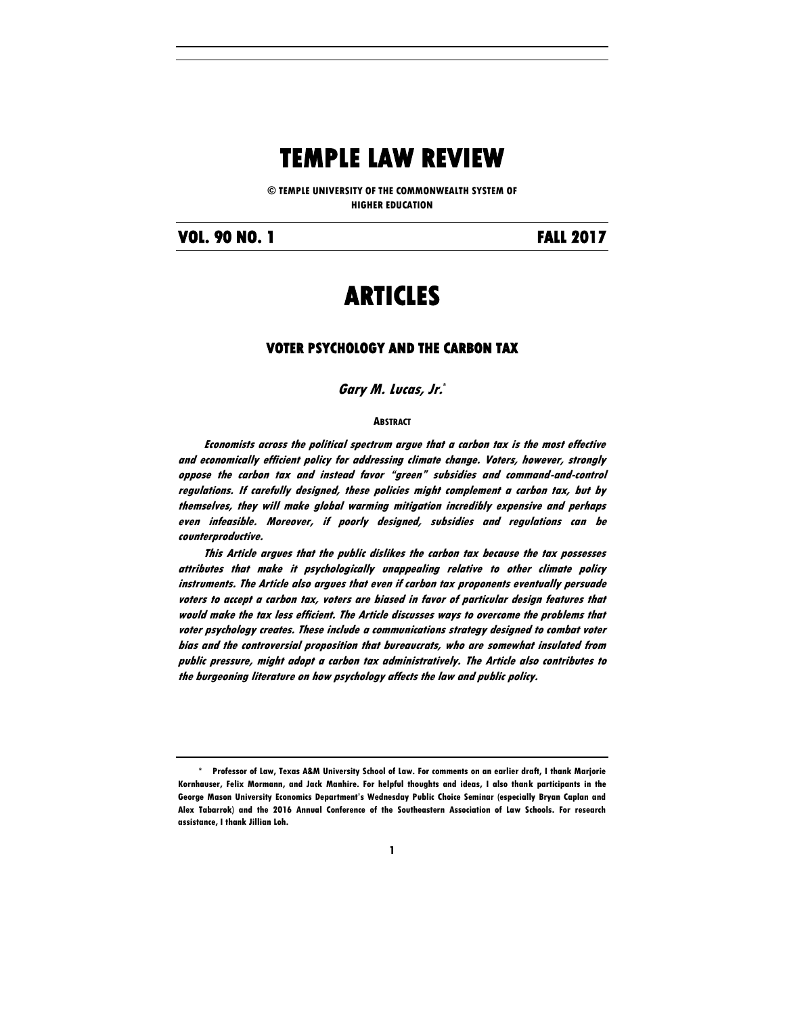# **TEMPLE LAW REVIEW**

**© TEMPLE UNIVERSITY OF THE COMMONWEALTH SYSTEM OF HIGHER EDUCATION**

**VOL. 90 NO. 1 FALL 2017** 

# **ARTICLES**

## **VOTER PSYCHOLOGY AND THE CARBON TAX**

**Gary M. Lucas, Jr. \***

## **ABSTRACT**

**Economists across the political spectrum argue that a carbon tax is the most effective and economically efficient policy for addressing climate change. Voters, however, strongly oppose the carbon tax and instead favor "green" subsidies and command-and-control regulations. If carefully designed, these policies might complement a carbon tax, but by themselves, they will make global warming mitigation incredibly expensive and perhaps even infeasible. Moreover, if poorly designed, subsidies and regulations can be counterproductive.**

**This Article argues that the public dislikes the carbon tax because the tax possesses attributes that make it psychologically unappealing relative to other climate policy instruments. The Article also argues that even if carbon tax proponents eventually persuade voters to accept a carbon tax, voters are biased in favor of particular design features that would make the tax less efficient. The Article discusses ways to overcome the problems that voter psychology creates. These include a communications strategy designed to combat voter bias and the controversial proposition that bureaucrats, who are somewhat insulated from public pressure, might adopt a carbon tax administratively. The Article also contributes to the burgeoning literature on how psychology affects the law and public policy.**

**<sup>\*</sup> Professor of Law, Texas A&M University School of Law. For comments on an earlier draft, I thank Marjorie Kornhauser, Felix Mormann, and Jack Manhire. For helpful thoughts and ideas, I also thank participants in the George Mason University Economics Department's Wednesday Public Choice Seminar (especially Bryan Caplan and Alex Tabarrok) and the 2016 Annual Conference of the Southeastern Association of Law Schools. For research assistance, I thank Jillian Loh.**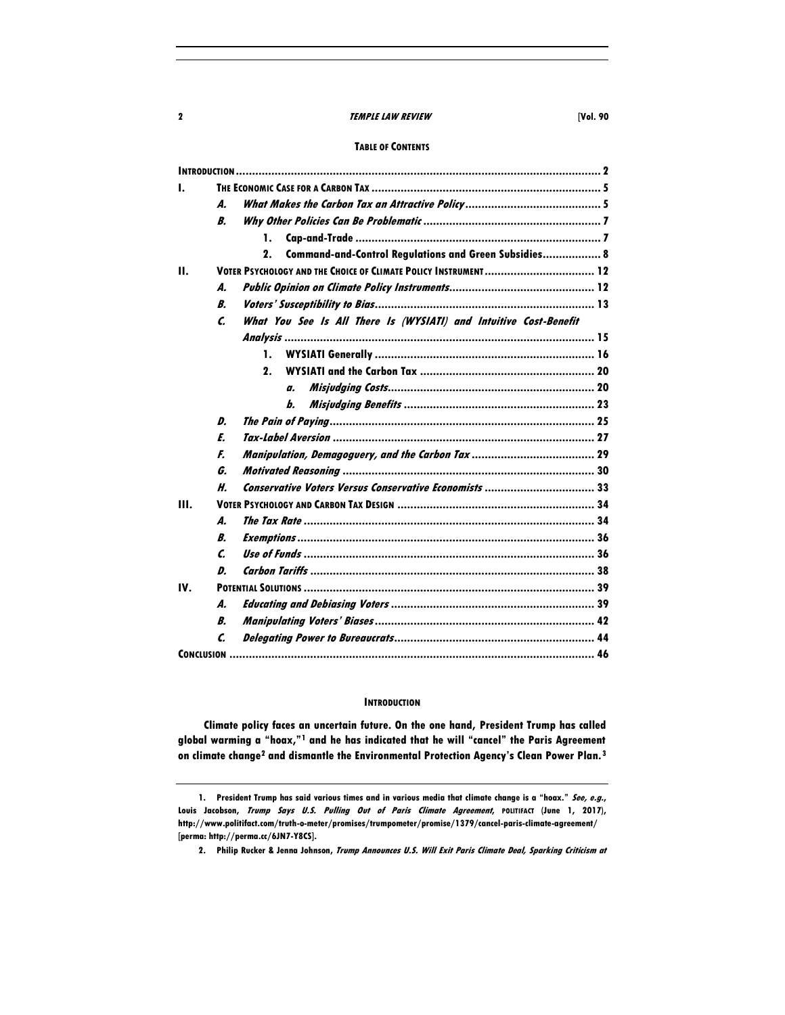## **TABLE OF CONTENTS**

| I.  |               |                                                                   |
|-----|---------------|-------------------------------------------------------------------|
|     | Α.            |                                                                   |
|     | В.            |                                                                   |
|     |               | 1.                                                                |
|     |               | Command-and-Control Regulations and Green Subsidies 8<br>2.       |
| П.  |               |                                                                   |
|     | А.            |                                                                   |
|     | B.            |                                                                   |
|     | C.            | What You See Is All There Is (WYSIATI) and Intuitive Cost-Benefit |
|     |               |                                                                   |
|     |               | 1.                                                                |
|     |               | $\mathbf{2}$ .                                                    |
|     |               | α.                                                                |
|     |               | Ь.                                                                |
|     | D.            |                                                                   |
|     | E.            |                                                                   |
|     | F.            |                                                                   |
|     | G.            |                                                                   |
|     | Н.            |                                                                   |
| Ш.  |               |                                                                   |
|     | А.            |                                                                   |
|     | В.            |                                                                   |
|     | $\mathcal{L}$ |                                                                   |
|     | D.            |                                                                   |
| IV. |               |                                                                   |
|     | А.            |                                                                   |
|     | B.            |                                                                   |
|     | C.            |                                                                   |
|     |               |                                                                   |

## **INTRODUCTION**

**Climate policy faces an uncertain future. On the one hand, President Trump has called global warming a "hoax,"<sup>1</sup> and he has indicated that he will "cancel" the Paris Agreement on climate change<sup>2</sup> and dismantle the Environmental Protection Agency's Clean Power Plan.<sup>3</sup>**

**<sup>1.</sup> President Trump has said various times and in various media that climate change is a "hoax." See, e.g., Louis Jacobson, Trump Says U.S. Pulling Out of Paris Climate Agreement, POLITIFACT (June 1, 2017), http://www.politifact.com/truth-o-meter/promises/trumpometer/promise/1379/cancel-paris-climate-agreement/ [perma: http://perma.cc/6JN7-Y8CS].** 

**<sup>2.</sup> Philip Rucker & Jenna Johnson, Trump Announces U.S. Will Exit Paris Climate Deal, Sparking Criticism at**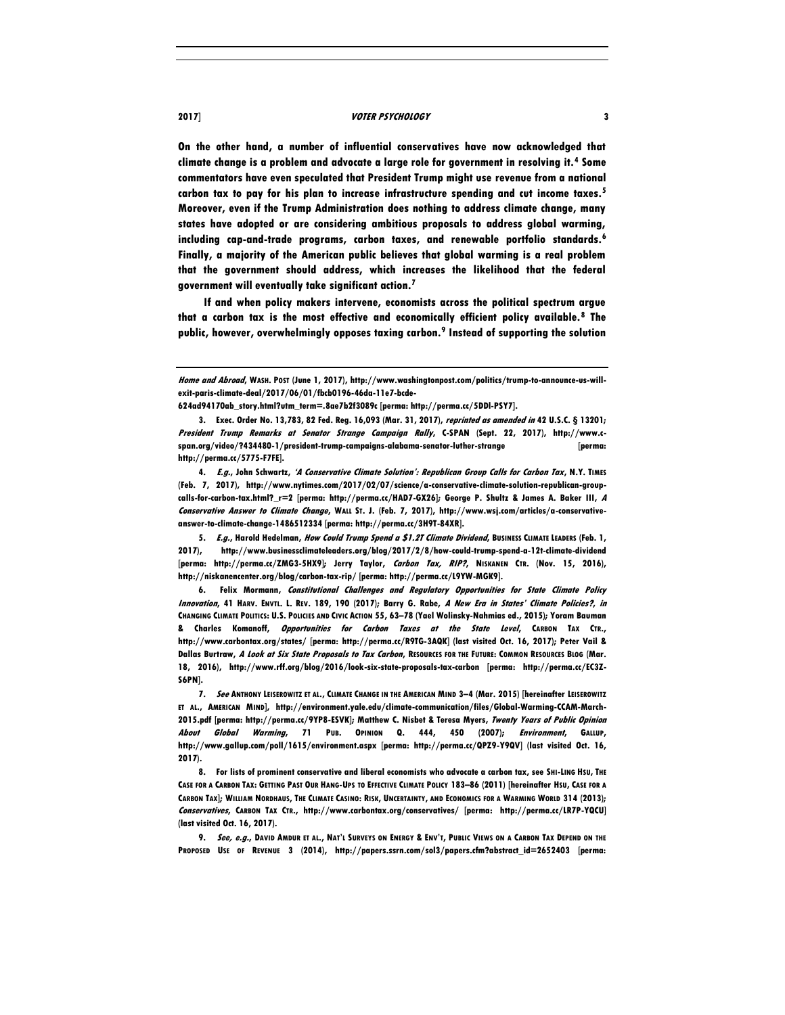**On the other hand, a number of influential conservatives have now acknowledged that climate change is a problem and advocate a large role for government in resolving it.<sup>4</sup> Some commentators have even speculated that President Trump might use revenue from a national carbon tax to pay for his plan to increase infrastructure spending and cut income taxes.<sup>5</sup> Moreover, even if the Trump Administration does nothing to address climate change, many states have adopted or are considering ambitious proposals to address global warming, including cap-and-trade programs, carbon taxes, and renewable portfolio standards.<sup>6</sup> Finally, a majority of the American public believes that global warming is a real problem that the government should address, which increases the likelihood that the federal government will eventually take significant action.<sup>7</sup>**

**If and when policy makers intervene, economists across the political spectrum argue that a carbon tax is the most effective and economically efficient policy available.<sup>8</sup> The public, however, overwhelmingly opposes taxing carbon.<sup>9</sup> Instead of supporting the solution** 

**624ad94170ab\_story.html?utm\_term=.8ae7b2f3089c [perma: http://perma.cc/5DDl-PSY7].** 

**4. E.g., John Schwartz, 'A Conservative Climate Solution': Republican Group Calls for Carbon Tax, N.Y. TIMES (Feb. 7, 2017), http://www.nytimes.com/2017/02/07/science/a-conservative-climate-solution-republican-groupcalls-for-carbon-tax.html?\_r=2 [perma: http://perma.cc/HAD7-GX26]; George P. Shultz & James A. Baker III, <sup>A</sup> Conservative Answer to Climate Change, WALL ST. J. (Feb. 7, 2017), http://www.wsj.com/articles/a-conservativeanswer-to-climate-change-1486512334 [perma: http://perma.cc/3H9T-84XR].** 

**5. E.g., Harold Hedelman, How Could Trump Spend a \$1.2T Climate Dividend, BUSINESS CLIMATE LEADERS (Feb. 1, 2017), http://www.businessclimateleaders.org/blog/2017/2/8/how-could-trump-spend-a-12t-climate-dividend [perma: http://perma.cc/ZMG3-5HX9]; Jerry Taylor, Carbon Tax, RIP?, NISKANEN CTR. (Nov. 15, 2016), http://niskanencenter.org/blog/carbon-tax-rip/ [perma: http://perma.cc/L9YW-MGK9].** 

**6. Felix Mormann, Constitutional Challenges and Regulatory Opportunities for State Climate Policy Innovation, 41 HARV. ENVTL. L. REV. 189, 190 (2017); Barry G. Rabe, A New Era in States' Climate Policies?, in** CHANGING CLIMATE POLITICS: U.S. POLICIES AND CIVIC ACTION 55, 63-78 (Yael Wolinsky-Nahmias ed., 2015); Yoram Bauman **& Charles Komanoff, Opportunities for Carbon Taxes at the State Level, CARBON TAX CTR., http://www.carbontax.org/states/ [perma: http://perma.cc/R9TG-3AQK] (last visited Oct. 16, 2017); Peter Vail & Dallas Burtraw, A Look at Six State Proposals to Tax Carbon, RESOURCES FOR THE FUTURE: COMMON RESOURCES BLOG (Mar. 18, 2016), http://www.rff.org/blog/2016/look-six-state-proposals-tax-carbon [perma: http://perma.cc/EC3Z-S6PN].** 

7. See ANTHONY LEISEROWITZ ET AL., CLIMATE CHANGE IN THE AMERICAN MIND 3-4 (Mar. 2015) [hereinafter LEISEROWITZ **ET AL., AMERICAN MIND], http://environment.yale.edu/climate-communication/files/Global-Warming-CCAM-March-2015.pdf [perma: http://perma.cc/9YP8-ESVK]; Matthew C. Nisbet & Teresa Myers, Twenty Years of Public Opinion About Global Warming, 71 PUB. OPINION Q. 444, 450 (2007); Environment, GALLUP, http://www.gallup.com/poll/1615/environment.aspx [perma: http://perma.cc/QPZ9-Y9QV] (last visited Oct. 16, 2017).** 

**8. For lists of prominent conservative and liberal economists who advocate a carbon tax, see SHI-LING HSU, THE**  CASE FOR A CARBON TAX: GETTING PAST OUR HANG-UPS TO EFFECTIVE CLIMATE POLICY 183-86 (2011) [hereinafter HSU, CASE FOR A CARBON TAX]; WILLIAM NORDHAUS, THE CLIMATE CASINO: RISK, UNCERTAINTY, AND ECONOMICS FOR A WARMING WORLD 314 (2013); **Conservatives, CARBON TAX CTR., http://www.carbontax.org/conservatives/ [perma: http://perma.cc/LR7P-YQCU] (last visited Oct. 16, 2017).** 

9. See, e.g., DAVID AMDUR ET AL., NAT'L SURVEYS ON ENERGY & ENV'T, PUBLIC VIEWS ON A CARBON TAX DEPEND ON THE **PROPOSED USE OF REVENUE 3 (2014), http://papers.ssrn.com/sol3/papers.cfm?abstract\_id=2652403 [perma:** 

Home and Abroad, WASH. POST (June 1, 2017), http://www.washingtonpost.com/politics/trump-to-announce-us-will**exit-paris-climate-deal/2017/06/01/fbcb0196-46da-11e7-bcde-**

**<sup>3.</sup> Exec. Order No. 13,783, 82 Fed. Reg. 16,093 (Mar. 31, 2017), reprinted as amended in 42 U.S.C. § 13201; President Trump Remarks at Senator Strange Campaign Rally, C-SPAN (Sept. 22, 2017), http://www.cspan.org/video/?434480-1/president-trump-campaigns-alabama-senator-luther-strange [perma: http://perma.cc/5775-F7FE].**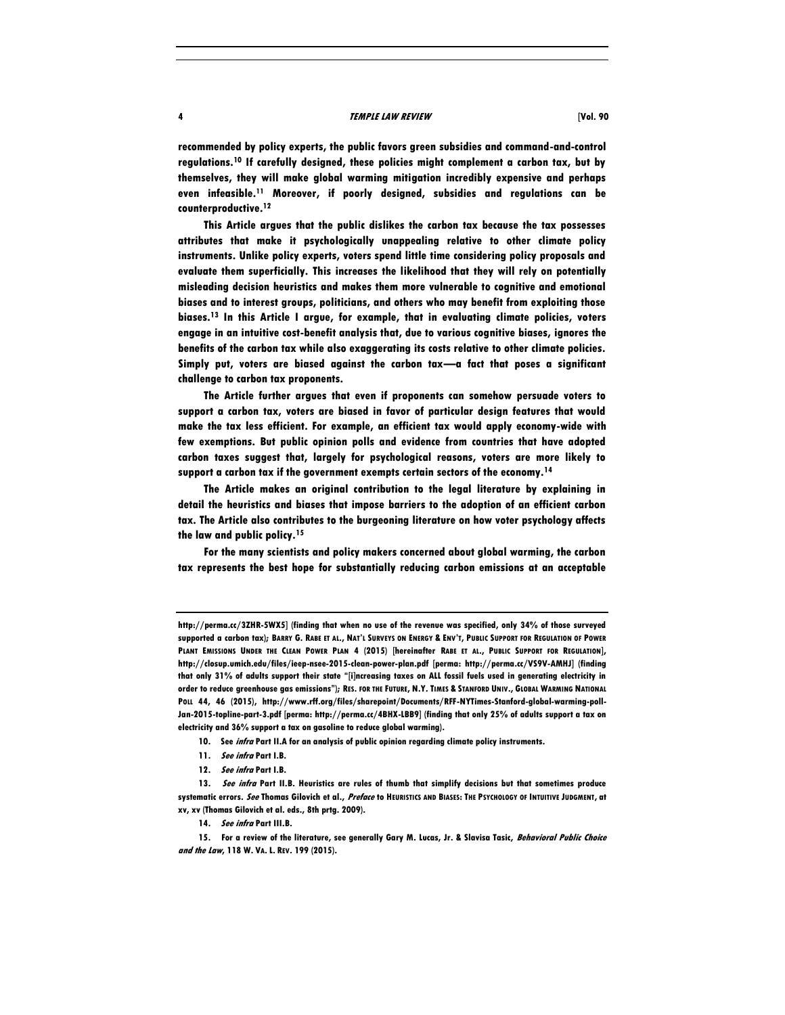**recommended by policy experts, the public favors green subsidies and command-and-control regulations.<sup>10</sup> If carefully designed, these policies might complement a carbon tax, but by themselves, they will make global warming mitigation incredibly expensive and perhaps even infeasible.<sup>11</sup> Moreover, if poorly designed, subsidies and regulations can be counterproductive.<sup>12</sup>**

**This Article argues that the public dislikes the carbon tax because the tax possesses attributes that make it psychologically unappealing relative to other climate policy instruments. Unlike policy experts, voters spend little time considering policy proposals and evaluate them superficially. This increases the likelihood that they will rely on potentially misleading decision heuristics and makes them more vulnerable to cognitive and emotional biases and to interest groups, politicians, and others who may benefit from exploiting those biases.<sup>13</sup> In this Article I argue, for example, that in evaluating climate policies, voters engage in an intuitive cost-benefit analysis that, due to various cognitive biases, ignores the benefits of the carbon tax while also exaggerating its costs relative to other climate policies. Simply put, voters are biased against the carbon tax—a fact that poses a significant challenge to carbon tax proponents.**

**The Article further argues that even if proponents can somehow persuade voters to support a carbon tax, voters are biased in favor of particular design features that would make the tax less efficient. For example, an efficient tax would apply economy-wide with few exemptions. But public opinion polls and evidence from countries that have adopted carbon taxes suggest that, largely for psychological reasons, voters are more likely to support a carbon tax if the government exempts certain sectors of the economy.<sup>14</sup>**

**The Article makes an original contribution to the legal literature by explaining in detail the heuristics and biases that impose barriers to the adoption of an efficient carbon tax. The Article also contributes to the burgeoning literature on how voter psychology affects the law and public policy.<sup>15</sup>**

**For the many scientists and policy makers concerned about global warming, the carbon tax represents the best hope for substantially reducing carbon emissions at an acceptable** 

- **10. See infra Part II.A for an analysis of public opinion regarding climate policy instruments.**
- **11. See infra Part I.B.**
- **12. See infra Part I.B.**

**14. See infra Part III.B.** 

**http://perma.cc/3ZHR-5WX5] (finding that when no use of the revenue was specified, only 34% of those surveyed**  supported a carbon tax); BARRY G. RABE ET AL., NAT'L SURVEYS ON ENERGY & ENV'T, PUBLIC SUPPORT FOR REGULATION OF POWER PLANT EMISSIONS UNDER THE CLEAN POWER PLAN 4 (2015) [hereinafter RABE ET AL., PUBLIC SUPPORT FOR REGULATION], **http://closup.umich.edu/files/ieep-nsee-2015-clean-power-plan.pdf [perma: http://perma.cc/VS9V-AMHJ] (finding that only 31% of adults support their state "[i]ncreasing taxes on ALL fossil fuels used in generating electricity in**  order to reduce greenhouse gas emissions"); RES. FOR THE FUTURE, N.Y. TIMES & STANFORD UNIV., GLOBAL WARMING NATIONAL **POLL 44, 46 (2015), http://www.rff.org/files/sharepoint/Documents/RFF-NYTimes-Stanford-global-warming-poll-Jan-2015-topline-part-3.pdf [perma: http://perma.cc/4BHX-LBB9] (finding that only 25% of adults support a tax on electricity and 36% support a tax on gasoline to reduce global warming).** 

**<sup>13.</sup> See infra Part II.B. Heuristics are rules of thumb that simplify decisions but that sometimes produce**  systematic errors. See Thomas Gilovich et al., Preface to HEURISTICS AND BIASES: THE PSYCHOLOGY OF INTUITIVE JUDGMENT, at **xv, xv (Thomas Gilovich et al. eds., 8th prtg. 2009).** 

**<sup>15.</sup> For a review of the literature, see generally Gary M. Lucas, Jr. & Slavisa Tasic, Behavioral Public Choice and the Law, 118 W. VA. L. REV. 199 (2015).**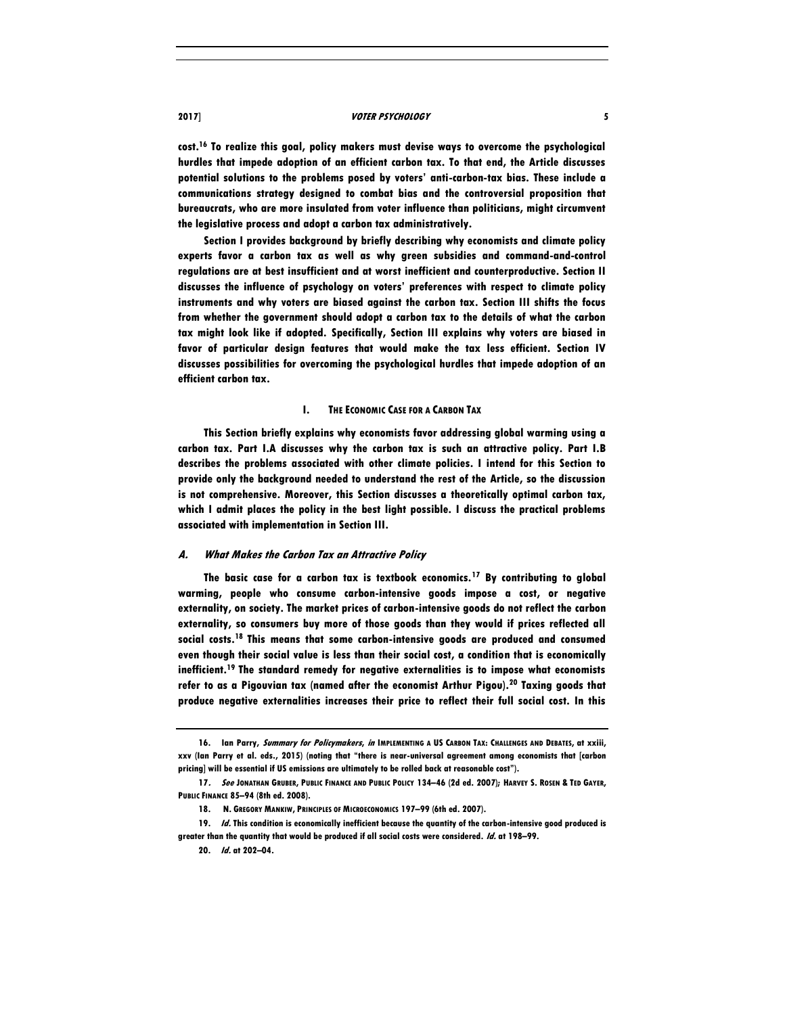**cost.<sup>16</sup> To realize this goal, policy makers must devise ways to overcome the psychological hurdles that impede adoption of an efficient carbon tax. To that end, the Article discusses potential solutions to the problems posed by voters' anti-carbon-tax bias. These include a communications strategy designed to combat bias and the controversial proposition that bureaucrats, who are more insulated from voter influence than politicians, might circumvent the legislative process and adopt a carbon tax administratively.**

**Section I provides background by briefly describing why economists and climate policy experts favor a carbon tax as well as why green subsidies and command-and-control regulations are at best insufficient and at worst inefficient and counterproductive. Section II discusses the influence of psychology on voters' preferences with respect to climate policy instruments and why voters are biased against the carbon tax. Section III shifts the focus from whether the government should adopt a carbon tax to the details of what the carbon tax might look like if adopted. Specifically, Section III explains why voters are biased in favor of particular design features that would make the tax less efficient. Section IV discusses possibilities for overcoming the psychological hurdles that impede adoption of an efficient carbon tax.** 

## **I. THE ECONOMIC CASE FOR A CARBON TAX**

**This Section briefly explains why economists favor addressing global warming using a carbon tax. Part I.A discusses why the carbon tax is such an attractive policy. Part I.B describes the problems associated with other climate policies. I intend for this Section to provide only the background needed to understand the rest of the Article, so the discussion is not comprehensive. Moreover, this Section discusses a theoretically optimal carbon tax, which I admit places the policy in the best light possible. I discuss the practical problems associated with implementation in Section III.**

#### **A. What Makes the Carbon Tax an Attractive Policy**

**The basic case for a carbon tax is textbook economics.<sup>17</sup> By contributing to global warming, people who consume carbon-intensive goods impose a cost, or negative externality, on society. The market prices of carbon-intensive goods do not reflect the carbon externality, so consumers buy more of those goods than they would if prices reflected all social costs.<sup>18</sup> This means that some carbon-intensive goods are produced and consumed even though their social value is less than their social cost, a condition that is economically inefficient.<sup>19</sup> The standard remedy for negative externalities is to impose what economists refer to as a Pigouvian tax (named after the economist Arthur Pigou).<sup>20</sup> Taxing goods that produce negative externalities increases their price to reflect their full social cost. In this** 

<sup>16.</sup> Ian Parry, Summary for Policymakers, in IMPLEMENTING A US CARBON TAX: CHALLENGES AND DEBATES, at xxiii, **xxv (Ian Parry et al. eds., 2015) (noting that "there is near-universal agreement among economists that [carbon pricing] will be essential if US emissions are ultimately to be rolled back at reasonable cost").** 

<sup>17.</sup> See JONATHAN GRUBER, PUBLIC FINANCE AND PUBLIC POLICY 134-46 (2d ed. 2007); HARVEY S. ROSEN & TED GAYER, **PUBLIC FINANCE 85–94 (8th ed. 2008).** 

**<sup>18.</sup> N. GREGORY MANKIW, PRINCIPLES OF MICROECONOMICS 197–99 (6th ed. 2007).**

**<sup>19.</sup> Id. This condition is economically inefficient because the quantity of the carbon-intensive good produced is greater than the quantity that would be produced if all social costs were considered. Id. at 198–99.**

**<sup>20.</sup> Id. at 202–04.**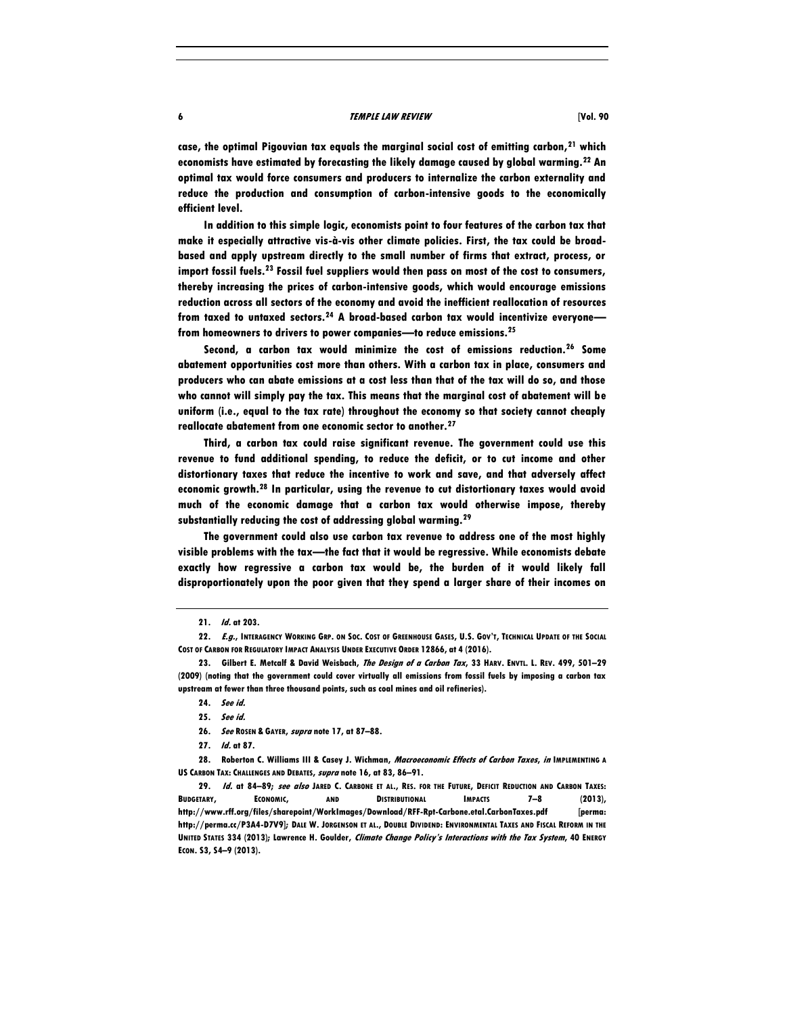**case, the optimal Pigouvian tax equals the marginal social cost of emitting carbon,<sup>21</sup> which economists have estimated by forecasting the likely damage caused by global warming.<sup>22</sup> An optimal tax would force consumers and producers to internalize the carbon externality and reduce the production and consumption of carbon-intensive goods to the economically efficient level.**

**In addition to this simple logic, economists point to four features of the carbon tax that make it especially attractive vis-à-vis other climate policies. First, the tax could be broadbased and apply upstream directly to the small number of firms that extract, process, or import fossil fuels.<sup>23</sup> Fossil fuel suppliers would then pass on most of the cost to consumers, thereby increasing the prices of carbon-intensive goods, which would encourage emissions reduction across all sectors of the economy and avoid the inefficient reallocation of resources from taxed to untaxed sectors.<sup>24</sup> A broad-based carbon tax would incentivize everyone from homeowners to drivers to power companies—to reduce emissions.<sup>25</sup>**

**Second, a carbon tax would minimize the cost of emissions reduction.<sup>26</sup> Some abatement opportunities cost more than others. With a carbon tax in place, consumers and producers who can abate emissions at a cost less than that of the tax will do so, and those who cannot will simply pay the tax. This means that the marginal cost of abatement will be uniform (i.e., equal to the tax rate) throughout the economy so that society cannot cheaply reallocate abatement from one economic sector to another.<sup>27</sup>**

**Third, a carbon tax could raise significant revenue. The government could use this revenue to fund additional spending, to reduce the deficit, or to cut income and other distortionary taxes that reduce the incentive to work and save, and that adversely affect economic growth.<sup>28</sup> In particular, using the revenue to cut distortionary taxes would avoid much of the economic damage that a carbon tax would otherwise impose, thereby substantially reducing the cost of addressing global warming.<sup>29</sup>**

**The government could also use carbon tax revenue to address one of the most highly visible problems with the tax—the fact that it would be regressive. While economists debate exactly how regressive a carbon tax would be, the burden of it would likely fall disproportionately upon the poor given that they spend a larger share of their incomes on** 

**<sup>21.</sup> Id. at 203.**

<sup>22.</sup> E.g., INTERAGENCY WORKING GRP. ON SOC. COST OF GREENHOUSE GASES, U.S. GOV'T, TECHNICAL UPDATE OF THE SOCIAL COST OF CARBON FOR REGULATORY IMPACT ANALYSIS UNDER EXECUTIVE ORDER 12866, at 4 (2016).

**<sup>23.</sup> Gilbert E. Metcalf & David Weisbach, The Design of a Carbon Tax, 33 HARV. ENVTL. L. REV. 499, 501–29 (2009) (noting that the government could cover virtually all emissions from fossil fuels by imposing a carbon tax upstream at fewer than three thousand points, such as coal mines and oil refineries).** 

**<sup>24.</sup> See id.**

**<sup>25.</sup> See id.**

**<sup>26.</sup> See ROSEN & GAYER, supra note 17, at 87–88.** 

**<sup>27.</sup> Id. at 87.** 

**<sup>28.</sup> Roberton C. Williams III & Casey J. Wichman, Macroeconomic Effects of Carbon Taxes, in IMPLEMENTING A US CARBON TAX: CHALLENGES AND DEBATES, supra note 16, at 83, 86–91.** 

<sup>29.</sup> Id. at 84-89: see also JARED C. CARBONE ET AL., RES. FOR THE FUTURE. DEFICIT REDUCTION AND CARBON TAXES: **BUDGETARY, ECONOMIC, AND DISTRIBUTIONAL IMPACTS 7–8 (2013), http://www.rff.org/files/sharepoint/WorkImages/Download/RFF-Rpt-Carbone.etal.CarbonTaxes.pdf [perma:**  http://perma.cc/P3A4-D7V9]; DALE W. JORGENSON ET AL., DOUBLE DIVIDEND: ENVIRONMENTAL TAXES AND FISCAL REFORM IN THE **UNITED STATES 334 (2013); Lawrence H. Goulder, Climate Change Policy's Interactions with the Tax System, 40 ENERGY ECON. S3, S4–9 (2013).**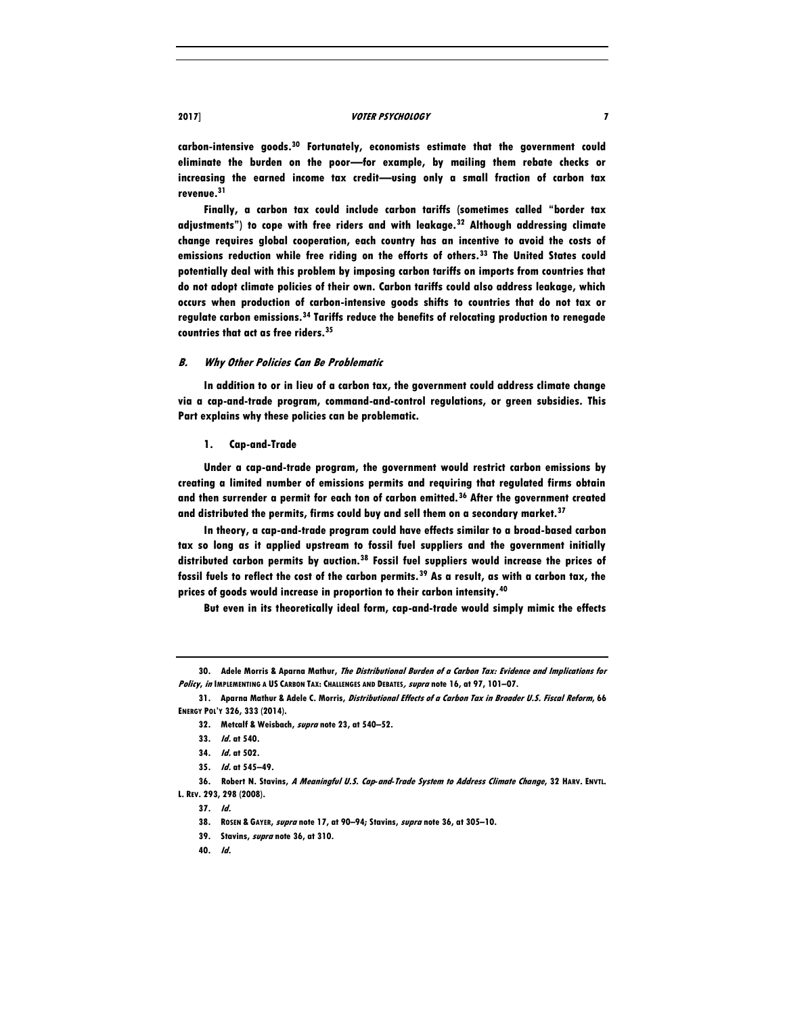**carbon-intensive goods.<sup>30</sup> Fortunately, economists estimate that the government could eliminate the burden on the poor—for example, by mailing them rebate checks or increasing the earned income tax credit—using only a small fraction of carbon tax revenue.<sup>31</sup>**

**Finally, a carbon tax could include carbon tariffs (sometimes called "border tax adjustments") to cope with free riders and with leakage.<sup>32</sup> Although addressing climate change requires global cooperation, each country has an incentive to avoid the costs of emissions reduction while free riding on the efforts of others.<sup>33</sup> The United States could potentially deal with this problem by imposing carbon tariffs on imports from countries that do not adopt climate policies of their own. Carbon tariffs could also address leakage, which occurs when production of carbon-intensive goods shifts to countries that do not tax or regulate carbon emissions.<sup>34</sup> Tariffs reduce the benefits of relocating production to renegade countries that act as free riders.<sup>35</sup>**

### **B. Why Other Policies Can Be Problematic**

**In addition to or in lieu of a carbon tax, the government could address climate change via a cap-and-trade program, command-and-control regulations, or green subsidies. This Part explains why these policies can be problematic.**

## **1. Cap-and-Trade**

**Under a cap-and-trade program, the government would restrict carbon emissions by creating a limited number of emissions permits and requiring that regulated firms obtain and then surrender a permit for each ton of carbon emitted.<sup>36</sup> After the government created and distributed the permits, firms could buy and sell them on a secondary market.<sup>37</sup>**

**In theory, a cap-and-trade program could have effects similar to a broad-based carbon tax so long as it applied upstream to fossil fuel suppliers and the government initially distributed carbon permits by auction.<sup>38</sup> Fossil fuel suppliers would increase the prices of fossil fuels to reflect the cost of the carbon permits.<sup>39</sup> As a result, as with a carbon tax, the prices of goods would increase in proportion to their carbon intensity.<sup>40</sup>**

**But even in its theoretically ideal form, cap-and-trade would simply mimic the effects** 

**<sup>30.</sup> Adele Morris & Aparna Mathur, The Distributional Burden of a Carbon Tax: Evidence and Implications for**  Policy, in IMPLEMENTING A US CARBON TAX: CHALLENGES AND DEBATES, supra note 16, at 97, 101-07.

**<sup>31.</sup> Aparna Mathur & Adele C. Morris, Distributional Effects of a Carbon Tax in Broader U.S. Fiscal Reform, 66 ENERGY POL'Y 326, 333 (2014).** 

**<sup>32.</sup> Metcalf & Weisbach, supra note 23, at 540–52.** 

**<sup>33.</sup> Id. at 540.** 

**<sup>34.</sup> Id. at 502.** 

**<sup>35.</sup> Id. at 545–49.**

**<sup>36.</sup> Robert N. Stavins, A Meaningful U.S. Cap-and-Trade System to Address Climate Change, 32 HARV. ENVTL. L. REV. 293, 298 (2008).** 

**<sup>37.</sup> Id.**

**<sup>38.</sup> ROSEN & GAYER, supra note 17, at 90–94; Stavins, supra note 36, at 305–10.** 

**<sup>39.</sup> Stavins, supra note 36, at 310.** 

**<sup>40.</sup> Id.**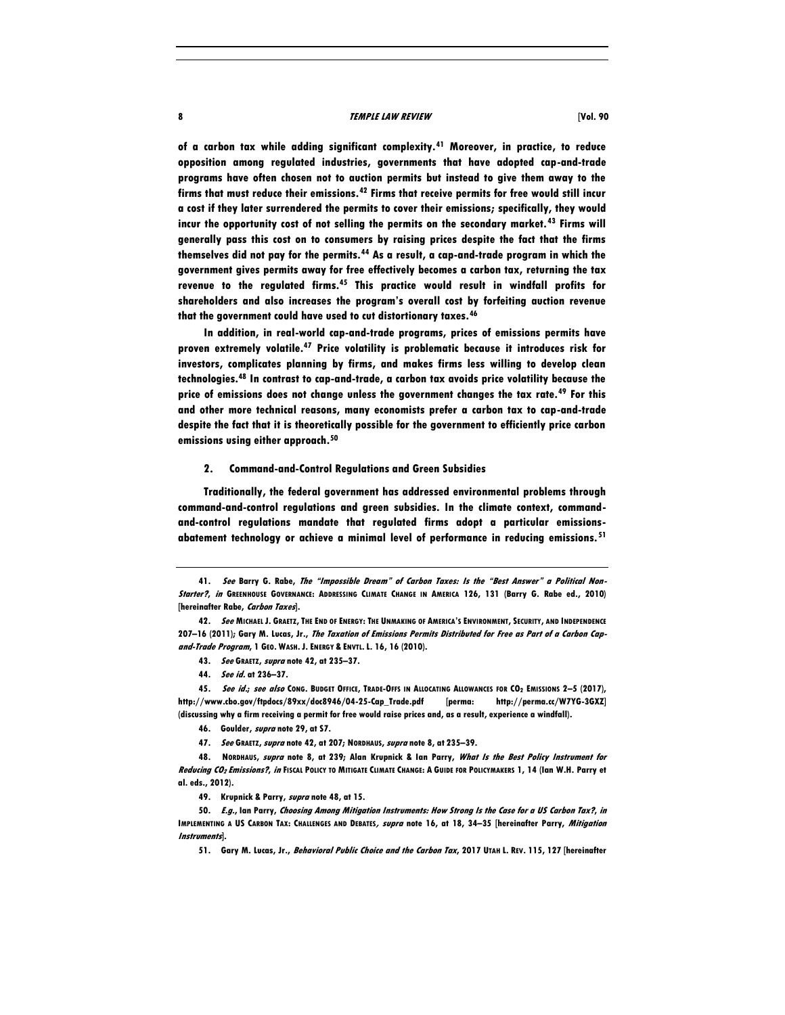**of a carbon tax while adding significant complexity.<sup>41</sup> Moreover, in practice, to reduce opposition among regulated industries, governments that have adopted cap-and-trade programs have often chosen not to auction permits but instead to give them away to the firms that must reduce their emissions.<sup>42</sup> Firms that receive permits for free would still incur a cost if they later surrendered the permits to cover their emissions; specifically, they would incur the opportunity cost of not selling the permits on the secondary market.<sup>43</sup> Firms will generally pass this cost on to consumers by raising prices despite the fact that the firms themselves did not pay for the permits.<sup>44</sup> As a result, a cap-and-trade program in which the government gives permits away for free effectively becomes a carbon tax, returning the tax revenue to the regulated firms.<sup>45</sup> This practice would result in windfall profits for shareholders and also increases the program's overall cost by forfeiting auction revenue that the government could have used to cut distortionary taxes.<sup>46</sup>**

**In addition, in real-world cap-and-trade programs, prices of emissions permits have proven extremely volatile.<sup>47</sup> Price volatility is problematic because it introduces risk for investors, complicates planning by firms, and makes firms less willing to develop clean technologies.<sup>48</sup> In contrast to cap-and-trade, a carbon tax avoids price volatility because the price of emissions does not change unless the government changes the tax rate.<sup>49</sup> For this and other more technical reasons, many economists prefer a carbon tax to cap-and-trade despite the fact that it is theoretically possible for the government to efficiently price carbon emissions using either approach.<sup>50</sup>**

#### **2. Command-and-Control Regulations and Green Subsidies**

**Traditionally, the federal government has addressed environmental problems through command-and-control regulations and green subsidies. In the climate context, commandand-control regulations mandate that regulated firms adopt a particular emissionsabatement technology or achieve a minimal level of performance in reducing emissions.<sup>51</sup>**

- **43. See GRAETZ, supra note 42, at 235–37.**
- **44. See id. at 236–37.**

- **46. Goulder, supra note 29, at S7.**
- **47. See GRAETZ,supra note 42, at 207; NORDHAUS,supra note 8, at 235–39.**

**<sup>41.</sup> See Barry G. Rabe, The "Impossible Dream" of Carbon Taxes: Is the "Best Answer" a Political Non-**Starter?, in GREENHOUSE GOVERNANCE: ADDRESSING CLIMATE CHANGE IN AMERICA 126, 131 (Barry G. Rabe ed., 2010) **[hereinafter Rabe, Carbon Taxes].** 

<sup>42</sup> See MICHAEL | GRAFTZ, THE FND OF FNERGY. THE HNMAKING OF AMERICA'S FNVIRONMENT, SECURITY, AND INDEPENDENCE **207–16 (2011); Gary M. Lucas, Jr., The Taxation of Emissions Permits Distributed for Free as Part of a Carbon Capand-Trade Program, 1 GEO. WASH. J. ENERGY & ENVTL. L. 16, 16 (2010).** 

<sup>45.</sup> See id.; see also CONG. BUDGET OFFICE, TRADE-OFFS IN ALLOCATING ALLOWANCES FOR CO2 EMISSIONS 2-5 (2017), **http://www.cbo.gov/ftpdocs/89xx/doc8946/04-25-Cap\_Trade.pdf [perma: http://perma.cc/W7YG-3GXZ] (discussing why a firm receiving a permit for free would raise prices and, as a result, experience a windfall).** 

**<sup>48.</sup> NORDHAUS, supra note 8, at 239; Alan Krupnick & Ian Parry, What Is the Best Policy Instrument for**  Reducing CO<sub>2</sub> Emissions?, in FISCAL POLICY TO MITIGATE CLIMATE CHANGE: A GUIDE FOR POLICYMAKERS 1, 14 (Ian W.H. Parry et **al. eds., 2012).** 

**<sup>49.</sup> Krupnick & Parry, supra note 48, at 15.** 

**<sup>50.</sup> E.g., Ian Parry, Choosing Among Mitigation Instruments: How Strong Is the Case for a US Carbon Tax?, in** IMPLEMENTING A US CARBON TAX: CHALLENGES AND DEBATES, supra note 16, at 18, 34-35 [hereinafter Parry, Mitigation **Instruments].** 

**<sup>51.</sup> Gary M. Lucas, Jr., Behavioral Public Choice and the Carbon Tax, 2017 UTAH L. REV. 115, 127 [hereinafter**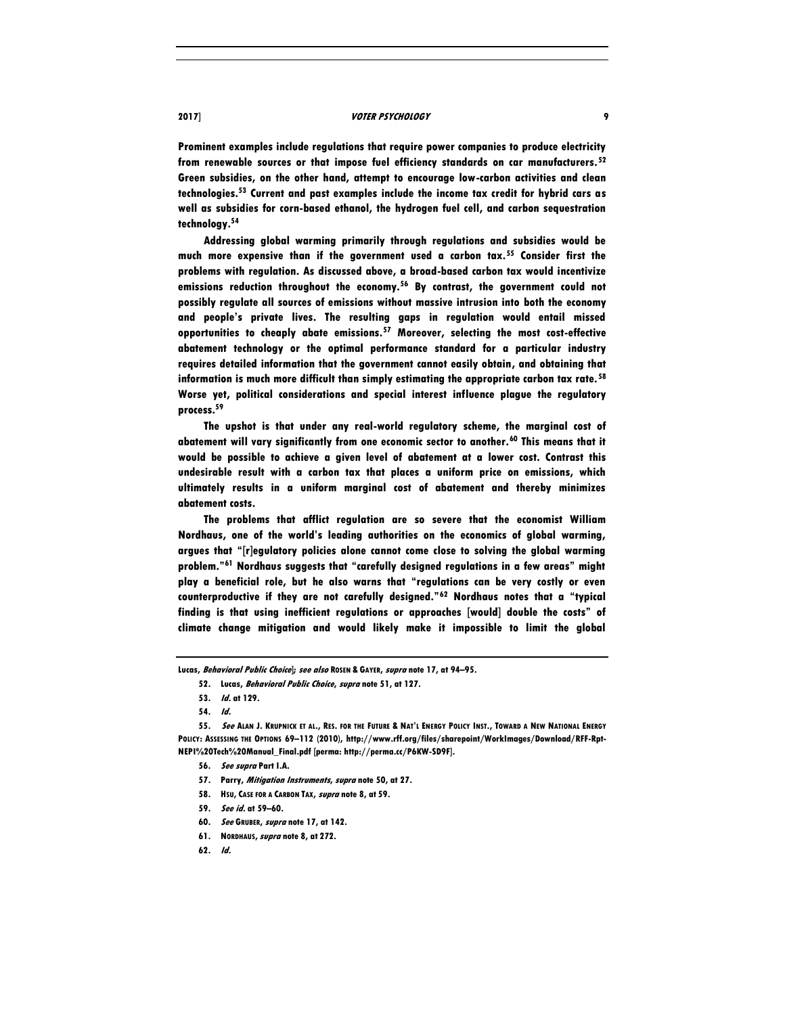**Prominent examples include regulations that require power companies to produce electricity from renewable sources or that impose fuel efficiency standards on car manufacturers.<sup>52</sup> Green subsidies, on the other hand, attempt to encourage low-carbon activities and clean technologies.<sup>53</sup> Current and past examples include the income tax credit for hybrid cars as well as subsidies for corn-based ethanol, the hydrogen fuel cell, and carbon sequestration technology.<sup>54</sup>**

**Addressing global warming primarily through regulations and subsidies would be much more expensive than if the government used a carbon tax.<sup>55</sup> Consider first the problems with regulation. As discussed above, a broad-based carbon tax would incentivize emissions reduction throughout the economy.<sup>56</sup> By contrast, the government could not possibly regulate all sources of emissions without massive intrusion into both the economy and people's private lives. The resulting gaps in regulation would entail missed opportunities to cheaply abate emissions.<sup>57</sup> Moreover, selecting the most cost-effective abatement technology or the optimal performance standard for a particular industry requires detailed information that the government cannot easily obtain, and obtaining that information is much more difficult than simply estimating the appropriate carbon tax rate.<sup>58</sup> Worse yet, political considerations and special interest influence plague the regulatory process.<sup>59</sup>**

**The upshot is that under any real-world regulatory scheme, the marginal cost of abatement will vary significantly from one economic sector to another.<sup>60</sup> This means that it would be possible to achieve a given level of abatement at a lower cost. Contrast this undesirable result with a carbon tax that places a uniform price on emissions, which ultimately results in a uniform marginal cost of abatement and thereby minimizes abatement costs.**

**The problems that afflict regulation are so severe that the economist William Nordhaus, one of the world's leading authorities on the economics of global warming, argues that "[r]egulatory policies alone cannot come close to solving the global warming problem."<sup>61</sup> Nordhaus suggests that "carefully designed regulations in a few areas" might play a beneficial role, but he also warns that "regulations can be very costly or even counterproductive if they are not carefully designed."<sup>62</sup> Nordhaus notes that a "typical finding is that using inefficient regulations or approaches [would] double the costs" of climate change mitigation and would likely make it impossible to limit the global** 

**60. See GRUBER, supra note 17, at 142.** 

**Lucas, Behavioral Public Choice]; see also ROSEN & GAYER, supra note 17, at 94–95.**

**<sup>52.</sup> Lucas, Behavioral Public Choice, supra note 51, at 127.**

**<sup>53.</sup> Id. at 129.** 

**<sup>54.</sup> Id.** 

<sup>55.</sup> See ALAN J. KRUPNICK ET AL., RES. FOR THE FUTURE & NAT'L ENERGY POLICY INST., TOWARD A NEW NATIONAL ENERGY **POLICY: ASSESSING THE OPTIONS 69–112 (2010), http://www.rff.org/files/sharepoint/WorkImages/Download/RFF-Rpt-NEPI%20Tech%20Manual\_Final.pdf [perma: http://perma.cc/P6KW-SD9F].** 

**<sup>56.</sup> See supra Part I.A.**

**<sup>57.</sup> Parry, Mitigation Instruments, supra note 50, at 27.** 

**<sup>58.</sup> HSU, CASE FOR A CARBON TAX, supra note 8, at 59.** 

**<sup>59.</sup> See id. at 59–60.** 

**<sup>61.</sup> NORDHAUS,supra note 8, at 272.**

**<sup>62.</sup> Id.**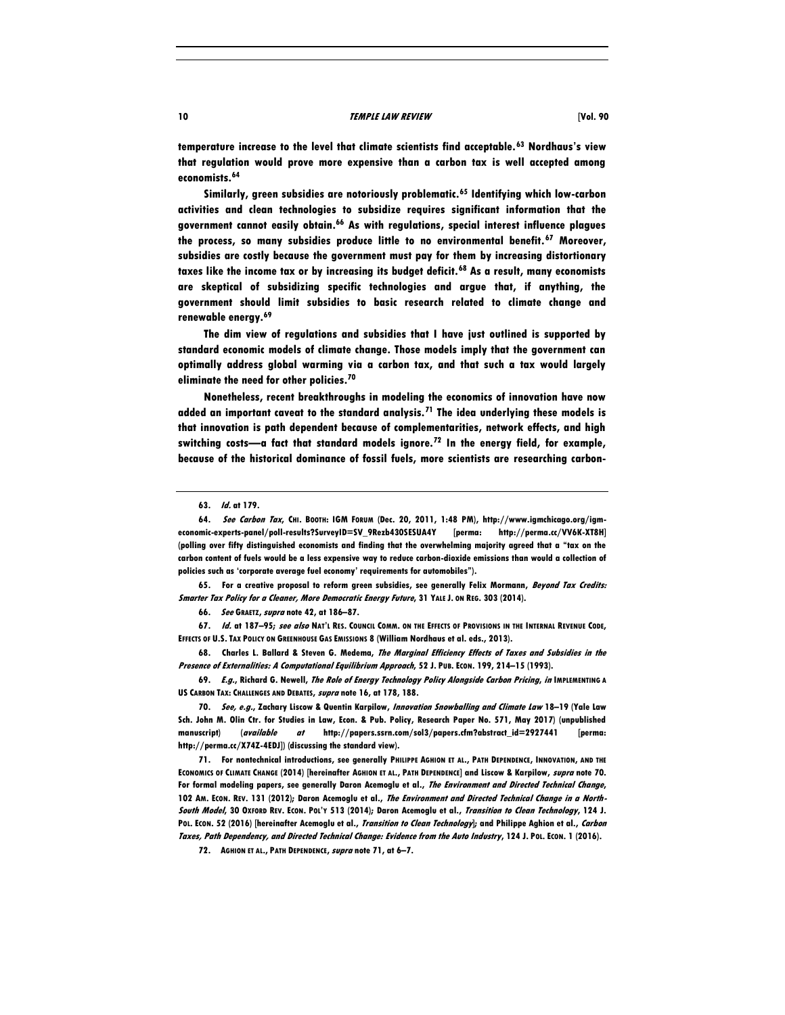**temperature increase to the level that climate scientists find acceptable.<sup>63</sup> Nordhaus's view that regulation would prove more expensive than a carbon tax is well accepted among economists.<sup>64</sup>**

**Similarly, green subsidies are notoriously problematic.<sup>65</sup> Identifying which low-carbon activities and clean technologies to subsidize requires significant information that the government cannot easily obtain.<sup>66</sup> As with regulations, special interest influence plagues the process, so many subsidies produce little to no environmental benefit.<sup>67</sup> Moreover, subsidies are costly because the government must pay for them by increasing distortionary taxes like the income tax or by increasing its budget deficit.<sup>68</sup> As a result, many economists are skeptical of subsidizing specific technologies and argue that, if anything, the government should limit subsidies to basic research related to climate change and renewable energy.<sup>69</sup>**

**The dim view of regulations and subsidies that I have just outlined is supported by standard economic models of climate change. Those models imply that the government can optimally address global warming via a carbon tax, and that such a tax would largely eliminate the need for other policies.<sup>70</sup>**

**Nonetheless, recent breakthroughs in modeling the economics of innovation have now added an important caveat to the standard analysis.<sup>71</sup> The idea underlying these models is that innovation is path dependent because of complementarities, network effects, and high switching costs—a fact that standard models ignore.<sup>72</sup> In the energy field, for example, because of the historical dominance of fossil fuels, more scientists are researching carbon-**

**65. For a creative proposal to reform green subsidies, see generally Felix Mormann, Beyond Tax Credits: Smarter Tax Policy for a Cleaner, More Democratic Energy Future, 31 YALE J. ON REG. 303 (2014).** 

**66. See GRAETZ,supra note 42, at 186–87.**

67. Id. at 187-95; see also NAT'L RES. COUNCIL COMM. ON THE EFFECTS OF PROVISIONS IN THE INTERNAL REVENUE CODE, **EFFECTS OF U.S.TAX POLICY ON GREENHOUSE GAS EMISSIONS 8 (William Nordhaus et al. eds., 2013).** 

**68. Charles L. Ballard & Steven G. Medema, The Marginal Efficiency Effects of Taxes and Subsidies in the Presence of Externalities: A Computational Equilibrium Approach, 52 J. PUB. ECON. 199, 214–15 (1993).**

**69. E.g., Richard G. Newell, The Role of Energy Technology Policy Alongside Carbon Pricing, in IMPLEMENTING A US CARBON TAX: CHALLENGES AND DEBATES, supra note 16, at 178, 188.** 

**70. See, e.g., Zachary Liscow & Quentin Karpilow, Innovation Snowballing and Climate Law 18–19 (Yale Law Sch. John M. Olin Ctr. for Studies in Law, Econ. & Pub. Policy, Research Paper No. 571, May 2017) (unpublished manuscript) (available at http://papers.ssrn.com/sol3/papers.cfm?abstract\_id=2927441 [perma: http://perma.cc/X74Z-4EDJ]) (discussing the standard view).** 

**71. For nontechnical introductions, see generally PHILIPPE AGHION ET AL., PATH DEPENDENCE, INNOVATION, AND THE**  ECONOMICS OF CLIMATE CHANGE (2014) [hereingfter AGHION ET AL., PATH DEPENDENCE] and Liscow & Karpilow, *supra* note 70. **For formal modeling papers, see generally Daron Acemoglu et al., The Environment and Directed Technical Change, 102 AM. ECON. REV. 131 (2012); Daron Acemoglu et al., The Environment and Directed Technical Change in a North-**South Model, 30 OXFORD REV. ECON. POL'Y 513 (2014); Daron Acemoglu et al., Transition to Clean Technology, 124 J. **POL. ECON. 52 (2016) [hereinafter Acemoglu et al., Transition to Clean Technology]; and Philippe Aghion et al., Carbon Taxes, Path Dependency, and Directed Technical Change: Evidence from the Auto Industry, 124 J. POL. ECON. 1 (2016).** 

**72. AGHION ET AL., PATH DEPENDENCE,supra note 71, at 6–7.** 

**<sup>63.</sup> Id. at 179.** 

**<sup>64.</sup> See Carbon Tax, CHI. BOOTH: IGM FORUM (Dec. 20, 2011, 1:48 PM), http://www.igmchicago.org/igmeconomic-experts-panel/poll-results?SurveyID=SV\_9Rezb430SESUA4Y [perma: http://perma.cc/VV6K-XT8H] (polling over fifty distinguished economists and finding that the overwhelming majority agreed that a "tax on the carbon content of fuels would be a less expensive way to reduce carbon-dioxide emissions than would a collection of policies such as 'corporate average fuel economy' requirements for automobiles").**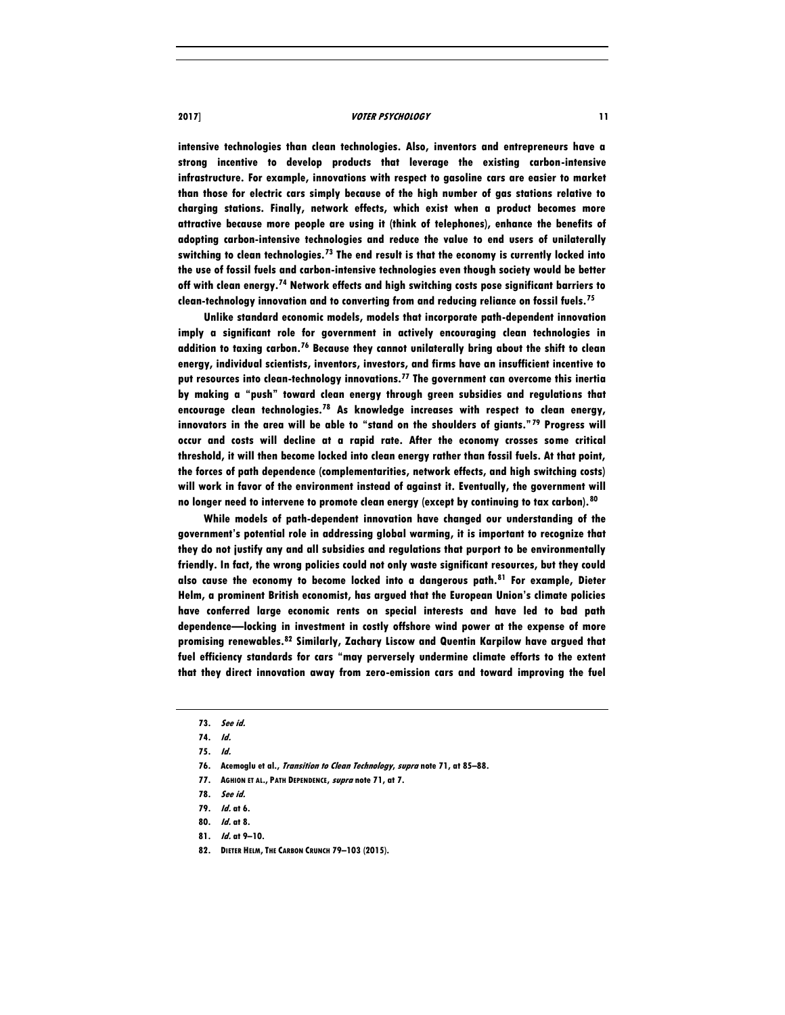**intensive technologies than clean technologies. Also, inventors and entrepreneurs have a strong incentive to develop products that leverage the existing carbon-intensive infrastructure. For example, innovations with respect to gasoline cars are easier to market than those for electric cars simply because of the high number of gas stations relative to charging stations. Finally, network effects, which exist when a product becomes more attractive because more people are using it (think of telephones), enhance the benefits of adopting carbon-intensive technologies and reduce the value to end users of unilaterally switching to clean technologies.<sup>73</sup> The end result is that the economy is currently locked into the use of fossil fuels and carbon-intensive technologies even though society would be better off with clean energy.<sup>74</sup> Network effects and high switching costs pose significant barriers to clean-technology innovation and to converting from and reducing reliance on fossil fuels.<sup>75</sup>**

**Unlike standard economic models, models that incorporate path-dependent innovation imply a significant role for government in actively encouraging clean technologies in addition to taxing carbon.<sup>76</sup> Because they cannot unilaterally bring about the shift to clean energy, individual scientists, inventors, investors, and firms have an insufficient incentive to put resources into clean-technology innovations.<sup>77</sup> The government can overcome this inertia by making a "push" toward clean energy through green subsidies and regulations that encourage clean technologies.<sup>78</sup> As knowledge increases with respect to clean energy, innovators in the area will be able to "stand on the shoulders of giants."<sup>79</sup> Progress will occur and costs will decline at a rapid rate. After the economy crosses some critical threshold, it will then become locked into clean energy rather than fossil fuels. At that point, the forces of path dependence (complementarities, network effects, and high switching costs) will work in favor of the environment instead of against it. Eventually, the government will no longer need to intervene to promote clean energy (except by continuing to tax carbon).<sup>80</sup>**

**While models of path-dependent innovation have changed our understanding of the government's potential role in addressing global warming, it is important to recognize that they do not justify any and all subsidies and regulations that purport to be environmentally friendly. In fact, the wrong policies could not only waste significant resources, but they could also cause the economy to become locked into a dangerous path.<sup>81</sup> For example, Dieter Helm, a prominent British economist, has argued that the European Union's climate policies have conferred large economic rents on special interests and have led to bad path dependence—locking in investment in costly offshore wind power at the expense of more promising renewables.<sup>82</sup> Similarly, Zachary Liscow and Quentin Karpilow have argued that fuel efficiency standards for cars "may perversely undermine climate efforts to the extent that they direct innovation away from zero-emission cars and toward improving the fuel** 

**<sup>73.</sup> See id.** 

**<sup>74.</sup> Id.** 

**<sup>75.</sup> Id.**

**<sup>76.</sup> Acemoglu et al., Transition to Clean Technology, supra note 71, at 85–88.** 

**<sup>77.</sup> AGHION ET AL., PATH DEPENDENCE, supra note 71, at 7.** 

**<sup>78.</sup> See id.**

**<sup>79.</sup> Id. at 6.** 

**<sup>80.</sup> Id. at 8. 81. Id. at 9–10.** 

**<sup>82.</sup> DIETER HELM,THE CARBON CRUNCH 79–103 (2015).**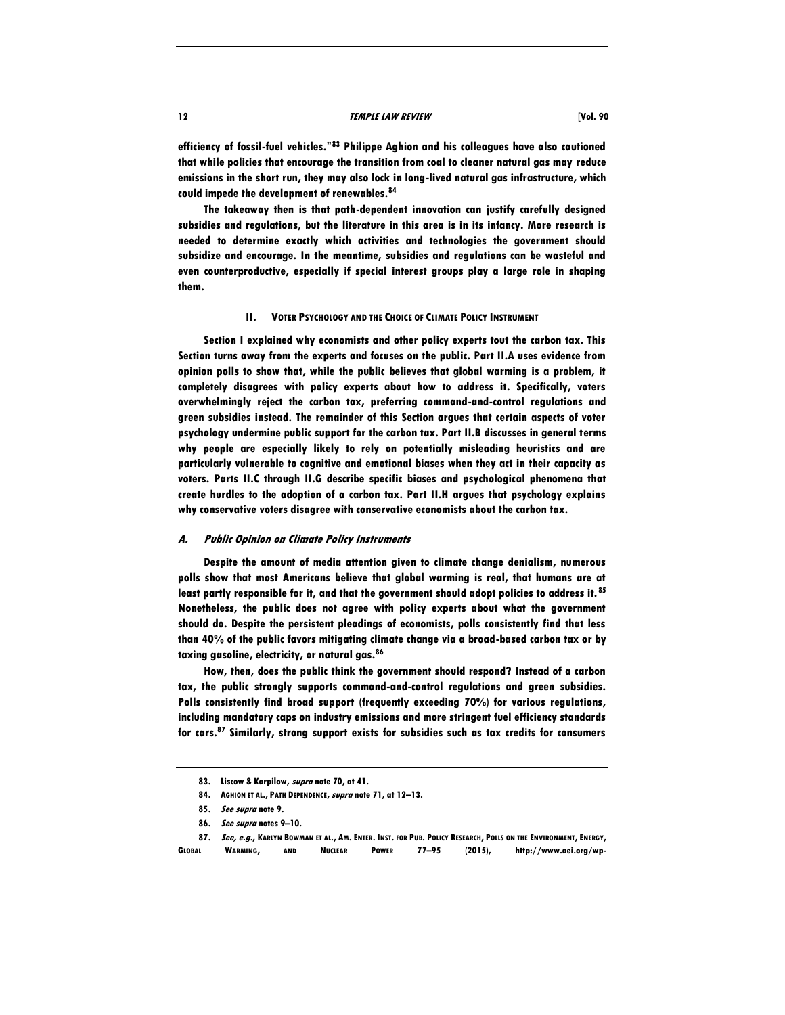**efficiency of fossil-fuel vehicles."<sup>83</sup> Philippe Aghion and his colleagues have also cautioned that while policies that encourage the transition from coal to cleaner natural gas may reduce emissions in the short run, they may also lock in long-lived natural gas infrastructure, which could impede the development of renewables.<sup>84</sup>**

**The takeaway then is that path-dependent innovation can justify carefully designed subsidies and regulations, but the literature in this area is in its infancy. More research is needed to determine exactly which activities and technologies the government should subsidize and encourage. In the meantime, subsidies and regulations can be wasteful and even counterproductive, especially if special interest groups play a large role in shaping them.**

## **II. VOTER PSYCHOLOGY AND THE CHOICE OF CLIMATE POLICY INSTRUMENT**

**Section I explained why economists and other policy experts tout the carbon tax. This Section turns away from the experts and focuses on the public. Part II.A uses evidence from opinion polls to show that, while the public believes that global warming is a problem, it completely disagrees with policy experts about how to address it. Specifically, voters overwhelmingly reject the carbon tax, preferring command-and-control regulations and green subsidies instead. The remainder of this Section argues that certain aspects of voter psychology undermine public support for the carbon tax. Part II.B discusses in general terms why people are especially likely to rely on potentially misleading heuristics and are particularly vulnerable to cognitive and emotional biases when they act in their capacity as voters. Parts II.C through II.G describe specific biases and psychological phenomena that create hurdles to the adoption of a carbon tax. Part II.H argues that psychology explains why conservative voters disagree with conservative economists about the carbon tax.**

## **A. Public Opinion on Climate Policy Instruments**

**Despite the amount of media attention given to climate change denialism, numerous polls show that most Americans believe that global warming is real, that humans are at least partly responsible for it, and that the government should adopt policies to address it.<sup>85</sup> Nonetheless, the public does not agree with policy experts about what the government should do. Despite the persistent pleadings of economists, polls consistently find that less than 40% of the public favors mitigating climate change via a broad-based carbon tax or by taxing gasoline, electricity, or natural gas.<sup>86</sup>**

**How, then, does the public think the government should respond? Instead of a carbon tax, the public strongly supports command-and-control regulations and green subsidies. Polls consistently find broad support (frequently exceeding 70%) for various regulations, including mandatory caps on industry emissions and more stringent fuel efficiency standards for cars.<sup>87</sup> Similarly, strong support exists for subsidies such as tax credits for consumers** 

**<sup>83.</sup> Liscow & Karpilow, supra note 70, at 41.** 

**<sup>84.</sup> AGHION ET AL., PATH DEPENDENCE,supra note 71, at 12–13.** 

**<sup>85.</sup> See supra note 9.** 

**<sup>86.</sup> See supra notes 9–10.**

<sup>87.</sup> See, e.g., KARLYN BOWMAN ET AL., AM. ENTER. INST. FOR PUB. POLICY RESEARCH, POLLS ON THE ENVIRONMENT, ENERGY,

**GLOBAL WARMING, AND NUCLEAR POWER 77–95 (2015), http://www.aei.org/wp-**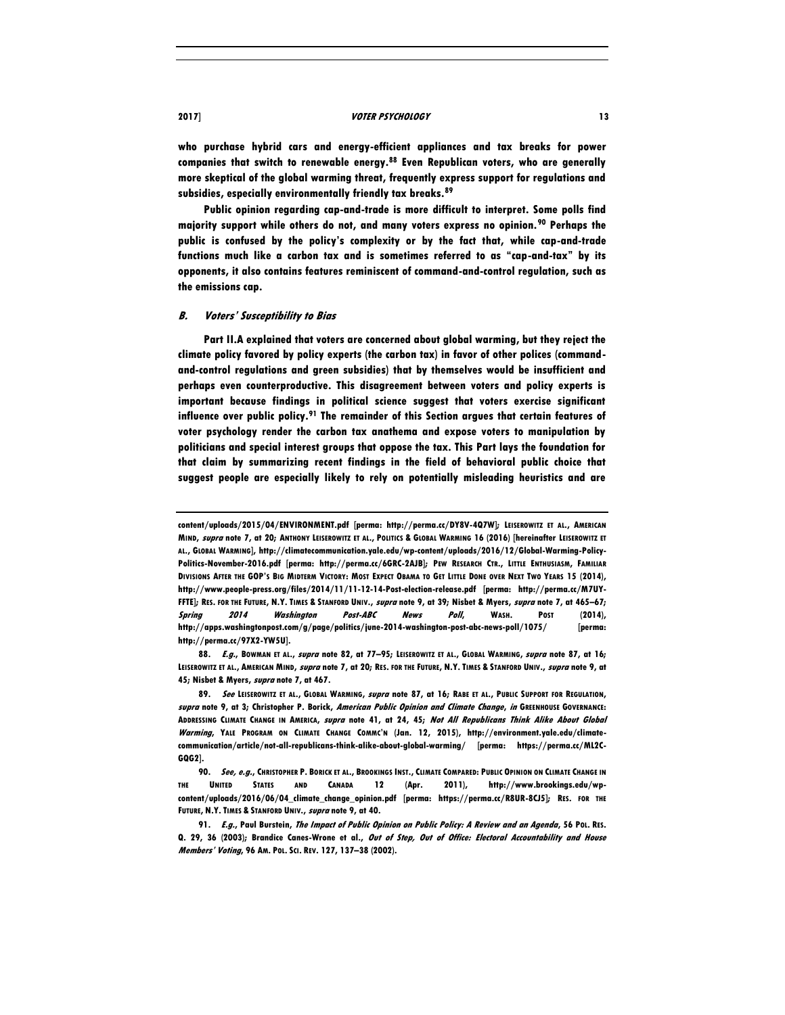**who purchase hybrid cars and energy-efficient appliances and tax breaks for power companies that switch to renewable energy.<sup>88</sup> Even Republican voters, who are generally more skeptical of the global warming threat, frequently express support for regulations and subsidies, especially environmentally friendly tax breaks.<sup>89</sup>**

**Public opinion regarding cap-and-trade is more difficult to interpret. Some polls find majority support while others do not, and many voters express no opinion.<sup>90</sup> Perhaps the public is confused by the policy's complexity or by the fact that, while cap-and-trade functions much like a carbon tax and is sometimes referred to as "cap-and-tax" by its opponents, it also contains features reminiscent of command-and-control regulation, such as the emissions cap.**

## **B. Voters' Susceptibility to Bias**

**Part II.A explained that voters are concerned about global warming, but they reject the climate policy favored by policy experts (the carbon tax) in favor of other polices (commandand-control regulations and green subsidies) that by themselves would be insufficient and perhaps even counterproductive. This disagreement between voters and policy experts is important because findings in political science suggest that voters exercise significant influence over public policy.<sup>91</sup> The remainder of this Section argues that certain features of voter psychology render the carbon tax anathema and expose voters to manipulation by politicians and special interest groups that oppose the tax. This Part lays the foundation for that claim by summarizing recent findings in the field of behavioral public choice that suggest people are especially likely to rely on potentially misleading heuristics and are** 

**content/uploads/2015/04/ENVIRONMENT.pdf [perma: http://perma.cc/DY8V-4Q7W]; LEISEROWITZ ET AL., AMERICAN**  MIND, supra note 7, at 20; ANTHONY LEISEROWITZ ET AL., POLITICS & GLOBAL WARMING 16 (2016) [hereinafter LEISEROWITZ ET **AL., GLOBAL WARMING], http://climatecommunication.yale.edu/wp-content/uploads/2016/12/Global-Warming-Policy-Politics-November-2016.pdf [perma: http://perma.cc/6GRC-2AJB]; PEW RESEARCH CTR., LITTLE ENTHUSIASM, FAMILIAR**  DIVISIONS AFTER THE GOP'S BIG MIDTERM VICTORY: MOST EXPECT OBAMA TO GET LITTLE DONE OVER NEXT TWO YEARS 15 (2014). **http://www.people-press.org/files/2014/11/11-12-14-Post-election-release.pdf [perma: http://perma.cc/M7UY-**FFTE]; RES. FOR THE FUTURE, N.Y. TIMES & STANFORD UNIV., supranote 9, at 39; Nisbet & Myers, supranote 7, at 465-67; **Spring 2014 Washington Post-ABC News Poll, WASH. POST (2014), http://apps.washingtonpost.com/g/page/politics/june-2014-washington-post-abc-news-poll/1075/ [perma: http://perma.cc/97X2-YW5U].** 

<sup>88.</sup> E.g., BOWMAN ET AL., supra note 82, at 77-95; LEISEROWITZ ET AL., GLOBAL WARMING, supra note 87, at 16; LEISEROWITZ ET AL., AMERICAN MIND, *supra* note 7, at 20; RES. FOR THE FUTURE, N.Y. TIMES & STANFORD UNIV., supra note 9, at **45; Nisbet & Myers, supra note 7, at 467.** 

<sup>89.</sup> See LEISEROWITZ ET AL., GLOBAL WARMING, supra note 87, at 16; RABE ET AL., PUBLIC SUPPORT FOR REGULATION, **supra note 9, at 3; Christopher P. Borick, American Public Opinion and Climate Change, in GREENHOUSE GOVERNANCE: ADDRESSING CLIMATE CHANGE IN AMERICA, supra note 41, at 24, 45; Not All Republicans Think Alike About Global Warming, YALE PROGRAM ON CLIMATE CHANGE COMMC'N (Jan. 12, 2015), http://environment.yale.edu/climatecommunication/article/not-all-republicans-think-alike-about-global-warming/ [perma: https://perma.cc/ML2C-GQG2].** 

<sup>90.</sup> See, e.g., CHRISTOPHER P. BORICK ET AL., BROOKINGS INST., CLIMATE COMPARED: PUBLIC OPINION ON CLIMATE CHANGE IN **THE UNITED STATES AND CANADA 12 (Apr. 2011), http://www.brookings.edu/wpcontent/uploads/2016/06/04\_climate\_change\_opinion.pdf [perma: https://perma.cc/R8UR-8CJ5]; RES. FOR THE FUTURE, N.Y.TIMES & STANFORD UNIV., supra note 9, at 40.** 

**<sup>91.</sup> E.g., Paul Burstein, The Impact of Public Opinion on Public Policy: A Review and an Agenda, 56 POL. RES. Q. 29, 36 (2003); Brandice Canes-Wrone et al., Out of Step, Out of Office: Electoral Accountability and House Members' Voting, 96 AM. POL. SCI. REV. 127, 137–38 (2002).**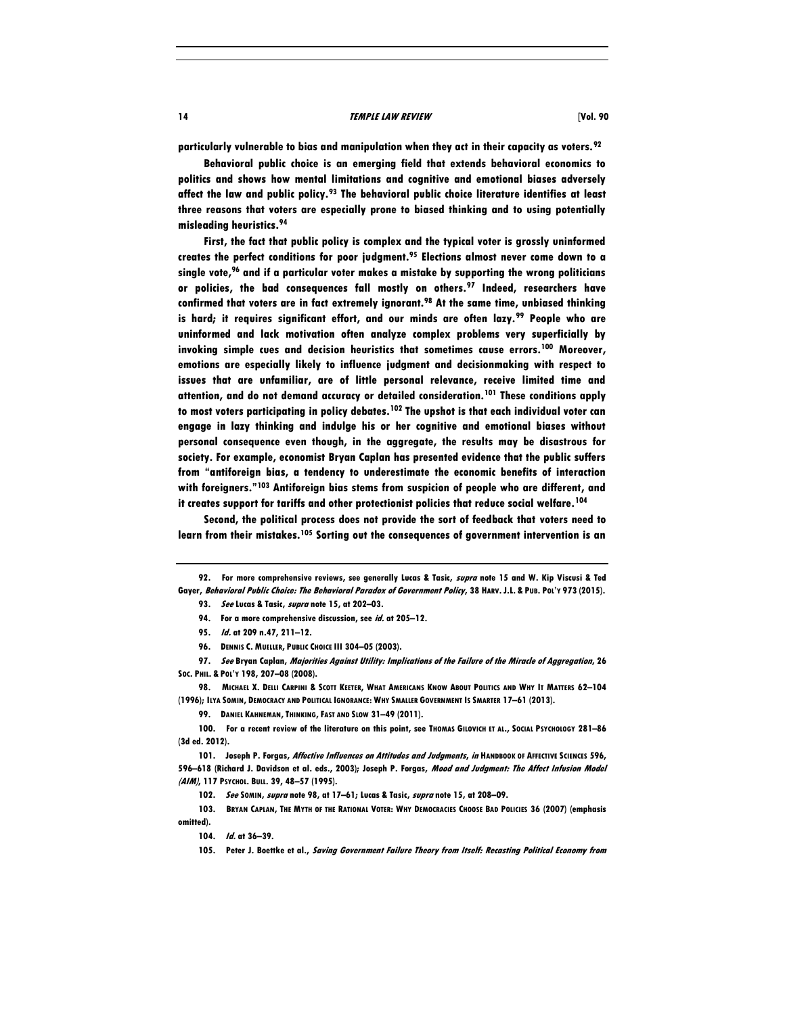**particularly vulnerable to bias and manipulation when they act in their capacity as voters.<sup>92</sup>**

**Behavioral public choice is an emerging field that extends behavioral economics to politics and shows how mental limitations and cognitive and emotional biases adversely affect the law and public policy.<sup>93</sup> The behavioral public choice literature identifies at least three reasons that voters are especially prone to biased thinking and to using potentially misleading heuristics.<sup>94</sup>**

**First, the fact that public policy is complex and the typical voter is grossly uninformed creates the perfect conditions for poor judgment.<sup>95</sup> Elections almost never come down to a single vote,<sup>96</sup> and if a particular voter makes a mistake by supporting the wrong politicians or policies, the bad consequences fall mostly on others.<sup>97</sup> Indeed, researchers have confirmed that voters are in fact extremely ignorant.<sup>98</sup> At the same time, unbiased thinking is hard; it requires significant effort, and our minds are often lazy.<sup>99</sup> People who are uninformed and lack motivation often analyze complex problems very superficially by invoking simple cues and decision heuristics that sometimes cause errors.<sup>100</sup> Moreover, emotions are especially likely to influence judgment and decisionmaking with respect to issues that are unfamiliar, are of little personal relevance, receive limited time and attention, and do not demand accuracy or detailed consideration.<sup>101</sup> These conditions apply to most voters participating in policy debates.<sup>102</sup> The upshot is that each individual voter can engage in lazy thinking and indulge his or her cognitive and emotional biases without personal consequence even though, in the aggregate, the results may be disastrous for society. For example, economist Bryan Caplan has presented evidence that the public suffers from "antiforeign bias, a tendency to underestimate the economic benefits of interaction with foreigners."<sup>103</sup> Antiforeign bias stems from suspicion of people who are different, and it creates support for tariffs and other protectionist policies that reduce social welfare.<sup>104</sup>**

**Second, the political process does not provide the sort of feedback that voters need to learn from their mistakes.<sup>105</sup> Sorting out the consequences of government intervention is an** 

**<sup>92.</sup> For more comprehensive reviews, see generally Lucas & Tasic, supra note 15 and W. Kip Viscusi & Ted**  Gayer, Behavioral Public Choice: The Behavioral Paradox of Government Policy, 38 HARV. J.L. & PUB. PoL'Y 973 (2015). **93. See Lucas & Tasic, supra note 15, at 202–03.** 

**<sup>94.</sup> For a more comprehensive discussion, see id. at 205–12.** 

**<sup>95.</sup> Id. at 209 n.47, 211–12.** 

**<sup>96.</sup> DENNIS C. MUELLER, PUBLIC CHOICE III 304–05 (2003).** 

**<sup>97.</sup> See Bryan Caplan, Majorities Against Utility: Implications of the Failure of the Miracle of Aggregation, 26 SOC. PHIL. & POL'Y 198, 207–08 (2008).** 

<sup>98.</sup> MICHAEL X, DELLI CARPINI & SCOTT KEETER, WHAT AMERICANS KNOW ABOUT POLITICS AND WHY IT MATTERS 62-104 (1996); ILYA SOMIN, DEMOCRACY AND POLITICAL IGNORANCE: WHY SMALLER GOVERNMENT IS SMARTER 17-61 (2013).

**<sup>99.</sup> DANIEL KAHNEMAN,THINKING,FAST AND SLOW 31–49 (2011).** 

**<sup>100.</sup> For a recent review of the literature on this point, see THOMAS GILOVICH ET AL., SOCIAL PSYCHOLOGY 281–86 (3d ed. 2012).** 

**<sup>101.</sup> Joseph P. Forgas, Affective Influences on Attitudes and Judgments, in HANDBOOK OF AFFECTIVE SCIENCES 596, 596–618 (Richard J. Davidson et al. eds., 2003); Joseph P. Forgas, Mood and Judgment: The Affect Infusion Model (AIM), 117 PSYCHOL. BULL. 39, 48–57 (1995).** 

**<sup>102.</sup> See SOMIN, supra note 98, at 17–61; Lucas & Tasic, supra note 15, at 208–09.** 

<sup>103.</sup> BRYAN CAPLAN, THE MYTH OF THE RATIONAL VOTER: WHY DEMOCRACIES CHOOSE BAD POLICIES 36 (2007) (emphasis **omitted).** 

**<sup>104.</sup> Id. at 36–39.** 

**<sup>105.</sup> Peter J. Boettke et al., Saving Government Failure Theory from Itself: Recasting Political Economy from**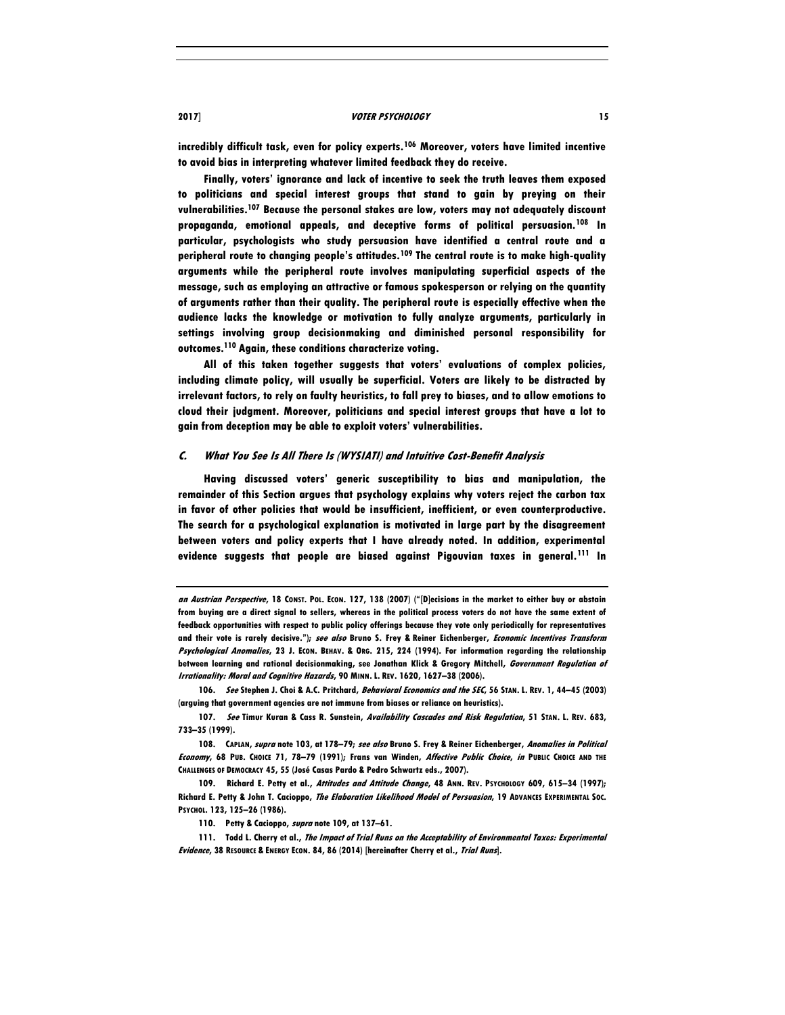**incredibly difficult task, even for policy experts.<sup>106</sup> Moreover, voters have limited incentive to avoid bias in interpreting whatever limited feedback they do receive.** 

**Finally, voters' ignorance and lack of incentive to seek the truth leaves them exposed to politicians and special interest groups that stand to gain by preying on their vulnerabilities.<sup>107</sup> Because the personal stakes are low, voters may not adequately discount propaganda, emotional appeals, and deceptive forms of political persuasion.<sup>108</sup> In particular, psychologists who study persuasion have identified a central route and a peripheral route to changing people's attitudes.<sup>109</sup> The central route is to make high-quality arguments while the peripheral route involves manipulating superficial aspects of the message, such as employing an attractive or famous spokesperson or relying on the quantity of arguments rather than their quality. The peripheral route is especially effective when the audience lacks the knowledge or motivation to fully analyze arguments, particularly in settings involving group decisionmaking and diminished personal responsibility for outcomes.<sup>110</sup> Again, these conditions characterize voting.**

**All of this taken together suggests that voters' evaluations of complex policies, including climate policy, will usually be superficial. Voters are likely to be distracted by irrelevant factors, to rely on faulty heuristics, to fall prey to biases, and to allow emotions to cloud their judgment. Moreover, politicians and special interest groups that have a lot to gain from deception may be able to exploit voters' vulnerabilities.**

## **C. What You See Is All There Is (WYSIATI) and Intuitive Cost-Benefit Analysis**

**Having discussed voters' generic susceptibility to bias and manipulation, the remainder of this Section argues that psychology explains why voters reject the carbon tax in favor of other policies that would be insufficient, inefficient, or even counterproductive. The search for a psychological explanation is motivated in large part by the disagreement between voters and policy experts that I have already noted. In addition, experimental evidence suggests that people are biased against Pigouvian taxes in general.<sup>111</sup> In** 

**106. See Stephen J. Choi & A.C. Pritchard, Behavioral Economics and the SEC, 56 STAN. L. REV. 1, 44–45 (2003) (arguing that government agencies are not immune from biases or reliance on heuristics).**

**an Austrian Perspective, 18 CONST. POL. ECON. 127, 138 (2007) ("[D]ecisions in the market to either buy or abstain from buying are a direct signal to sellers, whereas in the political process voters do not have the same extent of feedback opportunities with respect to public policy offerings because they vote only periodically for representatives and their vote is rarely decisive."); see also Bruno S. Frey & Reiner Eichenberger, Economic Incentives Transform Psychological Anomalies, 23 J. ECON. BEHAV. & ORG. 215, 224 (1994). For information regarding the relationship between learning and rational decisionmaking, see Jonathan Klick & Gregory Mitchell, Government Regulation of Irrationality: Moral and Cognitive Hazards, 90 MINN. L. REV. 1620, 1627–38 (2006).** 

**<sup>107.</sup> See Timur Kuran & Cass R. Sunstein, Availability Cascades and Risk Regulation, 51 STAN. L. REV. 683, 733–35 (1999).** 

**<sup>108.</sup> CAPLAN, supra note 103, at 178–79; see also Bruno S. Frey & Reiner Eichenberger, Anomalies in Political Economy, 68 PUB. CHOICE 71, 78–79 (1991); Frans van Winden, Affective Public Choice, in PUBLIC CHOICE AND THE CHALLENGES OF DEMOCRACY 45, 55 (José Casas Pardo & Pedro Schwartz eds., 2007).** 

**<sup>109.</sup> Richard E. Petty et al., Attitudes and Attitude Change, 48 ANN. REV. PSYCHOLOGY 609, 615–34 (1997); Richard E. Petty & John T. Cacioppo, The Elaboration Likelihood Model of Persuasion, 19 ADVANCES EXPERIMENTAL SOC. PSYCHOL. 123, 125–26 (1986).** 

**<sup>110.</sup> Petty & Cacioppo, supra note 109, at 137–61.** 

**<sup>111.</sup> Todd L. Cherry et al., The Impact of Trial Runs on the Acceptability of Environmental Taxes: Experimental Evidence, 38 RESOURCE & ENERGY ECON. 84, 86 (2014) [hereinafter Cherry et al., Trial Runs].**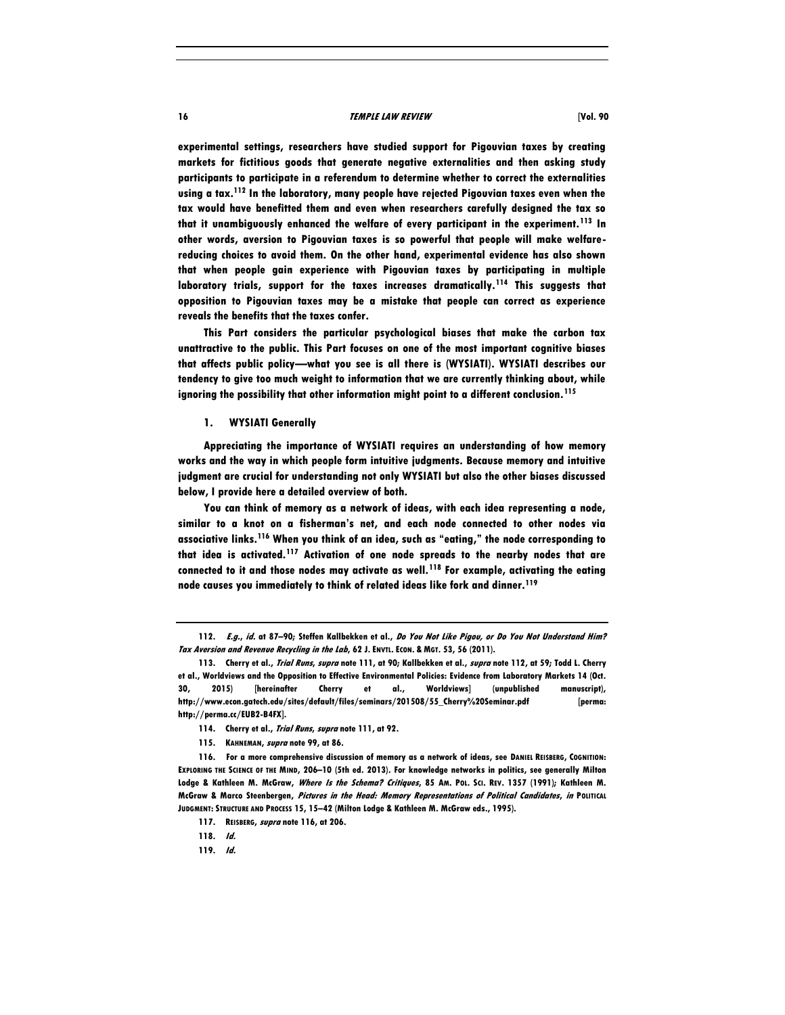**experimental settings, researchers have studied support for Pigouvian taxes by creating markets for fictitious goods that generate negative externalities and then asking study participants to participate in a referendum to determine whether to correct the externalities using a tax.<sup>112</sup> In the laboratory, many people have rejected Pigouvian taxes even when the tax would have benefitted them and even when researchers carefully designed the tax so that it unambiguously enhanced the welfare of every participant in the experiment.<sup>113</sup> In other words, aversion to Pigouvian taxes is so powerful that people will make welfarereducing choices to avoid them. On the other hand, experimental evidence has also shown that when people gain experience with Pigouvian taxes by participating in multiple laboratory trials, support for the taxes increases dramatically.<sup>114</sup> This suggests that opposition to Pigouvian taxes may be a mistake that people can correct as experience reveals the benefits that the taxes confer.**

**This Part considers the particular psychological biases that make the carbon tax unattractive to the public. This Part focuses on one of the most important cognitive biases that affects public policy—what you see is all there is (WYSIATI). WYSIATI describes our tendency to give too much weight to information that we are currently thinking about, while ignoring the possibility that other information might point to a different conclusion.<sup>115</sup>**

## **1. WYSIATI Generally**

**Appreciating the importance of WYSIATI requires an understanding of how memory works and the way in which people form intuitive judgments. Because memory and intuitive judgment are crucial for understanding not only WYSIATI but also the other biases discussed below, I provide here a detailed overview of both.**

**You can think of memory as a network of ideas, with each idea representing a node, similar to a knot on a fisherman's net, and each node connected to other nodes via associative links.<sup>116</sup> When you think of an idea, such as "eating," the node corresponding to that idea is activated.<sup>117</sup> Activation of one node spreads to the nearby nodes that are connected to it and those nodes may activate as well.<sup>118</sup> For example, activating the eating node causes you immediately to think of related ideas like fork and dinner.<sup>119</sup>**

**<sup>112.</sup> E.g., id. at 87–90; Steffen Kallbekken et al., Do You Not Like Pigou, or Do You Not Understand Him? Tax Aversion and Revenue Recycling in the Lab, 62 J. ENVTL. ECON. & MGT. 53, 56 (2011).**

**<sup>113.</sup> Cherry et al., Trial Runs, supra note 111, at 90; Kallbekken et al., supra note 112, at 59; Todd L. Cherry et al., Worldviews and the Opposition to Effective Environmental Policies: Evidence from Laboratory Markets 14 (Oct. 30, 2015) [hereinafter Cherry et al., Worldviews] (unpublished manuscript), http://www.econ.gatech.edu/sites/default/files/seminars/201508/55\_Cherry%20Seminar.pdf [perma: http://perma.cc/EUB2-B4FX].** 

**<sup>114.</sup> Cherry et al., Trial Runs, supra note 111, at 92.** 

**<sup>115.</sup> KAHNEMAN, supra note 99, at 86.** 

**<sup>116.</sup> For a more comprehensive discussion of memory as a network of ideas, see DANIEL REISBERG, COGNITION: EXPLORING THE SCIENCE OF THE MIND, 206–10 (5th ed. 2013). For knowledge networks in politics, see generally Milton Lodge & Kathleen M. McGraw, Where Is the Schema? Critiques, 85 AM. POL. SCI. REV. 1357 (1991); Kathleen M. McGraw & Marco Steenbergen, Pictures in the Head: Memory Representations of Political Candidates, in POLITICAL JUDGMENT: STRUCTURE AND PROCESS 15, 15–42 (Milton Lodge & Kathleen M. McGraw eds., 1995).** 

**<sup>117.</sup> REISBERG, supra note 116, at 206.**

**<sup>118.</sup> Id.**

**<sup>119.</sup> Id.**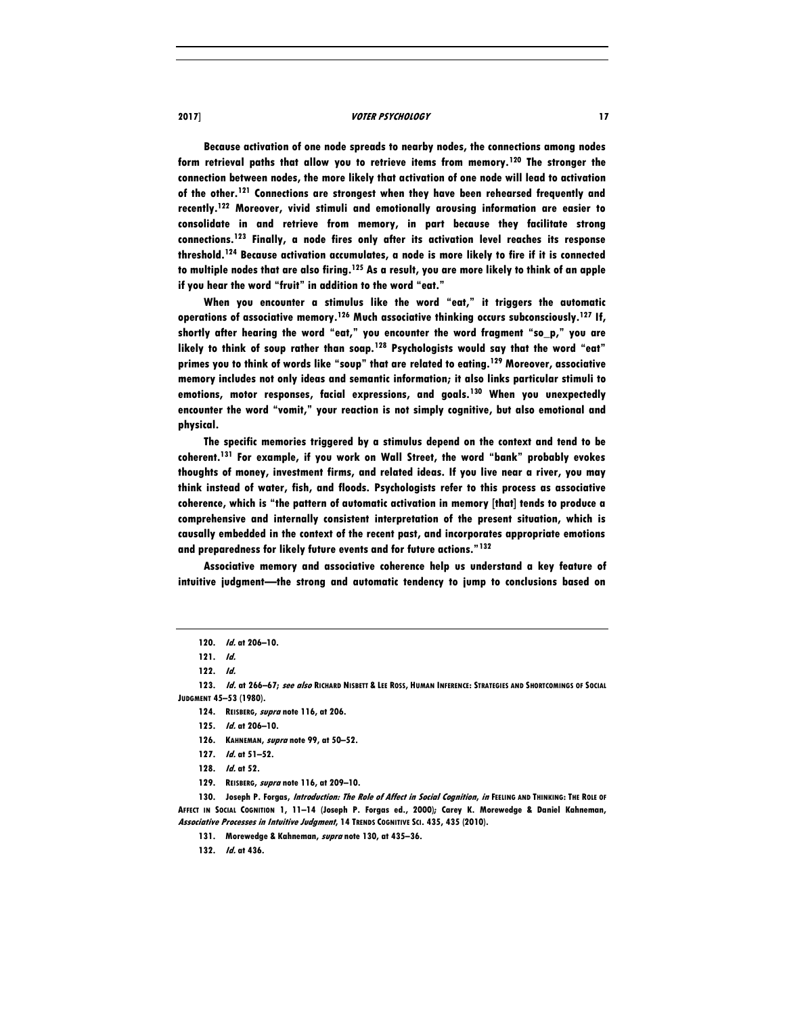**Because activation of one node spreads to nearby nodes, the connections among nodes form retrieval paths that allow you to retrieve items from memory.<sup>120</sup> The stronger the connection between nodes, the more likely that activation of one node will lead to activation of the other.<sup>121</sup> Connections are strongest when they have been rehearsed frequently and recently.<sup>122</sup> Moreover, vivid stimuli and emotionally arousing information are easier to consolidate in and retrieve from memory, in part because they facilitate strong connections.<sup>123</sup> Finally, a node fires only after its activation level reaches its response threshold.<sup>124</sup> Because activation accumulates, a node is more likely to fire if it is connected to multiple nodes that are also firing.<sup>125</sup> As a result, you are more likely to think of an apple if you hear the word "fruit" in addition to the word "eat."**

**When you encounter a stimulus like the word "eat," it triggers the automatic operations of associative memory.<sup>126</sup> Much associative thinking occurs subconsciously.<sup>127</sup> If, shortly after hearing the word "eat," you encounter the word fragment "so\_p," you are likely to think of soup rather than soap.<sup>128</sup> Psychologists would say that the word "eat" primes you to think of words like "soup" that are related to eating.<sup>129</sup> Moreover, associative memory includes not only ideas and semantic information; it also links particular stimuli to emotions, motor responses, facial expressions, and goals.<sup>130</sup> When you unexpectedly encounter the word "vomit," your reaction is not simply cognitive, but also emotional and physical.**

**The specific memories triggered by a stimulus depend on the context and tend to be coherent.<sup>131</sup> For example, if you work on Wall Street, the word "bank" probably evokes thoughts of money, investment firms, and related ideas. If you live near a river, you may think instead of water, fish, and floods. Psychologists refer to this process as associative coherence, which is "the pattern of automatic activation in memory [that] tends to produce a comprehensive and internally consistent interpretation of the present situation, which is causally embedded in the context of the recent past, and incorporates appropriate emotions and preparedness for likely future events and for future actions."<sup>132</sup>**

**Associative memory and associative coherence help us understand a key feature of intuitive judgment—the strong and automatic tendency to jump to conclusions based on** 

**<sup>120.</sup> Id. at 206–10.**

**<sup>121.</sup> Id.** 

**<sup>122.</sup> Id.**

<sup>123.</sup> Id. at 266-67: see also Richard Nisbett & LEE ROSS. HUMAN INFERENCE: STRATEGIES AND SHORTCOMINGS OF SOCIAL **JUDGMENT 45–53 (1980).** 

**<sup>124.</sup> REISBERG, supra note 116, at 206.** 

**<sup>125.</sup> Id. at 206–10.**

**<sup>126.</sup> KAHNEMAN, supra note 99, at 50–52.**

**<sup>127.</sup> Id. at 51–52.**

**<sup>128.</sup> Id. at 52.** 

**<sup>129.</sup> REISBERG, supra note 116, at 209–10.** 

**<sup>130.</sup> Joseph P. Forgas, Introduction: The Role of Affect in Social Cognition, in FEELING AND THINKING: THE ROLE OF AFFECT IN SOCIAL COGNITION 1, 11–14 (Joseph P. Forgas ed., 2000); Carey K. Morewedge & Daniel Kahneman, Associative Processes in Intuitive Judgment, 14 TRENDS COGNITIVE SCI. 435, 435 (2010).** 

**<sup>131.</sup> Morewedge & Kahneman, supra note 130, at 435–36.** 

**<sup>132.</sup> Id. at 436.**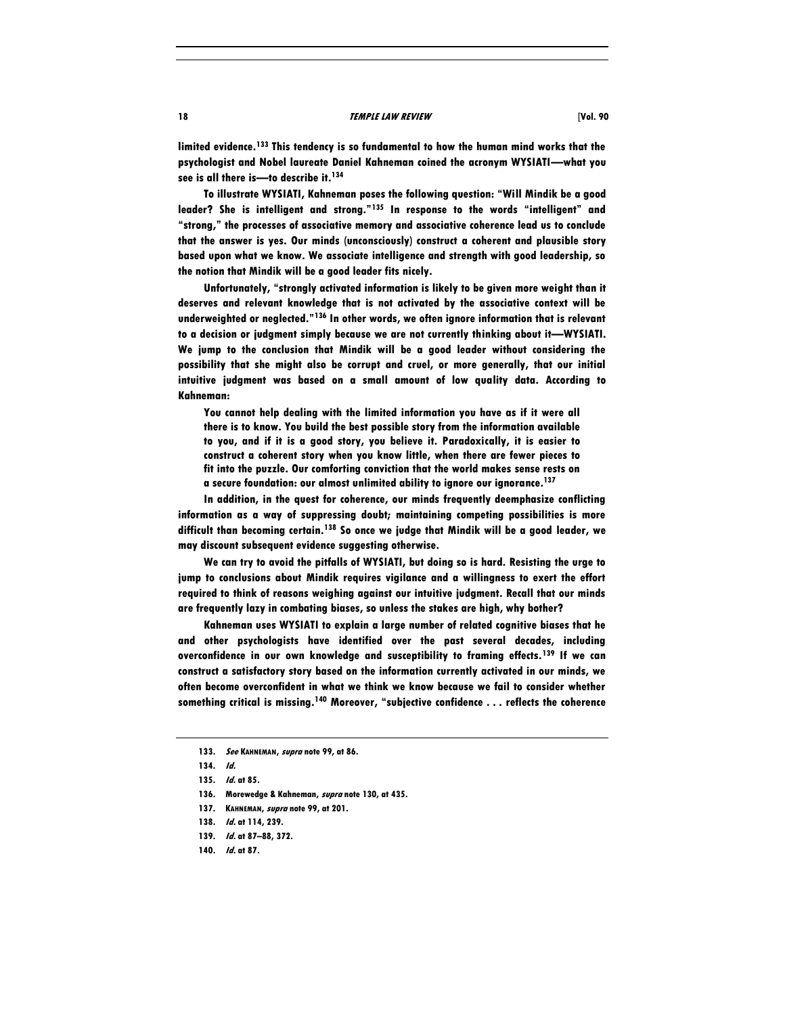**limited evidence.<sup>133</sup> This tendency is so fundamental to how the human mind works that the psychologist and Nobel laureate Daniel Kahneman coined the acronym WYSIATI—what you see is all there is—to describe it.<sup>134</sup>**

**To illustrate WYSIATI, Kahneman poses the following question: "Will Mindik be a good leader? She is intelligent and strong."<sup>135</sup> In response to the words "intelligent" and "strong," the processes of associative memory and associative coherence lead us to conclude that the answer is yes. Our minds (unconsciously) construct a coherent and plausible story based upon what we know. We associate intelligence and strength with good leadership, so the notion that Mindik will be a good leader fits nicely.** 

**Unfortunately, "strongly activated information is likely to be given more weight than it deserves and relevant knowledge that is not activated by the associative context will be underweighted or neglected."<sup>136</sup> In other words, we often ignore information that is relevant to a decision or judgment simply because we are not currently thinking about it—WYSIATI. We jump to the conclusion that Mindik will be a good leader without considering the possibility that she might also be corrupt and cruel, or more generally, that our initial intuitive judgment was based on a small amount of low quality data. According to Kahneman:**

**You cannot help dealing with the limited information you have as if it were all there is to know. You build the best possible story from the information available to you, and if it is a good story, you believe it. Paradoxically, it is easier to construct a coherent story when you know little, when there are fewer pieces to fit into the puzzle. Our comforting conviction that the world makes sense rests on a secure foundation: our almost unlimited ability to ignore our ignorance.<sup>137</sup>**

**In addition, in the quest for coherence, our minds frequently deemphasize conflicting information as a way of suppressing doubt; maintaining competing possibilities is more difficult than becoming certain.<sup>138</sup> So once we judge that Mindik will be a good leader, we may discount subsequent evidence suggesting otherwise.**

**We can try to avoid the pitfalls of WYSIATI, but doing so is hard. Resisting the urge to jump to conclusions about Mindik requires vigilance and a willingness to exert the effort required to think of reasons weighing against our intuitive judgment. Recall that our minds are frequently lazy in combating biases, so unless the stakes are high, why bother?**

**Kahneman uses WYSIATI to explain a large number of related cognitive biases that he and other psychologists have identified over the past several decades, including overconfidence in our own knowledge and susceptibility to framing effects.<sup>139</sup> If we can construct a satisfactory story based on the information currently activated in our minds, we often become overconfident in what we think we know because we fail to consider whether something critical is missing.<sup>140</sup> Moreover, "subjective confidence . . . reflects the coherence** 

**<sup>133.</sup> See KAHNEMAN, supra note 99, at 86.** 

**<sup>134.</sup> Id.**

**<sup>135.</sup> Id. at 85.** 

**<sup>136.</sup> Morewedge & Kahneman, supra note 130, at 435.** 

**<sup>137.</sup> KAHNEMAN, supra note 99, at 201.** 

**<sup>138.</sup> Id. at 114, 239.** 

**<sup>139.</sup> Id. at 87–88, 372.** 

**<sup>140.</sup> Id. at 87.**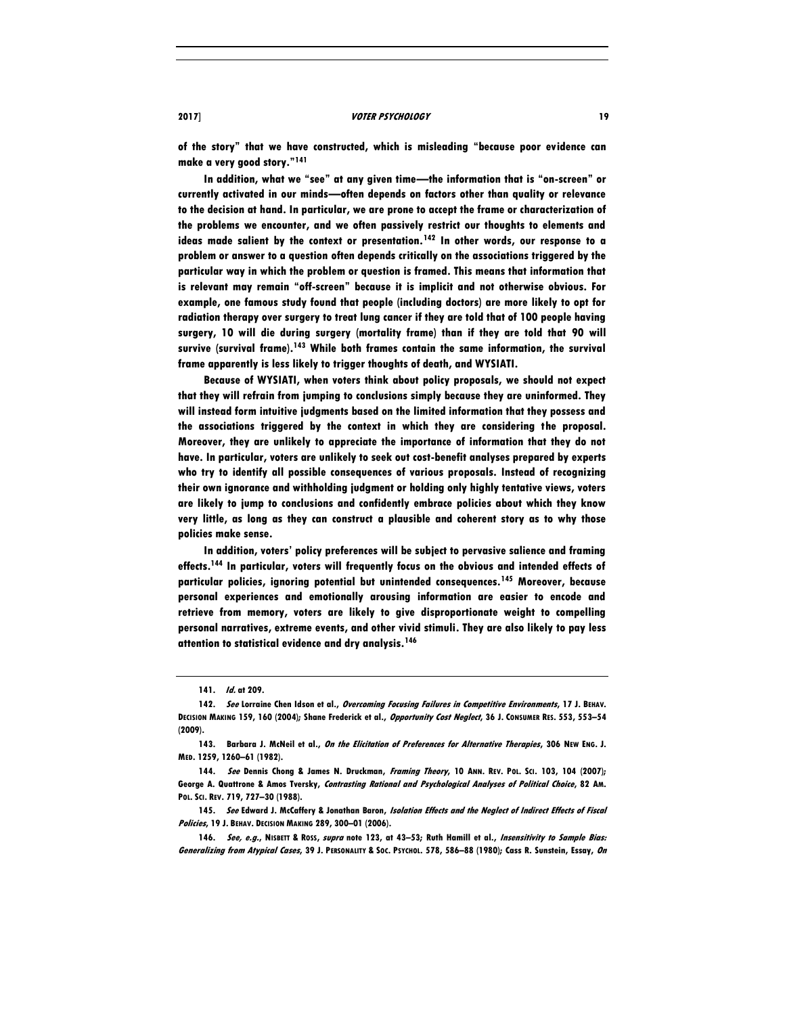**of the story" that we have constructed, which is misleading "because poor evidence can make a very good story."<sup>141</sup>**

**In addition, what we "see" at any given time—the information that is "on-screen" or currently activated in our minds—often depends on factors other than quality or relevance to the decision at hand. In particular, we are prone to accept the frame or characterization of the problems we encounter, and we often passively restrict our thoughts to elements and ideas made salient by the context or presentation.<sup>142</sup> In other words, our response to a problem or answer to a question often depends critically on the associations triggered by the particular way in which the problem or question is framed. This means that information that is relevant may remain "off-screen" because it is implicit and not otherwise obvious. For example, one famous study found that people (including doctors) are more likely to opt for radiation therapy over surgery to treat lung cancer if they are told that of 100 people having surgery, 10 will die during surgery (mortality frame) than if they are told that 90 will survive (survival frame).<sup>143</sup> While both frames contain the same information, the survival frame apparently is less likely to trigger thoughts of death, and WYSIATI.**

**Because of WYSIATI, when voters think about policy proposals, we should not expect that they will refrain from jumping to conclusions simply because they are uninformed. They will instead form intuitive judgments based on the limited information that they possess and the associations triggered by the context in which they are considering the proposal. Moreover, they are unlikely to appreciate the importance of information that they do not have. In particular, voters are unlikely to seek out cost-benefit analyses prepared by experts who try to identify all possible consequences of various proposals. Instead of recognizing their own ignorance and withholding judgment or holding only highly tentative views, voters are likely to jump to conclusions and confidently embrace policies about which they know very little, as long as they can construct a plausible and coherent story as to why those policies make sense.** 

**In addition, voters' policy preferences will be subject to pervasive salience and framing effects. <sup>144</sup> In particular, voters will frequently focus on the obvious and intended effects of particular policies, ignoring potential but unintended consequences.<sup>145</sup> Moreover, because personal experiences and emotionally arousing information are easier to encode and retrieve from memory, voters are likely to give disproportionate weight to compelling personal narratives, extreme events, and other vivid stimuli. They are also likely to pay less attention to statistical evidence and dry analysis.<sup>146</sup>**

**<sup>141.</sup> Id. at 209.** 

**<sup>142.</sup> See Lorraine Chen Idson et al., Overcoming Focusing Failures in Competitive Environments, 17 J. BEHAV. DECISION MAKING 159, 160 (2004); Shane Frederick et al., Opportunity Cost Neglect, 36 J. CONSUMER RES. 553, 553–54 (2009).** 

**<sup>143.</sup> Barbara J. McNeil et al., On the Elicitation of Preferences for Alternative Therapies, 306 NEW ENG. J. MED. 1259, 1260–61 (1982).** 

**<sup>144.</sup> See Dennis Chong & James N. Druckman, Framing Theory, 10 ANN. REV. POL. SCI. 103, 104 (2007); George A. Quattrone & Amos Tversky, Contrasting Rational and Psychological Analyses of Political Choice, 82 AM. POL. SCI. REV. 719, 727–30 (1988).** 

**<sup>145.</sup> See Edward J. McCaffery & Jonathan Baron, Isolation Effects and the Neglect of Indirect Effects of Fiscal Policies, 19 J. BEHAV. DECISION MAKING 289, 300–01 (2006).** 

**<sup>146.</sup> See, e.g., NISBETT & ROSS, supra note 123, at 43–53; Ruth Hamill et al., Insensitivity to Sample Bias: Generalizing from Atypical Cases, 39 J. PERSONALITY & SOC. PSYCHOL. 578, 586–88 (1980); Cass R. Sunstein, Essay, On**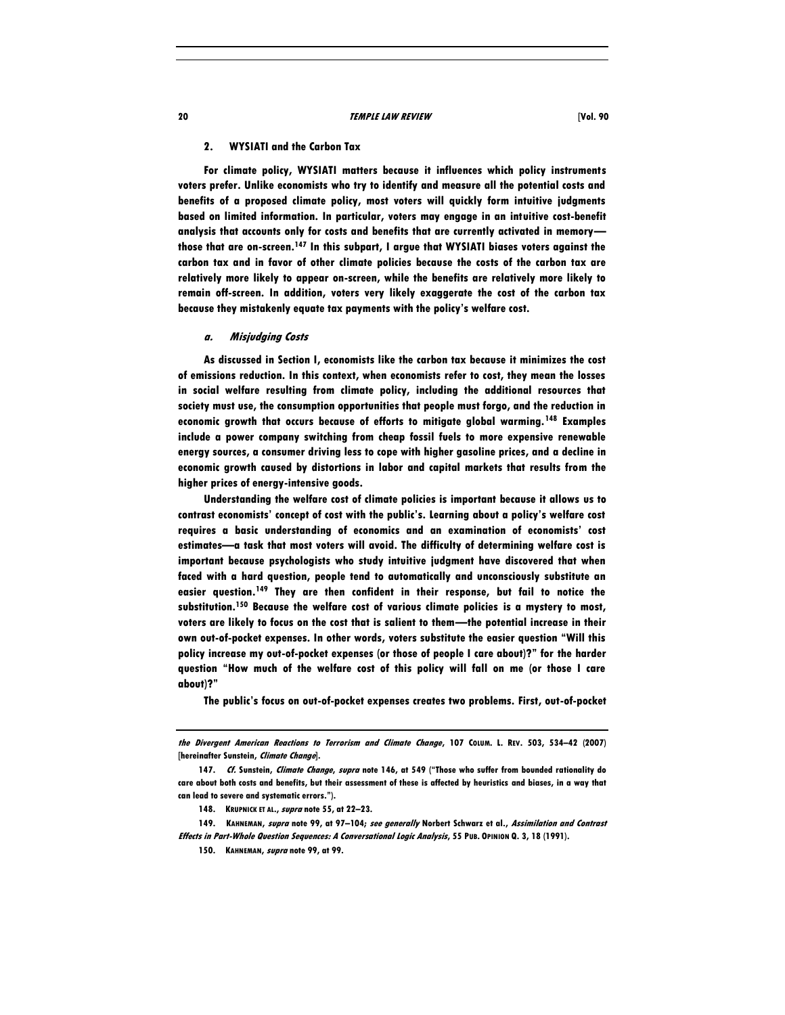## **2. WYSIATI and the Carbon Tax**

**For climate policy, WYSIATI matters because it influences which policy instruments voters prefer. Unlike economists who try to identify and measure all the potential costs and benefits of a proposed climate policy, most voters will quickly form intuitive judgments based on limited information. In particular, voters may engage in an intuitive cost-benefit analysis that accounts only for costs and benefits that are currently activated in memory those that are on-screen.<sup>147</sup> In this subpart, I argue that WYSIATI biases voters against the carbon tax and in favor of other climate policies because the costs of the carbon tax are relatively more likely to appear on-screen, while the benefits are relatively more likely to remain off-screen. In addition, voters very likely exaggerate the cost of the carbon tax because they mistakenly equate tax payments with the policy's welfare cost.**

## **a. Misjudging Costs**

**As discussed in Section I, economists like the carbon tax because it minimizes the cost of emissions reduction. In this context, when economists refer to cost, they mean the losses in social welfare resulting from climate policy, including the additional resources that society must use, the consumption opportunities that people must forgo, and the reduction in economic growth that occurs because of efforts to mitigate global warming.<sup>148</sup> Examples include a power company switching from cheap fossil fuels to more expensive renewable energy sources, a consumer driving less to cope with higher gasoline prices, and a decline in economic growth caused by distortions in labor and capital markets that results from the higher prices of energy-intensive goods.**

**Understanding the welfare cost of climate policies is important because it allows us to contrast economists' concept of cost with the public's. Learning about a policy's welfare cost requires a basic understanding of economics and an examination of economists' cost estimates—a task that most voters will avoid. The difficulty of determining welfare cost is important because psychologists who study intuitive judgment have discovered that when faced with a hard question, people tend to automatically and unconsciously substitute an easier question.<sup>149</sup> They are then confident in their response, but fail to notice the substitution.<sup>150</sup> Because the welfare cost of various climate policies is a mystery to most, voters are likely to focus on the cost that is salient to them—the potential increase in their own out-of-pocket expenses. In other words, voters substitute the easier question "Will this policy increase my out-of-pocket expenses (or those of people I care about)?" for the harder question "How much of the welfare cost of this policy will fall on me (or those I care about)?"**

**The public's focus on out-of-pocket expenses creates two problems. First, out-of-pocket** 

**the Divergent American Reactions to Terrorism and Climate Change, 107 COLUM. L. REV. 503, 534–42 (2007) [hereinafter Sunstein, Climate Change].** 

**<sup>147.</sup> Cf. Sunstein, Climate Change, supra note 146, at 549 ("Those who suffer from bounded rationality do care about both costs and benefits, but their assessment of these is affected by heuristics and biases, in a way that can lead to severe and systematic errors.").** 

**<sup>148.</sup> KRUPNICK ET AL.,supra note 55, at 22–23.** 

**<sup>149.</sup> KAHNEMAN, supra note 99, at 97–104; see generally Norbert Schwarz et al., Assimilation and Contrast Effects in Part-Whole Question Sequences: A Conversational Logic Analysis, 55 PUB. OPINION Q. 3, 18 (1991).** 

**<sup>150.</sup> KAHNEMAN, supra note 99, at 99.**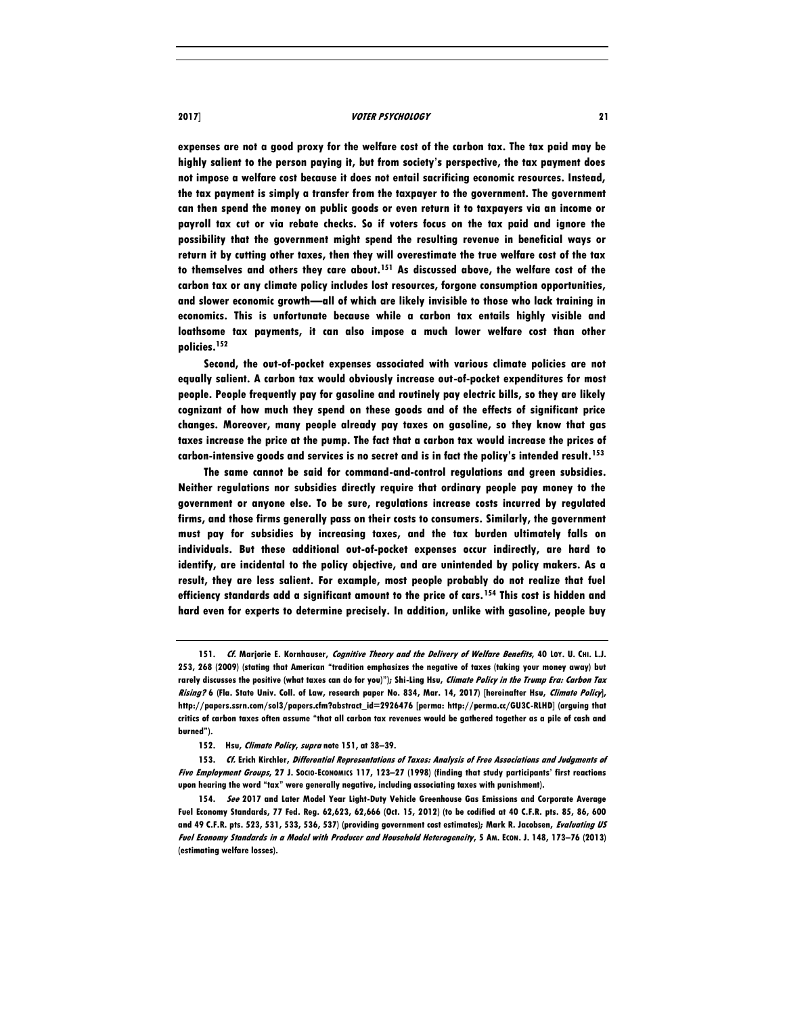**expenses are not a good proxy for the welfare cost of the carbon tax. The tax paid may be highly salient to the person paying it, but from society's perspective, the tax payment does not impose a welfare cost because it does not entail sacrificing economic resources. Instead, the tax payment is simply a transfer from the taxpayer to the government. The government can then spend the money on public goods or even return it to taxpayers via an income or payroll tax cut or via rebate checks. So if voters focus on the tax paid and ignore the possibility that the government might spend the resulting revenue in beneficial ways or return it by cutting other taxes, then they will overestimate the true welfare cost of the tax to themselves and others they care about.<sup>151</sup> As discussed above, the welfare cost of the carbon tax or any climate policy includes lost resources, forgone consumption opportunities, and slower economic growth—all of which are likely invisible to those who lack training in economics. This is unfortunate because while a carbon tax entails highly visible and loathsome tax payments, it can also impose a much lower welfare cost than other policies.<sup>152</sup>**

**Second, the out-of-pocket expenses associated with various climate policies are not equally salient. A carbon tax would obviously increase out-of-pocket expenditures for most people. People frequently pay for gasoline and routinely pay electric bills, so they are likely cognizant of how much they spend on these goods and of the effects of significant price changes. Moreover, many people already pay taxes on gasoline, so they know that gas taxes increase the price at the pump. The fact that a carbon tax would increase the prices of carbon-intensive goods and services is no secret and is in fact the policy's intended result.<sup>153</sup>**

**The same cannot be said for command-and-control regulations and green subsidies. Neither regulations nor subsidies directly require that ordinary people pay money to the government or anyone else. To be sure, regulations increase costs incurred by regulated firms, and those firms generally pass on their costs to consumers. Similarly, the government must pay for subsidies by increasing taxes, and the tax burden ultimately falls on individuals. But these additional out-of-pocket expenses occur indirectly, are hard to identify, are incidental to the policy objective, and are unintended by policy makers. As a result, they are less salient. For example, most people probably do not realize that fuel efficiency standards add a significant amount to the price of cars.<sup>154</sup> This cost is hidden and hard even for experts to determine precisely. In addition, unlike with gasoline, people buy** 

**<sup>151.</sup> Cf. Marjorie E. Kornhauser, Cognitive Theory and the Delivery of Welfare Benefits, 40 LOY. U. CHI. L.J. 253, 268 (2009) (stating that American "tradition emphasizes the negative of taxes (taking your money away) but rarely discusses the positive (what taxes can do for you)"); Shi-Ling Hsu, Climate Policy in the Trump Era: Carbon Tax Rising? 6 (Fla. State Univ. Coll. of Law, research paper No. 834, Mar. 14, 2017) [hereinafter Hsu, Climate Policy], http://papers.ssrn.com/sol3/papers.cfm?abstract\_id=2926476 [perma: http://perma.cc/GU3C-RLHD] (arguing that critics of carbon taxes often assume "that all carbon tax revenues would be gathered together as a pile of cash and burned").** 

**<sup>152.</sup> Hsu, Climate Policy, supra note 151, at 38–39.** 

**<sup>153.</sup> Cf. Erich Kirchler, Differential Representations of Taxes: Analysis of Free Associations and Judgments of Five Employment Groups, 27 J. SOCIO-ECONOMICS 117, 123–27 (1998) (finding that study participants' first reactions upon hearing the word "tax" were generally negative, including associating taxes with punishment).** 

**<sup>154.</sup> See 2017 and Later Model Year Light-Duty Vehicle Greenhouse Gas Emissions and Corporate Average Fuel Economy Standards, 77 Fed. Reg. 62,623, 62,666 (Oct. 15, 2012) (to be codified at 40 C.F.R. pts. 85, 86, 600 and 49 C.F.R. pts. 523, 531, 533, 536, 537) (providing government cost estimates); Mark R. Jacobsen, Evaluating US Fuel Economy Standards in a Model with Producer and Household Heterogeneity, 5 AM. ECON. J. 148, 173–76 (2013) (estimating welfare losses).**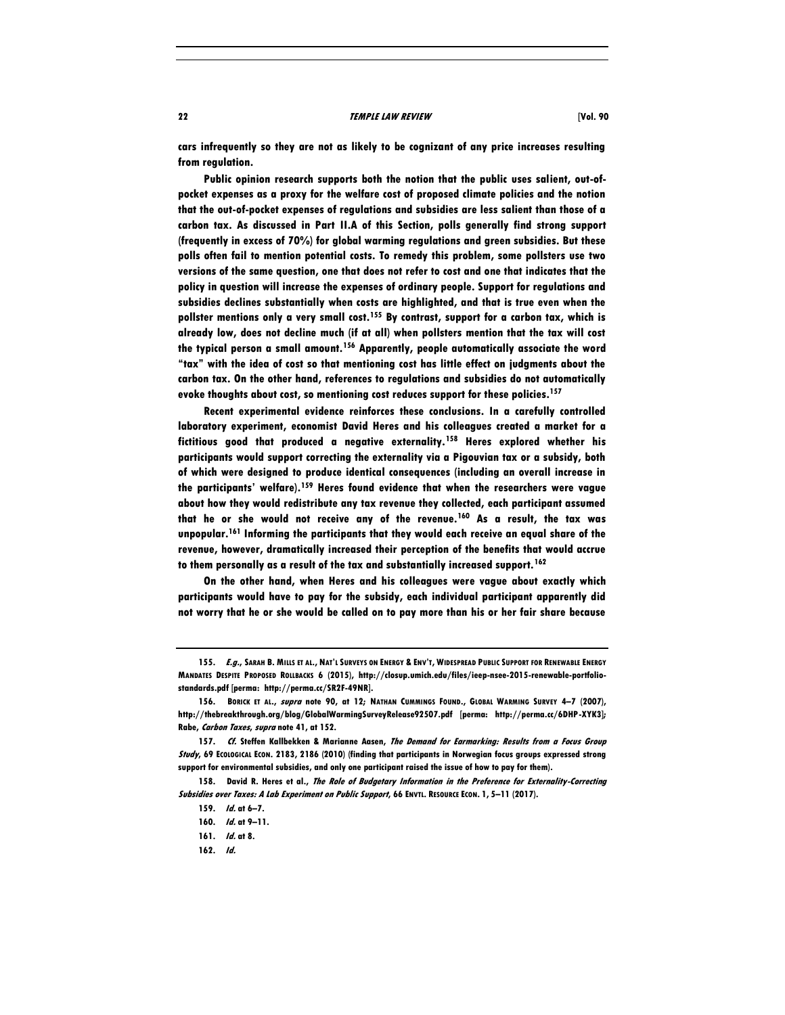**cars infrequently so they are not as likely to be cognizant of any price increases resulting from regulation.**

**Public opinion research supports both the notion that the public uses salient, out-ofpocket expenses as a proxy for the welfare cost of proposed climate policies and the notion that the out-of-pocket expenses of regulations and subsidies are less salient than those of a carbon tax. As discussed in Part II.A of this Section, polls generally find strong support (frequently in excess of 70%) for global warming regulations and green subsidies. But these polls often fail to mention potential costs. To remedy this problem, some pollsters use two versions of the same question, one that does not refer to cost and one that indicates that the policy in question will increase the expenses of ordinary people. Support for regulations and subsidies declines substantially when costs are highlighted, and that is true even when the pollster mentions only a very small cost.<sup>155</sup> By contrast, support for a carbon tax, which is already low, does not decline much (if at all) when pollsters mention that the tax will cost the typical person a small amount.<sup>156</sup> Apparently, people automatically associate the word "tax" with the idea of cost so that mentioning cost has little effect on judgments about the carbon tax. On the other hand, references to regulations and subsidies do not automatically evoke thoughts about cost, so mentioning cost reduces support for these policies.<sup>157</sup>**

**Recent experimental evidence reinforces these conclusions. In a carefully controlled laboratory experiment, economist David Heres and his colleagues created a market for a fictitious good that produced a negative externality.<sup>158</sup> Heres explored whether his participants would support correcting the externality via a Pigouvian tax or a subsidy, both of which were designed to produce identical consequences (including an overall increase in the participants' welfare).<sup>159</sup> Heres found evidence that when the researchers were vague about how they would redistribute any tax revenue they collected, each participant assumed that he or she would not receive any of the revenue.<sup>160</sup> As a result, the tax was unpopular.<sup>161</sup> Informing the participants that they would each receive an equal share of the revenue, however, dramatically increased their perception of the benefits that would accrue to them personally as a result of the tax and substantially increased support.<sup>162</sup>**

**On the other hand, when Heres and his colleagues were vague about exactly which participants would have to pay for the subsidy, each individual participant apparently did not worry that he or she would be called on to pay more than his or her fair share because** 

<sup>155.</sup> *E.g.*, Sarah B. Mills et al., Nat'l Surveys on Energy & Env't, Widespread Public Support for Renewable Energy **MANDATES DESPITE PROPOSED ROLLBACKS 6 (2015), http://closup.umich.edu/files/ieep-nsee-2015-renewable-portfoliostandards.pdf [perma: http://perma.cc/SR2F-49NR].** 

<sup>156.</sup> BORICK ET AL., *supra* note 90, at 12: NATHAN CUMMINGS FOUND., GLOBAL WARMING SURVEY 4-7 (2007). **http://thebreakthrough.org/blog/GlobalWarmingSurveyRelease92507.pdf [perma: http://perma.cc/6DHP-XYK3]; Rabe, Carbon Taxes, supra note 41, at 152.** 

**<sup>157.</sup> Cf. Steffen Kallbekken & Marianne Aasen, The Demand for Earmarking: Results from a Focus Group Study, 69 ECOLOGICAL ECON. 2183, 2186 (2010) (finding that participants in Norwegian focus groups expressed strong support for environmental subsidies, and only one participant raised the issue of how to pay for them).** 

**<sup>158.</sup> David R. Heres et al., The Role of Budgetary Information in the Preference for Externality-Correcting Subsidies over Taxes: A Lab Experiment on Public Support, 66 ENVTL. RESOURCE ECON. 1, 5–11 (2017).** 

**<sup>159.</sup> Id. at 6–7.**

**<sup>160.</sup> Id. at 9–11.** 

**<sup>161.</sup> Id. at 8.**

**<sup>162.</sup> Id.**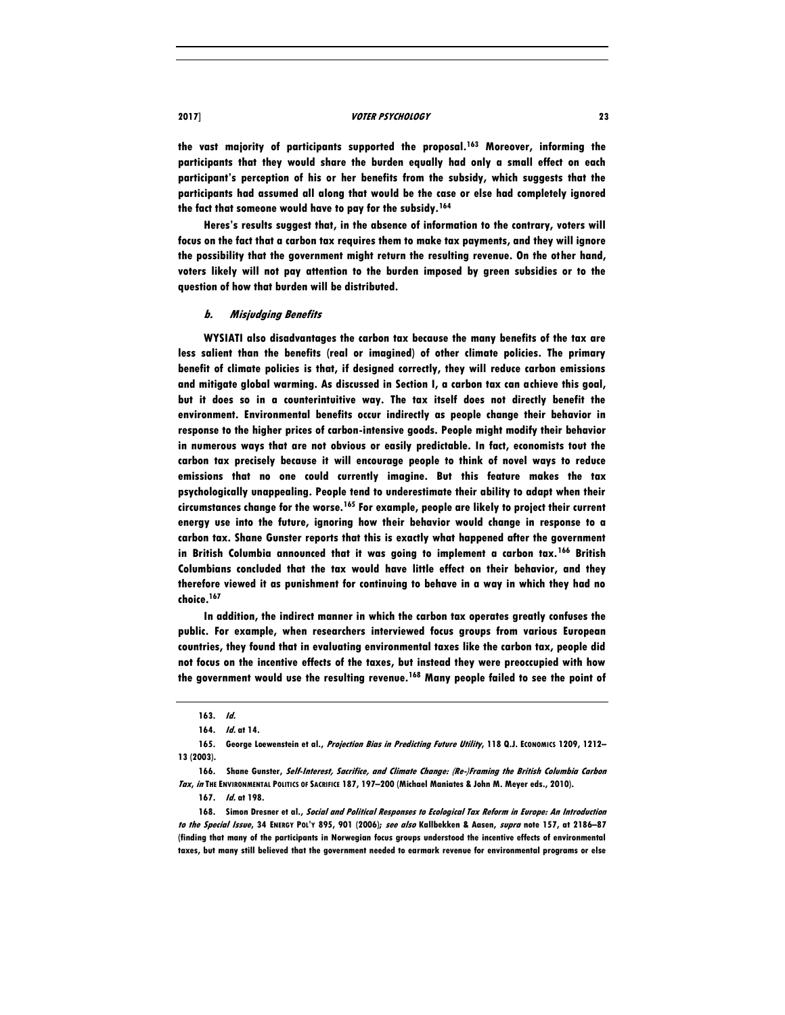**the vast majority of participants supported the proposal.<sup>163</sup> Moreover, informing the participants that they would share the burden equally had only a small effect on each participant's perception of his or her benefits from the subsidy, which suggests that the participants had assumed all along that would be the case or else had completely ignored the fact that someone would have to pay for the subsidy.<sup>164</sup>**

**Heres's results suggest that, in the absence of information to the contrary, voters will focus on the fact that a carbon tax requires them to make tax payments, and they will ignore the possibility that the government might return the resulting revenue. On the other hand, voters likely will not pay attention to the burden imposed by green subsidies or to the question of how that burden will be distributed.** 

## **b. Misjudging Benefits**

**WYSIATI also disadvantages the carbon tax because the many benefits of the tax are less salient than the benefits (real or imagined) of other climate policies. The primary benefit of climate policies is that, if designed correctly, they will reduce carbon emissions and mitigate global warming. As discussed in Section I, a carbon tax can achieve this goal, but it does so in a counterintuitive way. The tax itself does not directly benefit the environment. Environmental benefits occur indirectly as people change their behavior in response to the higher prices of carbon-intensive goods. People might modify their behavior in numerous ways that are not obvious or easily predictable. In fact, economists tout the carbon tax precisely because it will encourage people to think of novel ways to reduce emissions that no one could currently imagine. But this feature makes the tax psychologically unappealing. People tend to underestimate their ability to adapt when their circumstances change for the worse.<sup>165</sup> For example, people are likely to project their current energy use into the future, ignoring how their behavior would change in response to a carbon tax. Shane Gunster reports that this is exactly what happened after the government in British Columbia announced that it was going to implement a carbon tax.<sup>166</sup> British Columbians concluded that the tax would have little effect on their behavior, and they therefore viewed it as punishment for continuing to behave in a way in which they had no choice.<sup>167</sup>**

**In addition, the indirect manner in which the carbon tax operates greatly confuses the public. For example, when researchers interviewed focus groups from various European countries, they found that in evaluating environmental taxes like the carbon tax, people did not focus on the incentive effects of the taxes, but instead they were preoccupied with how the government would use the resulting revenue.<sup>168</sup> Many people failed to see the point of** 

**<sup>163.</sup> Id.** 

**<sup>164.</sup> Id. at 14.** 

**<sup>165.</sup> George Loewenstein et al., Projection Bias in Predicting Future Utility, 118 Q.J. ECONOMICS 1209, 1212– 13 (2003).** 

**<sup>166.</sup> Shane Gunster, Self-Interest, Sacrifice, and Climate Change: (Re-)Framing the British Columbia Carbon Tax, in THE ENVIRONMENTAL POLITICS OF SACRIFICE 187, 197–200 (Michael Maniates & John M. Meyer eds., 2010).** 

**<sup>167.</sup> Id. at 198.**

**<sup>168.</sup> Simon Dresner et al., Social and Political Responses to Ecological Tax Reform in Europe: An Introduction to the Special Issue, 34 ENERGY POL'Y 895, 901 (2006); see also Kallbekken & Aasen, supra note 157, at 2186–87 (finding that many of the participants in Norwegian focus groups understood the incentive effects of environmental taxes, but many still believed that the government needed to earmark revenue for environmental programs or else**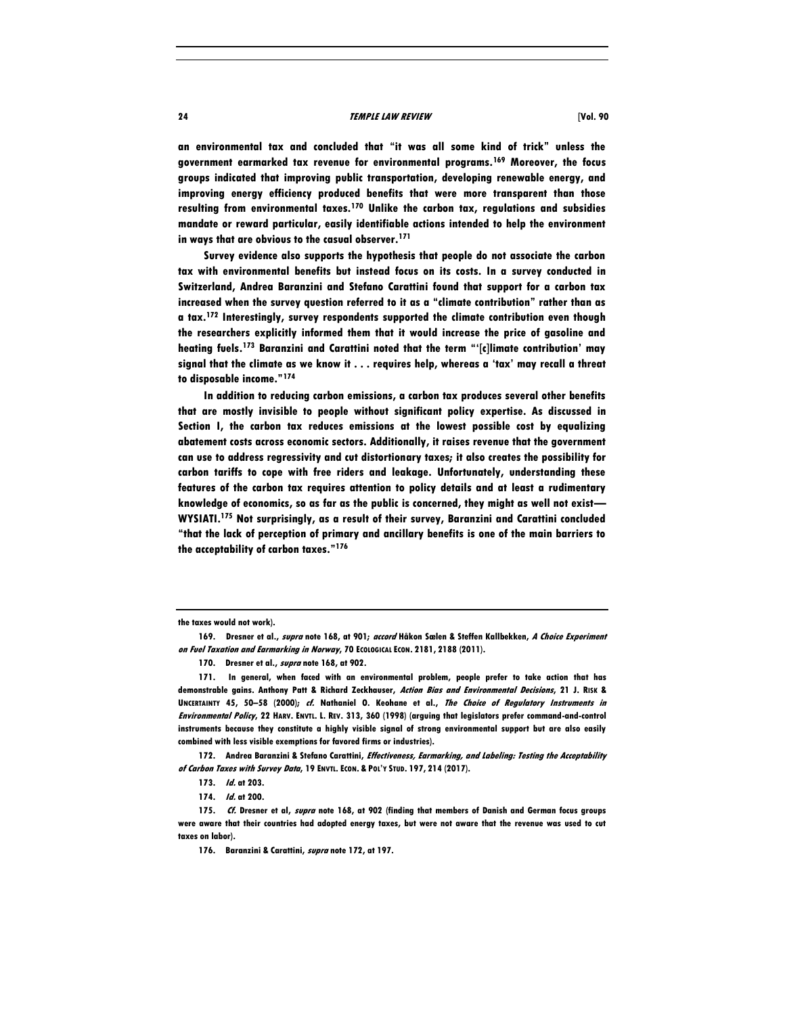**an environmental tax and concluded that "it was all some kind of trick" unless the government earmarked tax revenue for environmental programs.<sup>169</sup> Moreover, the focus groups indicated that improving public transportation, developing renewable energy, and improving energy efficiency produced benefits that were more transparent than those resulting from environmental taxes.<sup>170</sup> Unlike the carbon tax, regulations and subsidies mandate or reward particular, easily identifiable actions intended to help the environment in ways that are obvious to the casual observer.<sup>171</sup>**

**Survey evidence also supports the hypothesis that people do not associate the carbon tax with environmental benefits but instead focus on its costs. In a survey conducted in Switzerland, Andrea Baranzini and Stefano Carattini found that support for a carbon tax increased when the survey question referred to it as a "climate contribution" rather than as a tax.<sup>172</sup> Interestingly, survey respondents supported the climate contribution even though the researchers explicitly informed them that it would increase the price of gasoline and heating fuels.<sup>173</sup> Baranzini and Carattini noted that the term "'[c]limate contribution' may signal that the climate as we know it . . . requires help, whereas a 'tax' may recall a threat to disposable income."<sup>174</sup>**

**In addition to reducing carbon emissions, a carbon tax produces several other benefits that are mostly invisible to people without significant policy expertise. As discussed in Section I, the carbon tax reduces emissions at the lowest possible cost by equalizing abatement costs across economic sectors. Additionally, it raises revenue that the government can use to address regressivity and cut distortionary taxes; it also creates the possibility for carbon tariffs to cope with free riders and leakage. Unfortunately, understanding these features of the carbon tax requires attention to policy details and at least a rudimentary knowledge of economics, so as far as the public is concerned, they might as well not exist— WYSIATI.<sup>175</sup> Not surprisingly, as a result of their survey, Baranzini and Carattini concluded "that the lack of perception of primary and ancillary benefits is one of the main barriers to the acceptability of carbon taxes."<sup>176</sup>**

**the taxes would not work).** 

**<sup>169.</sup> Dresner et al., supra note 168, at 901; accord Håkon Sælen & Steffen Kallbekken, A Choice Experiment on Fuel Taxation and Earmarking in Norway, 70 ECOLOGICAL ECON. 2181, 2188 (2011).** 

**<sup>170.</sup> Dresner et al., supra note 168, at 902.** 

**<sup>171.</sup> In general, when faced with an environmental problem, people prefer to take action that has demonstrable gains. Anthony Patt & Richard Zeckhauser, Action Bias and Environmental Decisions, 21 J. RISK & UNCERTAINTY 45, 50–58 (2000); cf. Nathaniel O. Keohane et al., The Choice of Regulatory Instruments in Environmental Policy, 22 HARV. ENVTL. L. REV. 313, 360 (1998) (arguing that legislators prefer command-and-control instruments because they constitute a highly visible signal of strong environmental support but are also easily combined with less visible exemptions for favored firms or industries).** 

**<sup>172.</sup> Andrea Baranzini & Stefano Carattini, Effectiveness, Earmarking, and Labeling: Testing the Acceptability of Carbon Taxes with Survey Data, 19 ENVTL. ECON. & POL'Y STUD. 197, 214 (2017).** 

**<sup>173.</sup> Id. at 203.** 

**<sup>174.</sup> Id. at 200.** 

**<sup>175.</sup> Cf. Dresner et al, supra note 168, at 902 (finding that members of Danish and German focus groups were aware that their countries had adopted energy taxes, but were not aware that the revenue was used to cut taxes on labor).** 

**<sup>176.</sup> Baranzini & Carattini, supra note 172, at 197.**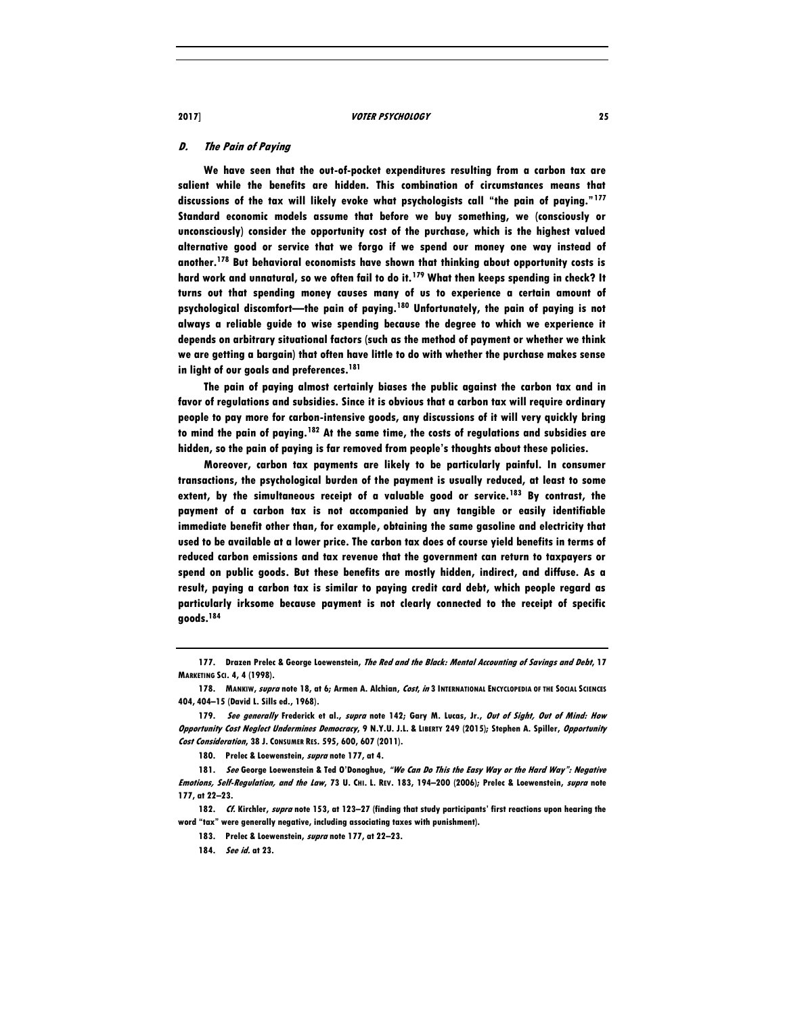## **D. The Pain of Paying**

**We have seen that the out-of-pocket expenditures resulting from a carbon tax are salient while the benefits are hidden. This combination of circumstances means that discussions of the tax will likely evoke what psychologists call "the pain of paying."<sup>177</sup> Standard economic models assume that before we buy something, we (consciously or unconsciously) consider the opportunity cost of the purchase, which is the highest valued alternative good or service that we forgo if we spend our money one way instead of another.<sup>178</sup> But behavioral economists have shown that thinking about opportunity costs is hard work and unnatural, so we often fail to do it.<sup>179</sup> What then keeps spending in check? It turns out that spending money causes many of us to experience a certain amount of psychological discomfort—the pain of paying.<sup>180</sup> Unfortunately, the pain of paying is not always a reliable guide to wise spending because the degree to which we experience it depends on arbitrary situational factors (such as the method of payment or whether we think we are getting a bargain) that often have little to do with whether the purchase makes sense in light of our goals and preferences.<sup>181</sup>**

**The pain of paying almost certainly biases the public against the carbon tax and in favor of regulations and subsidies. Since it is obvious that a carbon tax will require ordinary people to pay more for carbon-intensive goods, any discussions of it will very quickly bring to mind the pain of paying.<sup>182</sup> At the same time, the costs of regulations and subsidies are hidden, so the pain of paying is far removed from people's thoughts about these policies.**

**Moreover, carbon tax payments are likely to be particularly painful. In consumer transactions, the psychological burden of the payment is usually reduced, at least to some extent, by the simultaneous receipt of a valuable good or service.<sup>183</sup> By contrast, the payment of a carbon tax is not accompanied by any tangible or easily identifiable immediate benefit other than, for example, obtaining the same gasoline and electricity that used to be available at a lower price. The carbon tax does of course yield benefits in terms of reduced carbon emissions and tax revenue that the government can return to taxpayers or spend on public goods. But these benefits are mostly hidden, indirect, and diffuse. As a result, paying a carbon tax is similar to paying credit card debt, which people regard as particularly irksome because payment is not clearly connected to the receipt of specific goods.<sup>184</sup>**

**<sup>177.</sup> Drazen Prelec & George Loewenstein, The Red and the Black: Mental Accounting of Savings and Debt, 17 MARKETING SCI. 4, 4 (1998).** 

<sup>178.</sup> MANKIW, *supra* note 18, at 6: Armen A. Alchian, Cost, in 3 INTERNATIONAL ENCYCLOPEDIA OF THE SOCIAL SCIENCES **404, 404–15 (David L. Sills ed., 1968).** 

**<sup>179.</sup> See generally Frederick et al., supra note 142; Gary M. Lucas, Jr., Out of Sight, Out of Mind: How Opportunity Cost Neglect Undermines Democracy, 9 N.Y.U. J.L. & LIBERTY 249 (2015); Stephen A. Spiller, Opportunity Cost Consideration, 38 J. CONSUMER RES. 595, 600, 607 (2011).** 

**<sup>180.</sup> Prelec & Loewenstein, supra note 177, at 4.** 

**<sup>181.</sup> See George Loewenstein & Ted O'Donoghue, "We Can Do This the Easy Way or the Hard Way": Negative Emotions, Self-Regulation, and the Law, 73 U. CHI. L. REV. 183, 194–200 (2006); Prelec & Loewenstein, supra note 177, at 22–23.** 

**<sup>182.</sup> Cf. Kirchler, supra note 153, at 123–27 (finding that study participants' first reactions upon hearing the word "tax" were generally negative, including associating taxes with punishment).** 

**<sup>183.</sup> Prelec & Loewenstein, supra note 177, at 22–23.** 

**<sup>184.</sup> See id. at 23.**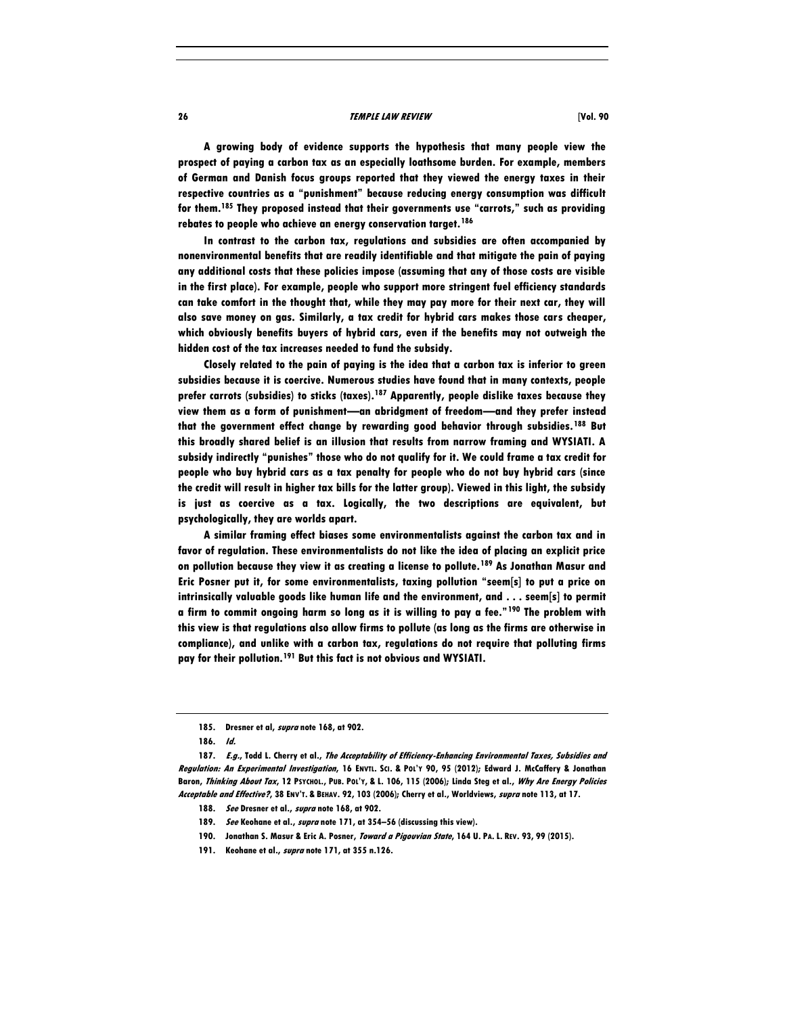**A growing body of evidence supports the hypothesis that many people view the prospect of paying a carbon tax as an especially loathsome burden. For example, members of German and Danish focus groups reported that they viewed the energy taxes in their respective countries as a "punishment" because reducing energy consumption was difficult for them.<sup>185</sup> They proposed instead that their governments use "carrots," such as providing rebates to people who achieve an energy conservation target.<sup>186</sup>**

**In contrast to the carbon tax, regulations and subsidies are often accompanied by nonenvironmental benefits that are readily identifiable and that mitigate the pain of paying any additional costs that these policies impose (assuming that any of those costs are visible in the first place). For example, people who support more stringent fuel efficiency standards can take comfort in the thought that, while they may pay more for their next car, they will also save money on gas. Similarly, a tax credit for hybrid cars makes those cars cheaper, which obviously benefits buyers of hybrid cars, even if the benefits may not outweigh the hidden cost of the tax increases needed to fund the subsidy.** 

**Closely related to the pain of paying is the idea that a carbon tax is inferior to green subsidies because it is coercive. Numerous studies have found that in many contexts, people prefer carrots (subsidies) to sticks (taxes).<sup>187</sup> Apparently, people dislike taxes because they view them as a form of punishment—an abridgment of freedom—and they prefer instead that the government effect change by rewarding good behavior through subsidies.<sup>188</sup> But this broadly shared belief is an illusion that results from narrow framing and WYSIATI. A subsidy indirectly "punishes" those who do not qualify for it. We could frame a tax credit for people who buy hybrid cars as a tax penalty for people who do not buy hybrid cars (since the credit will result in higher tax bills for the latter group). Viewed in this light, the subsidy is just as coercive as a tax. Logically, the two descriptions are equivalent, but psychologically, they are worlds apart.**

**A similar framing effect biases some environmentalists against the carbon tax and in favor of regulation. These environmentalists do not like the idea of placing an explicit price on pollution because they view it as creating a license to pollute.<sup>189</sup> As Jonathan Masur and Eric Posner put it, for some environmentalists, taxing pollution "seem[s] to put a price on intrinsically valuable goods like human life and the environment, and . . . seem[s] to permit a firm to commit ongoing harm so long as it is willing to pay a fee."<sup>190</sup> The problem with this view is that regulations also allow firms to pollute (as long as the firms are otherwise in compliance), and unlike with a carbon tax, regulations do not require that polluting firms pay for their pollution.<sup>191</sup> But this fact is not obvious and WYSIATI.**

**<sup>185.</sup> Dresner et al, supra note 168, at 902.** 

**<sup>186.</sup> Id.**

**<sup>187.</sup> E.g., Todd L. Cherry et al., The Acceptability of Efficiency-Enhancing Environmental Taxes, Subsidies and Regulation: An Experimental Investigation, 16 ENVTL. SCI. & POL'Y 90, 95 (2012); Edward J. McCaffery & Jonathan**  Baron, Thinking About Tax, 12 Psychol., Pus. Pol'y, & L. 106, 115 (2006); Linda Steg et al., Why Are Energy Policies **Acceptable and Effective?, 38 ENV'T. & BEHAV. 92, 103 (2006); Cherry et al., Worldviews, supra note 113, at 17.** 

**<sup>188.</sup> See Dresner et al., supra note 168, at 902.** 

**<sup>189.</sup> See Keohane et al., supra note 171, at 354–56 (discussing this view).** 

**<sup>190.</sup> Jonathan S. Masur & Eric A. Posner, Toward a Pigouvian State, 164 U. PA. L. REV. 93, 99 (2015).** 

**<sup>191.</sup> Keohane et al., supra note 171, at 355 n.126.**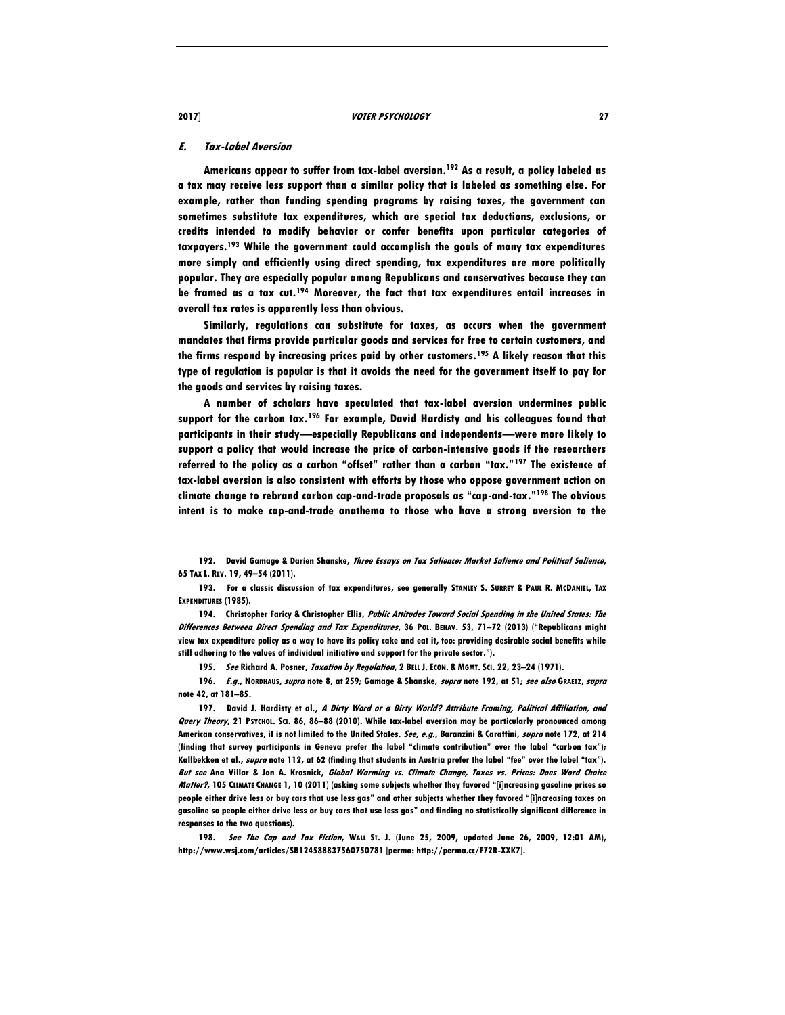## **E. Tax-Label Aversion**

**Americans appear to suffer from tax-label aversion.<sup>192</sup> As a result, a policy labeled as a tax may receive less support than a similar policy that is labeled as something else. For example, rather than funding spending programs by raising taxes, the government can sometimes substitute tax expenditures, which are special tax deductions, exclusions, or credits intended to modify behavior or confer benefits upon particular categories of taxpayers.<sup>193</sup> While the government could accomplish the goals of many tax expenditures more simply and efficiently using direct spending, tax expenditures are more politically popular. They are especially popular among Republicans and conservatives because they can be framed as a tax cut.<sup>194</sup> Moreover, the fact that tax expenditures entail increases in overall tax rates is apparently less than obvious.**

**Similarly, regulations can substitute for taxes, as occurs when the government mandates that firms provide particular goods and services for free to certain customers, and the firms respond by increasing prices paid by other customers.<sup>195</sup> A likely reason that this type of regulation is popular is that it avoids the need for the government itself to pay for the goods and services by raising taxes.**

**A number of scholars have speculated that tax-label aversion undermines public support for the carbon tax.<sup>196</sup> For example, David Hardisty and his colleagues found that participants in their study—especially Republicans and independents—were more likely to support a policy that would increase the price of carbon-intensive goods if the researchers referred to the policy as a carbon "offset" rather than a carbon "tax."<sup>197</sup> The existence of tax-label aversion is also consistent with efforts by those who oppose government action on climate change to rebrand carbon cap-and-trade proposals as "cap-and-tax."<sup>198</sup> The obvious intent is to make cap-and-trade anathema to those who have a strong aversion to the** 

195. See Richard A. Posner, Taxation by Requlation, 2 BELL J. ECON. & MGMT. SCI. 22, 23-24 (1971).

**196. E.g., NORDHAUS, supra note 8, at 259; Gamage & Shanske, supra note 192, at 51; see also GRAETZ, supra note 42, at 181–85.** 

**197. David J. Hardisty et al., A Dirty Word or a Dirty World? Attribute Framing, Political Affiliation, and Query Theory, 21 PSYCHOL. SCI. 86, 86–88 (2010). While tax-label aversion may be particularly pronounced among American conservatives, it is not limited to the United States. See, e.g., Baranzini & Carattini, supra note 172, at 214 (finding that survey participants in Geneva prefer the label "climate contribution" over the label "carbon tax"); Kallbekken et al., supra note 112, at 62 (finding that students in Austria prefer the label "fee" over the label "tax"). But see Ana Villar & Jon A. Krosnick, Global Warming vs. Climate Change, Taxes vs. Prices: Does Word Choice Matter?, 105 CLIMATE CHANGE 1, 10 (2011) (asking some subjects whether they favored "[i]ncreasing gasoline prices so people either drive less or buy cars that use less gas" and other subjects whether they favored "[i]ncreasing taxes on gasoline so people either drive less or buy cars that use less gas" and finding no statistically significant difference in responses to the two questions).** 

**198. See The Cap and Tax Fiction, WALL ST. J. (June 25, 2009, updated June 26, 2009, 12:01 AM), http://www.wsj.com/articles/SB124588837560750781 [perma: http://perma.cc/F72R-XXK7].** 

**<sup>192.</sup> David Gamage & Darien Shanske, Three Essays on Tax Salience: Market Salience and Political Salience, 65 TAX L. REV. 19, 49–54 (2011).** 

<sup>193.</sup> For a classic discussion of tax expenditures, see generally STANLEY S. SURREY & PAUL R. MCDANIEL, TAX **EXPENDITURES (1985).** 

**<sup>194.</sup> Christopher Faricy & Christopher Ellis, Public Attitudes Toward Social Spending in the United States: The Differences Between Direct Spending and Tax Expenditures, 36 POL. BEHAV. 53, 71–72 (2013) ("Republicans might view tax expenditure policy as a way to have its policy cake and eat it, too: providing desirable social benefits while still adhering to the values of individual initiative and support for the private sector.").**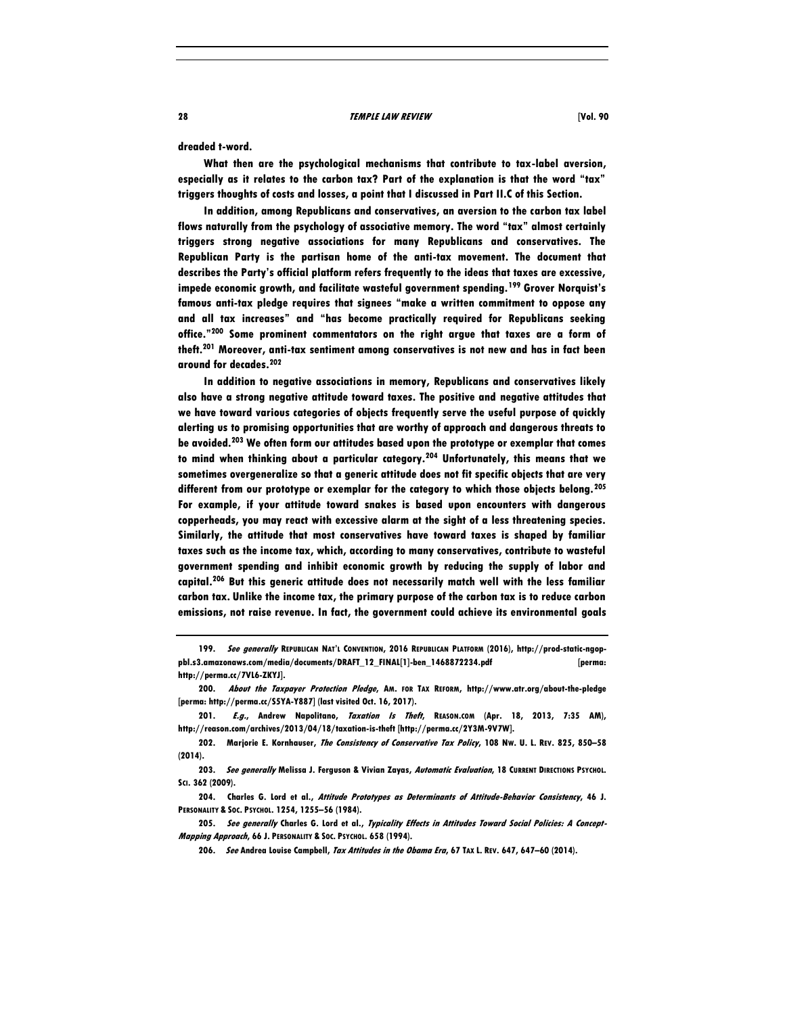**dreaded t-word.**

**What then are the psychological mechanisms that contribute to tax-label aversion, especially as it relates to the carbon tax? Part of the explanation is that the word "tax" triggers thoughts of costs and losses, a point that I discussed in Part II.C of this Section.**

**In addition, among Republicans and conservatives, an aversion to the carbon tax label flows naturally from the psychology of associative memory. The word "tax" almost certainly triggers strong negative associations for many Republicans and conservatives. The Republican Party is the partisan home of the anti-tax movement. The document that describes the Party's official platform refers frequently to the ideas that taxes are excessive, impede economic growth, and facilitate wasteful government spending.<sup>199</sup> Grover Norquist's famous anti-tax pledge requires that signees "make a written commitment to oppose any and all tax increases" and "has become practically required for Republicans seeking office."<sup>200</sup> Some prominent commentators on the right argue that taxes are a form of theft.<sup>201</sup> Moreover, anti-tax sentiment among conservatives is not new and has in fact been around for decades.<sup>202</sup>**

**In addition to negative associations in memory, Republicans and conservatives likely also have a strong negative attitude toward taxes. The positive and negative attitudes that we have toward various categories of objects frequently serve the useful purpose of quickly alerting us to promising opportunities that are worthy of approach and dangerous threats to be avoided.<sup>203</sup> We often form our attitudes based upon the prototype or exemplar that comes to mind when thinking about a particular category.<sup>204</sup> Unfortunately, this means that we sometimes overgeneralize so that a generic attitude does not fit specific objects that are very different from our prototype or exemplar for the category to which those objects belong.<sup>205</sup> For example, if your attitude toward snakes is based upon encounters with dangerous copperheads, you may react with excessive alarm at the sight of a less threatening species. Similarly, the attitude that most conservatives have toward taxes is shaped by familiar taxes such as the income tax, which, according to many conservatives, contribute to wasteful government spending and inhibit economic growth by reducing the supply of labor and capital.<sup>206</sup> But this generic attitude does not necessarily match well with the less familiar carbon tax. Unlike the income tax, the primary purpose of the carbon tax is to reduce carbon emissions, not raise revenue. In fact, the government could achieve its environmental goals** 

<sup>199.</sup> See generally REPUBLICAN NAT'L CONVENTION, 2016 REPUBLICAN PLATFORM (2016), http://prod-static-ngop**pbl.s3.amazonaws.com/media/documents/DRAFT\_12\_FINAL[1]-ben\_1468872234.pdf [perma: http://perma.cc/7VL6-ZKYJ].** 

**<sup>200.</sup> About the Taxpayer Protection Pledge, AM. FOR TAX REFORM, http://www.atr.org/about-the-pledge [perma: http://perma.cc/S5YA-Y887] (last visited Oct. 16, 2017).** 

**<sup>201.</sup> E.g., Andrew Napolitano, Taxation Is Theft, REASON.COM (Apr. 18, 2013, 7:35 AM), http://reason.com/archives/2013/04/18/taxation-is-theft [http://perma.cc/2Y3M-9V7W].** 

**<sup>202.</sup> Marjorie E. Kornhauser, The Consistency of Conservative Tax Policy, 108 NW. U. L. REV. 825, 850–58 (2014).** 

**<sup>203.</sup> See generally Melissa J. Ferguson & Vivian Zayas, Automatic Evaluation, 18 CURRENT DIRECTIONS PSYCHOL. SCI. 362 (2009).** 

**<sup>204.</sup> Charles G. Lord et al., Attitude Prototypes as Determinants of Attitude-Behavior Consistency, 46 J. PERSONALITY & SOC. PSYCHOL. 1254, 1255–56 (1984).** 

**<sup>205.</sup> See generally Charles G. Lord et al., Typicality Effects in Attitudes Toward Social Policies: A Concept-Mapping Approach, 66 J. PERSONALITY & SOC. PSYCHOL. 658 (1994).** 

**<sup>206.</sup> See Andrea Louise Campbell, Tax Attitudes in the Obama Era, 67 TAX L. REV. 647, 647–60 (2014).**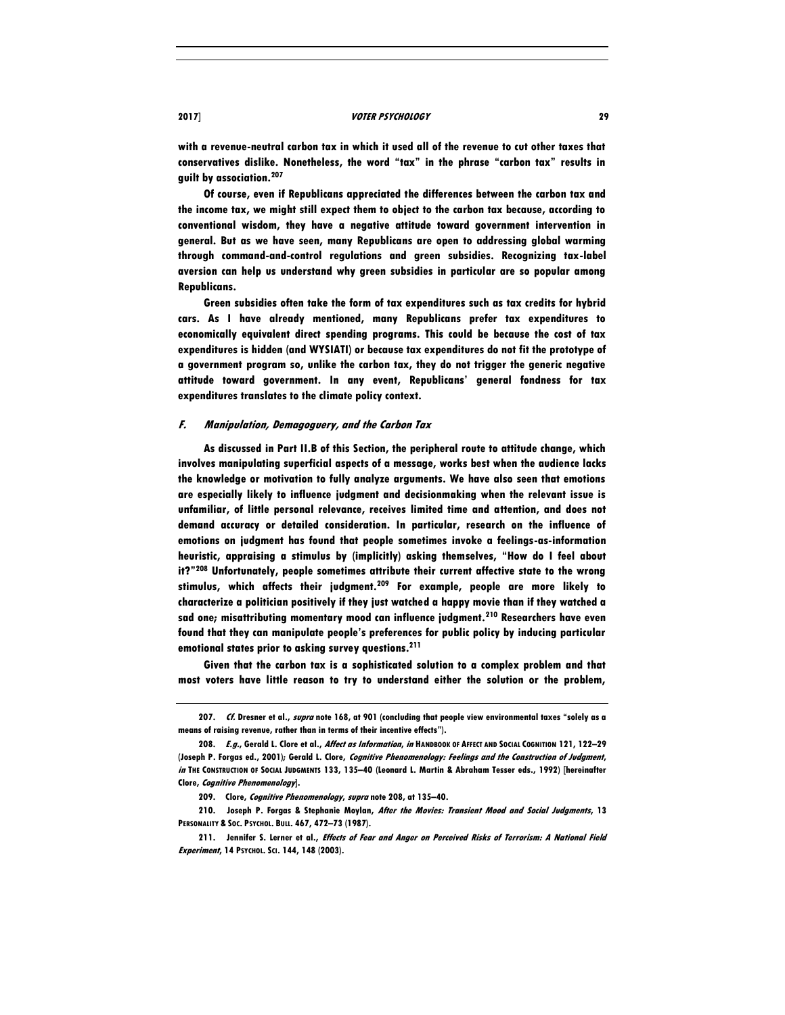**with a revenue-neutral carbon tax in which it used all of the revenue to cut other taxes that conservatives dislike. Nonetheless, the word "tax" in the phrase "carbon tax" results in guilt by association.<sup>207</sup>**

**Of course, even if Republicans appreciated the differences between the carbon tax and the income tax, we might still expect them to object to the carbon tax because, according to conventional wisdom, they have a negative attitude toward government intervention in general. But as we have seen, many Republicans are open to addressing global warming through command-and-control regulations and green subsidies. Recognizing tax-label aversion can help us understand why green subsidies in particular are so popular among Republicans.**

**Green subsidies often take the form of tax expenditures such as tax credits for hybrid cars. As I have already mentioned, many Republicans prefer tax expenditures to economically equivalent direct spending programs. This could be because the cost of tax expenditures is hidden (and WYSIATI) or because tax expenditures do not fit the prototype of a government program so, unlike the carbon tax, they do not trigger the generic negative attitude toward government. In any event, Republicans' general fondness for tax expenditures translates to the climate policy context.**

#### **F. Manipulation, Demagoguery, and the Carbon Tax**

**As discussed in Part II.B of this Section, the peripheral route to attitude change, which involves manipulating superficial aspects of a message, works best when the audience lacks the knowledge or motivation to fully analyze arguments. We have also seen that emotions are especially likely to influence judgment and decisionmaking when the relevant issue is unfamiliar, of little personal relevance, receives limited time and attention, and does not demand accuracy or detailed consideration. In particular, research on the influence of emotions on judgment has found that people sometimes invoke a feelings-as-information heuristic, appraising a stimulus by (implicitly) asking themselves, "How do I feel about it?"<sup>208</sup> Unfortunately, people sometimes attribute their current affective state to the wrong stimulus, which affects their judgment.<sup>209</sup> For example, people are more likely to characterize a politician positively if they just watched a happy movie than if they watched a sad one; misattributing momentary mood can influence judgment.<sup>210</sup> Researchers have even found that they can manipulate people's preferences for public policy by inducing particular emotional states prior to asking survey questions.<sup>211</sup>**

**Given that the carbon tax is a sophisticated solution to a complex problem and that most voters have little reason to try to understand either the solution or the problem,** 

**<sup>207.</sup> Cf. Dresner et al., supra note 168, at 901 (concluding that people view environmental taxes "solely as a means of raising revenue, rather than in terms of their incentive effects").** 

<sup>208.</sup> E.q., Gerald L. Clore et al., Affect as Information, in HANDBOOK OF AFFECT AND SOCIAL COGNITION 121, 122-29 **(Joseph P. Forgas ed., 2001); Gerald L. Clore, Cognitive Phenomenology: Feelings and the Construction of Judgment, in THE CONSTRUCTION OF SOCIAL JUDGMENTS 133, 135–40 (Leonard L. Martin & Abraham Tesser eds., 1992) [hereinafter Clore, Cognitive Phenomenology].** 

**<sup>209.</sup> Clore, Cognitive Phenomenology, supra note 208, at 135–40.** 

**<sup>210.</sup> Joseph P. Forgas & Stephanie Moylan, After the Movies: Transient Mood and Social Judgments, 13 PERSONALITY & SOC. PSYCHOL. BULL. 467, 472–73 (1987).** 

**<sup>211.</sup> Jennifer S. Lerner et al., Effects of Fear and Anger on Perceived Risks of Terrorism: A National Field Experiment, 14 PSYCHOL. SCI. 144, 148 (2003).**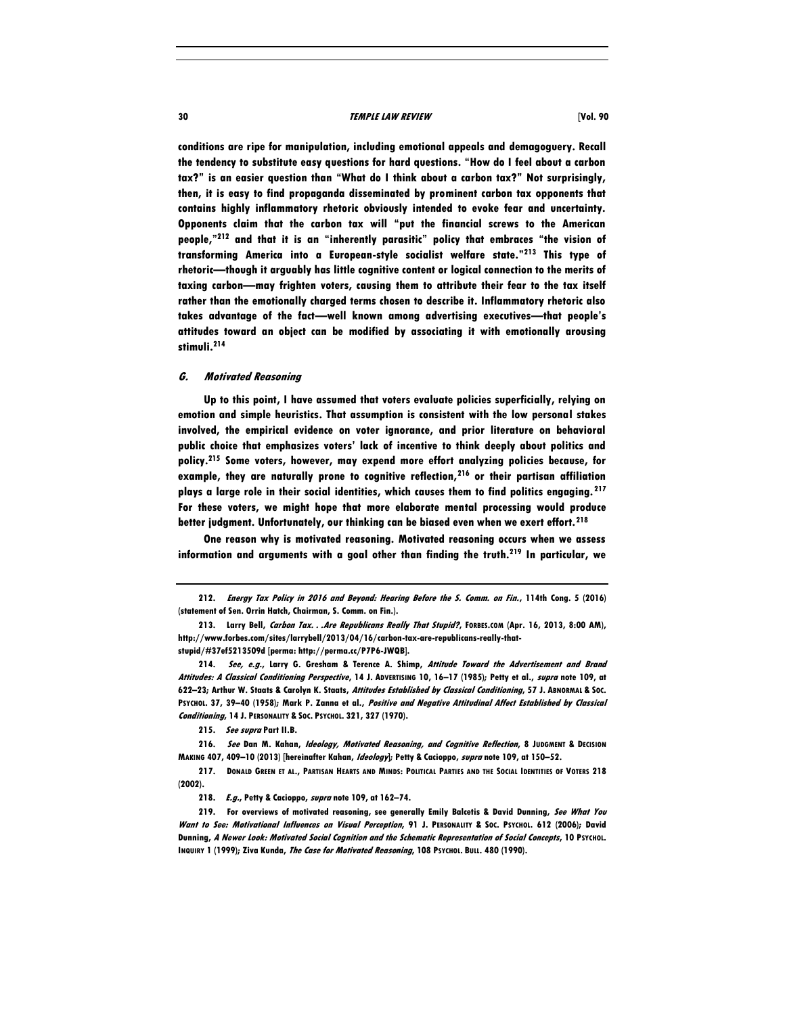**conditions are ripe for manipulation, including emotional appeals and demagoguery. Recall the tendency to substitute easy questions for hard questions. "How do I feel about a carbon tax?" is an easier question than "What do I think about a carbon tax?" Not surprisingly, then, it is easy to find propaganda disseminated by prominent carbon tax opponents that contains highly inflammatory rhetoric obviously intended to evoke fear and uncertainty. Opponents claim that the carbon tax will "put the financial screws to the American people,"<sup>212</sup> and that it is an "inherently parasitic" policy that embraces "the vision of transforming America into a European-style socialist welfare state." <sup>213</sup> This type of rhetoric—though it arguably has little cognitive content or logical connection to the merits of taxing carbon—may frighten voters, causing them to attribute their fear to the tax itself rather than the emotionally charged terms chosen to describe it. Inflammatory rhetoric also takes advantage of the fact—well known among advertising executives—that people's attitudes toward an object can be modified by associating it with emotionally arousing stimuli.<sup>214</sup>**

#### **G. Motivated Reasoning**

**Up to this point, I have assumed that voters evaluate policies superficially, relying on emotion and simple heuristics. That assumption is consistent with the low personal stakes involved, the empirical evidence on voter ignorance, and prior literature on behavioral public choice that emphasizes voters' lack of incentive to think deeply about politics and policy.<sup>215</sup> Some voters, however, may expend more effort analyzing policies because, for example, they are naturally prone to cognitive reflection,<sup>216</sup> or their partisan affiliation plays a large role in their social identities, which causes them to find politics engaging. <sup>217</sup> For these voters, we might hope that more elaborate mental processing would produce better judgment. Unfortunately, our thinking can be biased even when we exert effort.<sup>218</sup>**

**One reason why is motivated reasoning. Motivated reasoning occurs when we assess information and arguments with a goal other than finding the truth.<sup>219</sup> In particular, we** 

**215. See supra Part II.B.**

**216. See Dan M. Kahan, Ideology, Motivated Reasoning, and Cognitive Reflection, 8 JUDGMENT & DECISION MAKING 407, 409–10 (2013) [hereinafter Kahan, Ideology]; Petty & Cacioppo, supra note 109, at 150–52.** 

217. DONALD GREEN ET AL., PARTISAN HEARTS AND MINDS: POLITICAL PARTIES AND THE SOCIAL IDENTITIES OF VOTERS 218 **(2002).** 

**218. E.g., Petty & Cacioppo, supra note 109, at 162–74.** 

**219. For overviews of motivated reasoning, see generally Emily Balcetis & David Dunning, See What You Want to See: Motivational Influences on Visual Perception, 91 J. PERSONALITY & SOC. PSYCHOL. 612 (2006); David Dunning, A Newer Look: Motivated Social Cognition and the Schematic Representation of Social Concepts, 10 PSYCHOL. INQUIRY 1 (1999); Ziva Kunda, The Case for Motivated Reasoning, 108 PSYCHOL. BULL. 480 (1990).** 

**<sup>212.</sup> Energy Tax Policy in 2016 and Beyond: Hearing Before the S. Comm. on Fin., 114th Cong. 5 (2016) (statement of Sen. Orrin Hatch, Chairman, S. Comm. on Fin.).** 

**<sup>213.</sup> Larry Bell, Carbon Tax. . .Are Republicans Really That Stupid?, FORBES.COM (Apr. 16, 2013, 8:00 AM), http://www.forbes.com/sites/larrybell/2013/04/16/carbon-tax-are-republicans-really-thatstupid/#37ef5213509d [perma: http://perma.cc/P7P6-JWQB].**

**<sup>214.</sup> See, e.g., Larry G. Gresham & Terence A. Shimp, Attitude Toward the Advertisement and Brand Attitudes: A Classical Conditioning Perspective, 14 J. ADVERTISING 10, 16–17 (1985); Petty et al., supra note 109, at 622–23; Arthur W. Staats & Carolyn K. Staats, Attitudes Established by Classical Conditioning, 57 J. ABNORMAL & SOC. PSYCHOL. 37, 39–40 (1958); Mark P. Zanna et al., Positive and Negative Attitudinal Affect Established by Classical Conditioning, 14 J. PERSONALITY & SOC. PSYCHOL. 321, 327 (1970).**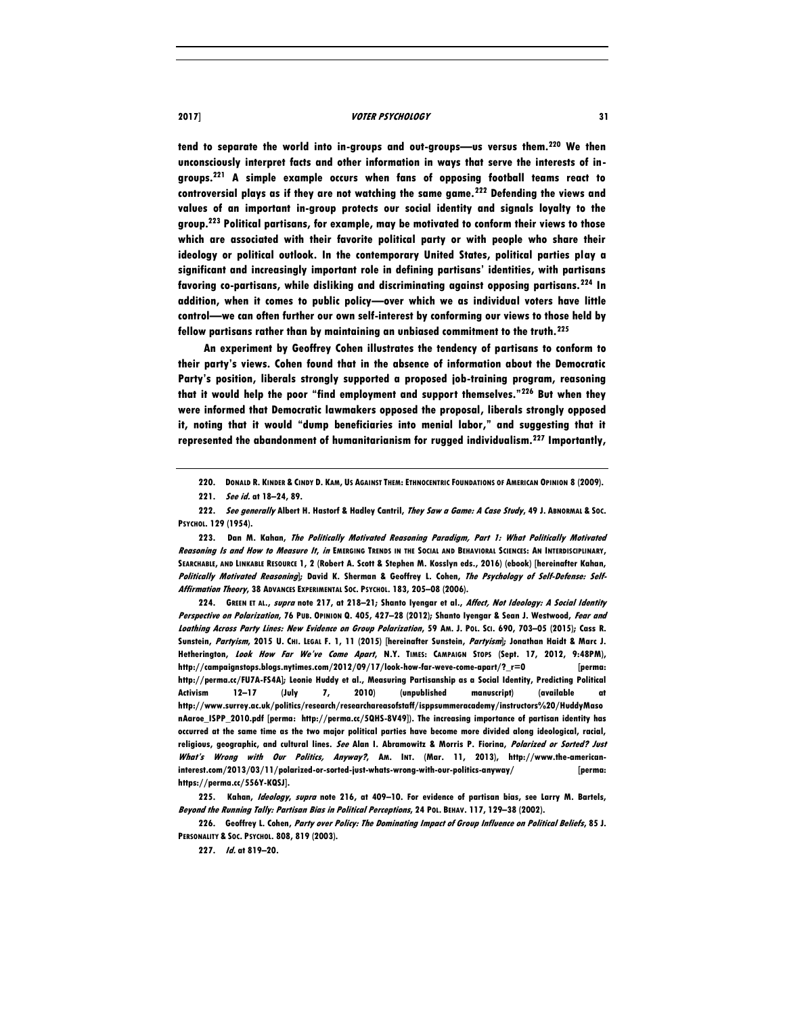**tend to separate the world into in-groups and out-groups—us versus them.<sup>220</sup> We then unconsciously interpret facts and other information in ways that serve the interests of ingroups.<sup>221</sup> A simple example occurs when fans of opposing football teams react to controversial plays as if they are not watching the same game.<sup>222</sup> Defending the views and values of an important in-group protects our social identity and signals loyalty to the group.<sup>223</sup> Political partisans, for example, may be motivated to conform their views to those which are associated with their favorite political party or with people who share their ideology or political outlook. In the contemporary United States, political parties play a significant and increasingly important role in defining partisans' identities, with partisans favoring co-partisans, while disliking and discriminating against opposing partisans.<sup>224</sup> In addition, when it comes to public policy—over which we as individual voters have little control—we can often further our own self-interest by conforming our views to those held by fellow partisans rather than by maintaining an unbiased commitment to the truth.<sup>225</sup>**

**An experiment by Geoffrey Cohen illustrates the tendency of partisans to conform to their party's views. Cohen found that in the absence of information about the Democratic Party's position, liberals strongly supported a proposed job-training program, reasoning that it would help the poor "find employment and support themselves."<sup>226</sup> But when they were informed that Democratic lawmakers opposed the proposal, liberals strongly opposed it, noting that it would "dump beneficiaries into menial labor," and suggesting that it represented the abandonment of humanitarianism for rugged individualism.<sup>227</sup> Importantly,** 

**223. Dan M. Kahan, The Politically Motivated Reasoning Paradigm, Part 1: What Politically Motivated**  Reasoning Is and How to Measure It, in EMERGING TRENDS IN THE SOCIAL AND BEHAVIORAL SCIENCES: AN INTERDISCIPLINARY, **SEARCHABLE, AND LINKABLE RESOURCE 1, 2 (Robert A. Scott & Stephen M. Kosslyn eds., 2016) (ebook) [hereinafter Kahan, Politically Motivated Reasoning]; David K. Sherman & Geoffrey L. Cohen, The Psychology of Self-Defense: Self-Affirmation Theory, 38 ADVANCES EXPERIMENTAL SOC. PSYCHOL. 183, 205–08 (2006).** 

**224. GREEN ET AL., supra note 217, at 218–21; Shanto Iyengar et al., Affect, Not Ideology: A Social Identity Perspective on Polarization, 76 PUB. OPINION Q. 405, 427–28 (2012); Shanto Iyengar & Sean J. Westwood, Fear and Loathing Across Party Lines: New Evidence on Group Polarization, 59 AM. J. POL. SCI. 690, 703–05 (2015); Cass R. Sunstein, Partyism, 2015 U. CHI. LEGAL F. 1, 11 (2015) [hereinafter Sunstein, Partyism]; Jonathan Haidt & Marc J. Hetherington, Look How Far We've Come Apart, N.Y. TIMES: CAMPAIGN STOPS (Sept. 17, 2012, 9:48PM), http://campaignstops.blogs.nytimes.com/2012/09/17/look-how-far-weve-come-apart/?\_r=0 [perma: http://perma.cc/FU7A-FS4A]; Leonie Huddy et al., Measuring Partisanship as a Social Identity, Predicting Political Activism 12–17 (July 7, 2010) (unpublished manuscript) (available at http://www.surrey.ac.uk/politics/research/researchareasofstaff/isppsummeracademy/instructors%20/HuddyMaso nAaroe\_ISPP\_2010.pdf [perma: http://perma.cc/5QHS-8V49]). The increasing importance of partisan identity has occurred at the same time as the two major political parties have become more divided along ideological, racial, religious, geographic, and cultural lines. See Alan I. Abramowitz & Morris P. Fiorina, Polarized or Sorted? Just What's Wrong with Our Politics, Anyway?, AM. INT. (Mar. 11, 2013), http://www.the-americaninterest.com/2013/03/11/polarized-or-sorted-just-whats-wrong-with-our-politics-anyway/ [perma: https://perma.cc/556Y-KQSJ].** 

**226. Geoffrey L. Cohen, Party over Policy: The Dominating Impact of Group Influence on Political Beliefs, 85 J. PERSONALITY & SOC. PSYCHOL. 808, 819 (2003).** 

**227. Id. at 819–20.** 

<sup>220.</sup> DONALD R. KINDER & CINDY D. KAM. US AGAINST THEM: ETHNOCENTRIC FOUNDATIONS OF AMERICAN OPINION 8 (2009).

**<sup>221.</sup> See id. at 18–24, 89.**

**<sup>222.</sup> See generally Albert H. Hastorf & Hadley Cantril, They Saw a Game: A Case Study, 49 J. ABNORMAL & SOC. PSYCHOL. 129 (1954).** 

**<sup>225.</sup> Kahan, Ideology, supra note 216, at 409–10. For evidence of partisan bias, see Larry M. Bartels, Beyond the Running Tally: Partisan Bias in Political Perceptions, 24 POL. BEHAV. 117, 129–38 (2002).**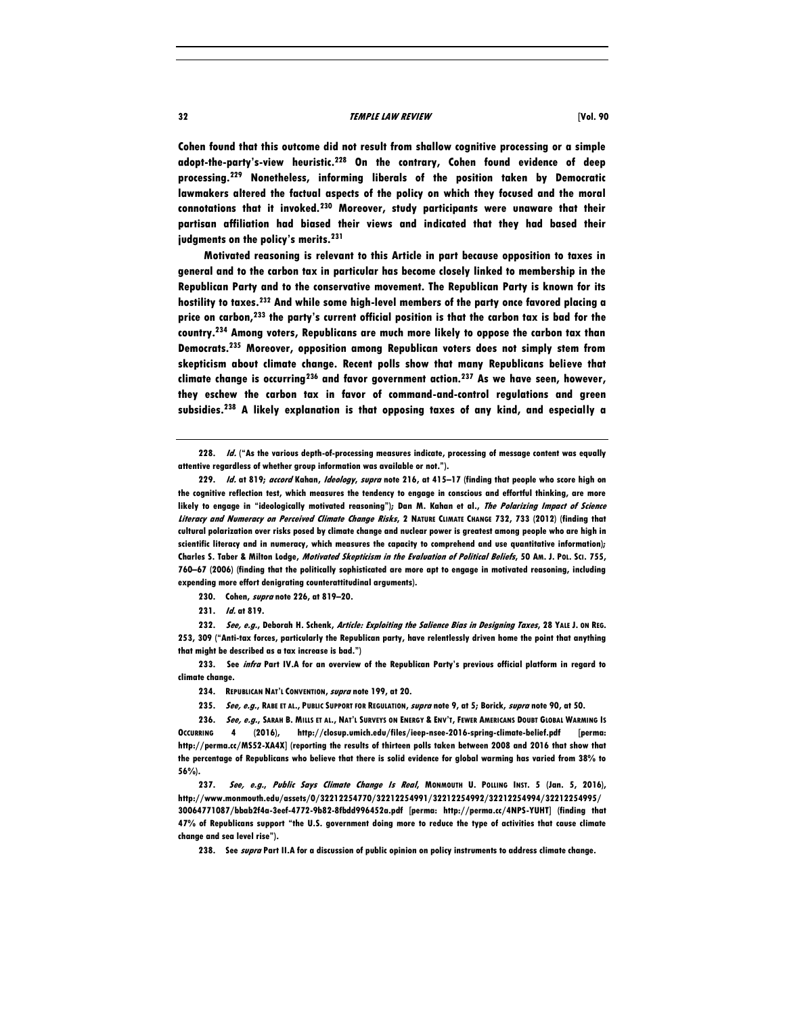**Cohen found that this outcome did not result from shallow cognitive processing or a simple adopt-the-party's-view heuristic.<sup>228</sup> On the contrary, Cohen found evidence of deep processing.<sup>229</sup> Nonetheless, informing liberals of the position taken by Democratic lawmakers altered the factual aspects of the policy on which they focused and the moral connotations that it invoked.<sup>230</sup> Moreover, study participants were unaware that their partisan affiliation had biased their views and indicated that they had based their judgments on the policy's merits.<sup>231</sup>**

**Motivated reasoning is relevant to this Article in part because opposition to taxes in general and to the carbon tax in particular has become closely linked to membership in the Republican Party and to the conservative movement. The Republican Party is known for its hostility to taxes.<sup>232</sup> And while some high-level members of the party once favored placing a price on carbon,<sup>233</sup> the party's current official position is that the carbon tax is bad for the country.<sup>234</sup> Among voters, Republicans are much more likely to oppose the carbon tax than Democrats.<sup>235</sup> Moreover, opposition among Republican voters does not simply stem from skepticism about climate change. Recent polls show that many Republicans believe that climate change is occurring<sup>236</sup> and favor government action.<sup>237</sup> As we have seen, however, they eschew the carbon tax in favor of command-and-control regulations and green subsidies.<sup>238</sup> A likely explanation is that opposing taxes of any kind, and especially a** 

**230. Cohen, supra note 226, at 819–20.** 

**231. Id. at 819.** 

**232. See, e.g., Deborah H. Schenk, Article: Exploiting the Salience Bias in Designing Taxes, 28 YALE J. ON REG. 253, 309 ("Anti-tax forces, particularly the Republican party, have relentlessly driven home the point that anything that might be described as a tax increase is bad.")**

**233. See infra Part IV.A for an overview of the Republican Party's previous official platform in regard to climate change.** 

**234. REPUBLICAN NAT'L CONVENTION,supra note 199, at 20.** 

**235. See, e.g., RABE ET AL., PUBLIC SUPPORT FOR REGULATION,supra note 9, at 5; Borick, supra note 90, at 50.** 

**238. See supra Part II.A for a discussion of public opinion on policy instruments to address climate change.** 

**<sup>228.</sup> Id. ("As the various depth-of-processing measures indicate, processing of message content was equally attentive regardless of whether group information was available or not.").** 

**<sup>229.</sup> Id. at 819; accord Kahan, Ideology, supra note 216, at 415–17 (finding that people who score high on the cognitive reflection test, which measures the tendency to engage in conscious and effortful thinking, are more likely to engage in "ideologically motivated reasoning"); Dan M. Kahan et al., The Polarizing Impact of Science Literacy and Numeracy on Perceived Climate Change Risks, 2 NATURE CLIMATE CHANGE 732, 733 (2012) (finding that cultural polarization over risks posed by climate change and nuclear power is greatest among people who are high in scientific literacy and in numeracy, which measures the capacity to comprehend and use quantitative information); Charles S. Taber & Milton Lodge, Motivated Skepticism in the Evaluation of Political Beliefs, 50 AM. J. POL. SCI. 755, 760–67 (2006) (finding that the politically sophisticated are more apt to engage in motivated reasoning, including expending more effort denigrating counterattitudinal arguments).** 

<sup>236.</sup> See, e.g., SARAH B. MILLS ET AL., NAT'L SURVEYS ON ENERGY & ENV'T, FEWER AMERICANS DOUBT GLOBAL WARMING IS **OCCURRING 4 (2016), http://closup.umich.edu/files/ieep-nsee-2016-spring-climate-belief.pdf [perma: http://perma.cc/MS52-XA4X] (reporting the results of thirteen polls taken between 2008 and 2016 that show that the percentage of Republicans who believe that there is solid evidence for global warming has varied from 38% to 56%).** 

**<sup>237.</sup> See, e.g., Public Says Climate Change Is Real, MONMOUTH U. POLLING INST. 5 (Jan. 5, 2016), http://www.monmouth.edu/assets/0/32212254770/32212254991/32212254992/32212254994/32212254995/ 30064771087/bbab2f4a-3eef-4772-9b82-8fbdd996452a.pdf [perma: http://perma.cc/4NPS-YUHT] (finding that 47% of Republicans support "the U.S. government doing more to reduce the type of activities that cause climate change and sea level rise").**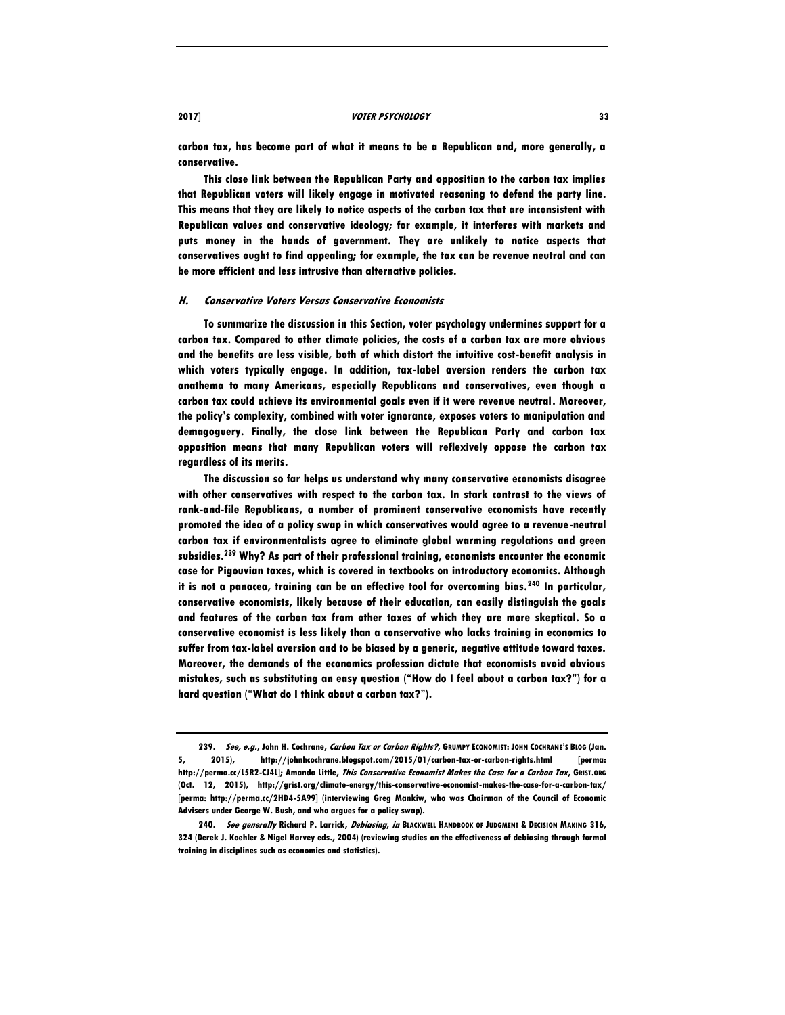**carbon tax, has become part of what it means to be a Republican and, more generally, a conservative.**

**This close link between the Republican Party and opposition to the carbon tax implies that Republican voters will likely engage in motivated reasoning to defend the party line. This means that they are likely to notice aspects of the carbon tax that are inconsistent with Republican values and conservative ideology; for example, it interferes with markets and puts money in the hands of government. They are unlikely to notice aspects that conservatives ought to find appealing; for example, the tax can be revenue neutral and can be more efficient and less intrusive than alternative policies.**

#### **H. Conservative Voters Versus Conservative Economists**

**To summarize the discussion in this Section, voter psychology undermines support for a carbon tax. Compared to other climate policies, the costs of a carbon tax are more obvious and the benefits are less visible, both of which distort the intuitive cost-benefit analysis in which voters typically engage. In addition, tax-label aversion renders the carbon tax anathema to many Americans, especially Republicans and conservatives, even though a carbon tax could achieve its environmental goals even if it were revenue neutral. Moreover, the policy's complexity, combined with voter ignorance, exposes voters to manipulation and demagoguery. Finally, the close link between the Republican Party and carbon tax opposition means that many Republican voters will reflexively oppose the carbon tax regardless of its merits.**

**The discussion so far helps us understand why many conservative economists disagree with other conservatives with respect to the carbon tax. In stark contrast to the views of rank-and-file Republicans, a number of prominent conservative economists have recently promoted the idea of a policy swap in which conservatives would agree to a revenue-neutral carbon tax if environmentalists agree to eliminate global warming regulations and green subsidies.<sup>239</sup> Why? As part of their professional training, economists encounter the economic case for Pigouvian taxes, which is covered in textbooks on introductory economics. Although it is not a panacea, training can be an effective tool for overcoming bias.<sup>240</sup> In particular, conservative economists, likely because of their education, can easily distinguish the goals and features of the carbon tax from other taxes of which they are more skeptical. So a conservative economist is less likely than a conservative who lacks training in economics to suffer from tax-label aversion and to be biased by a generic, negative attitude toward taxes. Moreover, the demands of the economics profession dictate that economists avoid obvious mistakes, such as substituting an easy question ("How do I feel about a carbon tax?") for a hard question ("What do I think about a carbon tax?").**

<sup>239.</sup> See, e.g., John H. Cochrane, Carbon Tax or Carbon Rights?, GRUMPY ECONOMIST: JOHN COCHRANE'S BLOG (Jan. **5, 2015), http://johnhcochrane.blogspot.com/2015/01/carbon-tax-or-carbon-rights.html [perma: http://perma.cc/L5R2-CJ4L]; Amanda Little, This Conservative Economist Makes the Case for a Carbon Tax, GRIST.ORG (Oct. 12, 2015), http://grist.org/climate-energy/this-conservative-economist-makes-the-case-for-a-carbon-tax/ [perma: http://perma.cc/2HD4-5A99] (interviewing Greg Mankiw, who was Chairman of the Council of Economic Advisers under George W. Bush, and who argues for a policy swap).** 

<sup>240.</sup> See generally Richard P. Larrick, Debiasing, in BLACKWELL HANDBOOK OF JUDGMENT & DECISION MAKING 316, **324 (Derek J. Koehler & Nigel Harvey eds., 2004) (reviewing studies on the effectiveness of debiasing through formal training in disciplines such as economics and statistics).**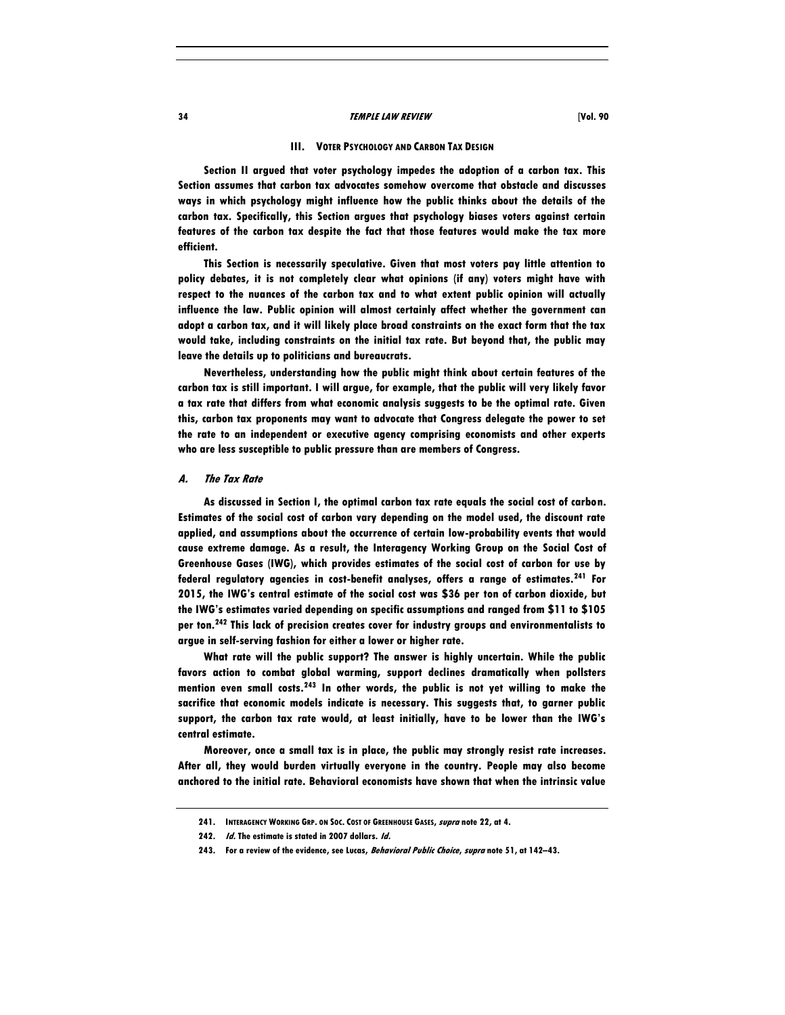## **III. VOTER PSYCHOLOGY AND CARBON TAX DESIGN**

**Section II argued that voter psychology impedes the adoption of a carbon tax. This Section assumes that carbon tax advocates somehow overcome that obstacle and discusses ways in which psychology might influence how the public thinks about the details of the carbon tax. Specifically, this Section argues that psychology biases voters against certain features of the carbon tax despite the fact that those features would make the tax more efficient.**

**This Section is necessarily speculative. Given that most voters pay little attention to policy debates, it is not completely clear what opinions (if any) voters might have with respect to the nuances of the carbon tax and to what extent public opinion will actually influence the law. Public opinion will almost certainly affect whether the government can adopt a carbon tax, and it will likely place broad constraints on the exact form that the tax would take, including constraints on the initial tax rate. But beyond that, the public may leave the details up to politicians and bureaucrats.**

**Nevertheless, understanding how the public might think about certain features of the carbon tax is still important. I will argue, for example, that the public will very likely favor a tax rate that differs from what economic analysis suggests to be the optimal rate. Given this, carbon tax proponents may want to advocate that Congress delegate the power to set the rate to an independent or executive agency comprising economists and other experts who are less susceptible to public pressure than are members of Congress.**

## **A. The Tax Rate**

**As discussed in Section I, the optimal carbon tax rate equals the social cost of carbon. Estimates of the social cost of carbon vary depending on the model used, the discount rate applied, and assumptions about the occurrence of certain low-probability events that would cause extreme damage. As a result, the Interagency Working Group on the Social Cost of Greenhouse Gases (IWG), which provides estimates of the social cost of carbon for use by federal regulatory agencies in cost-benefit analyses, offers a range of estimates.<sup>241</sup> For 2015, the IWG's central estimate of the social cost was \$36 per ton of carbon dioxide, but the IWG's estimates varied depending on specific assumptions and ranged from \$11 to \$105 per ton.<sup>242</sup> This lack of precision creates cover for industry groups and environmentalists to argue in self-serving fashion for either a lower or higher rate.**

**What rate will the public support? The answer is highly uncertain. While the public favors action to combat global warming, support declines dramatically when pollsters mention even small costs.<sup>243</sup> In other words, the public is not yet willing to make the sacrifice that economic models indicate is necessary. This suggests that, to garner public support, the carbon tax rate would, at least initially, have to be lower than the IWG's central estimate.**

**Moreover, once a small tax is in place, the public may strongly resist rate increases. After all, they would burden virtually everyone in the country. People may also become anchored to the initial rate. Behavioral economists have shown that when the intrinsic value** 

<sup>241.</sup> INTERAGENCY WORKING GRP. ON SOC. COST OF GREENHOUSE GASES, supra note 22, at 4.

**<sup>242.</sup> Id. The estimate is stated in 2007 dollars. Id.**

**<sup>243.</sup> For a review of the evidence, see Lucas, Behavioral Public Choice, supra note 51, at 142–43.**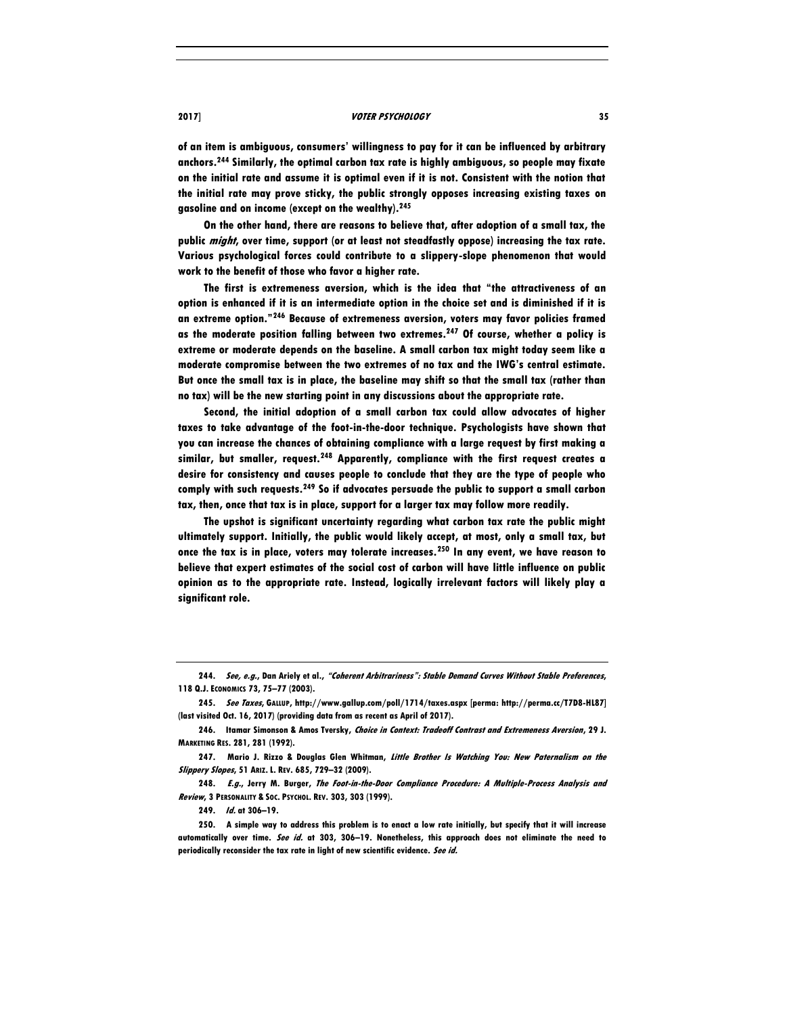**of an item is ambiguous, consumers' willingness to pay for it can be influenced by arbitrary anchors.<sup>244</sup> Similarly, the optimal carbon tax rate is highly ambiguous, so people may fixate on the initial rate and assume it is optimal even if it is not. Consistent with the notion that the initial rate may prove sticky, the public strongly opposes increasing existing taxes on gasoline and on income (except on the wealthy).<sup>245</sup>**

**On the other hand, there are reasons to believe that, after adoption of a small tax, the public might, over time, support (or at least not steadfastly oppose) increasing the tax rate. Various psychological forces could contribute to a slippery-slope phenomenon that would work to the benefit of those who favor a higher rate.**

**The first is extremeness aversion, which is the idea that "the attractiveness of an option is enhanced if it is an intermediate option in the choice set and is diminished if it is an extreme option."<sup>246</sup> Because of extremeness aversion, voters may favor policies framed as the moderate position falling between two extremes.<sup>247</sup> Of course, whether a policy is extreme or moderate depends on the baseline. A small carbon tax might today seem like a moderate compromise between the two extremes of no tax and the IWG's central estimate. But once the small tax is in place, the baseline may shift so that the small tax (rather than no tax) will be the new starting point in any discussions about the appropriate rate.** 

**Second, the initial adoption of a small carbon tax could allow advocates of higher taxes to take advantage of the foot-in-the-door technique. Psychologists have shown that you can increase the chances of obtaining compliance with a large request by first making a similar, but smaller, request.<sup>248</sup> Apparently, compliance with the first request creates a desire for consistency and causes people to conclude that they are the type of people who comply with such requests.<sup>249</sup> So if advocates persuade the public to support a small carbon tax, then, once that tax is in place, support for a larger tax may follow more readily.**

**The upshot is significant uncertainty regarding what carbon tax rate the public might ultimately support. Initially, the public would likely accept, at most, only a small tax, but once the tax is in place, voters may tolerate increases.<sup>250</sup> In any event, we have reason to believe that expert estimates of the social cost of carbon will have little influence on public opinion as to the appropriate rate. Instead, logically irrelevant factors will likely play a significant role.**

**<sup>244.</sup> See, e.g., Dan Ariely et al., "Coherent Arbitrariness": Stable Demand Curves Without Stable Preferences, 118 Q.J. ECONOMICS 73, 75–77 (2003).** 

**<sup>245.</sup> See Taxes, GALLUP, http://www.gallup.com/poll/1714/taxes.aspx [perma: http://perma.cc/T7D8-HL87] (last visited Oct. 16, 2017) (providing data from as recent as April of 2017).** 

**<sup>246.</sup> Itamar Simonson & Amos Tversky, Choice in Context: Tradeoff Contrast and Extremeness Aversion, 29 J. MARKETING RES. 281, 281 (1992).** 

**<sup>247.</sup> Mario J. Rizzo & Douglas Glen Whitman, Little Brother Is Watching You: New Paternalism on the Slippery Slopes, 51 ARIZ. L. REV. 685, 729–32 (2009).** 

**<sup>248.</sup> E.g., Jerry M. Burger, The Foot-in-the-Door Compliance Procedure: A Multiple-Process Analysis and Review, 3 PERSONALITY & SOC. PSYCHOL. REV. 303, 303 (1999).** 

**<sup>249.</sup> Id. at 306–19.** 

**<sup>250.</sup> A simple way to address this problem is to enact a low rate initially, but specify that it will increase automatically over time. See id. at 303, 306–19. Nonetheless, this approach does not eliminate the need to periodically reconsider the tax rate in light of new scientific evidence. See id.**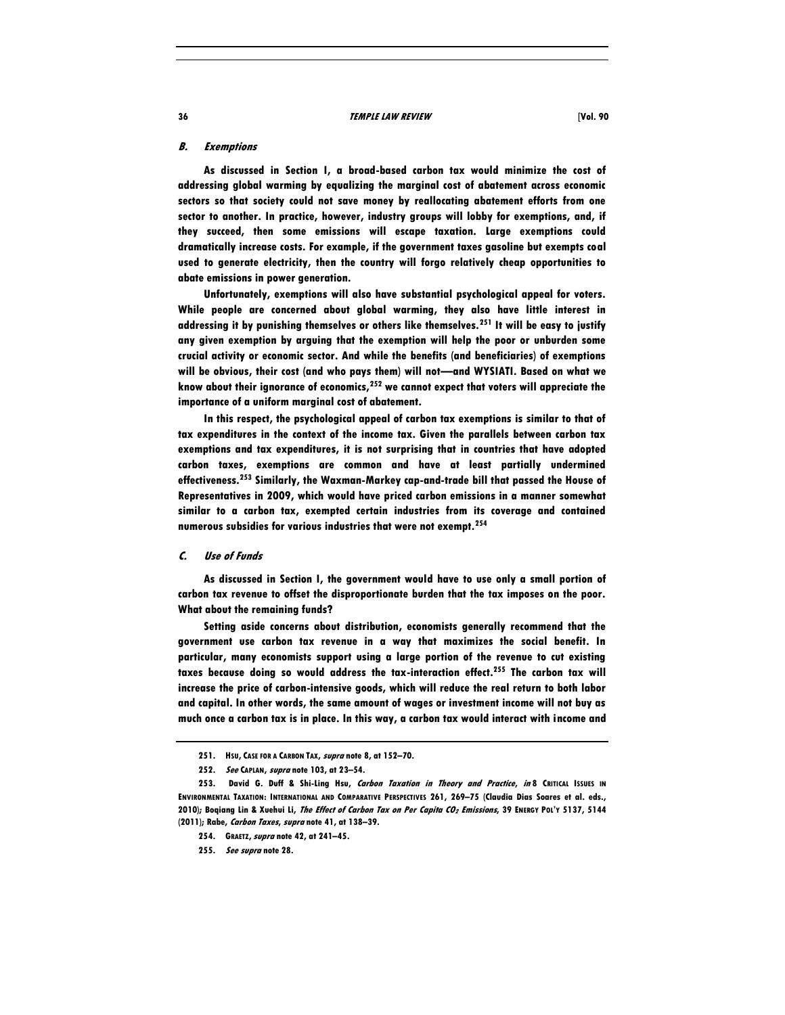#### **B. Exemptions**

**As discussed in Section I, a broad-based carbon tax would minimize the cost of addressing global warming by equalizing the marginal cost of abatement across economic sectors so that society could not save money by reallocating abatement efforts from one sector to another. In practice, however, industry groups will lobby for exemptions, and, if they succeed, then some emissions will escape taxation. Large exemptions could dramatically increase costs. For example, if the government taxes gasoline but exempts coal used to generate electricity, then the country will forgo relatively cheap opportunities to abate emissions in power generation.**

**Unfortunately, exemptions will also have substantial psychological appeal for voters. While people are concerned about global warming, they also have little interest in addressing it by punishing themselves or others like themselves.<sup>251</sup> It will be easy to justify any given exemption by arguing that the exemption will help the poor or unburden some crucial activity or economic sector. And while the benefits (and beneficiaries) of exemptions will be obvious, their cost (and who pays them) will not—and WYSIATI. Based on what we know about their ignorance of economics,<sup>252</sup> we cannot expect that voters will appreciate the importance of a uniform marginal cost of abatement.**

**In this respect, the psychological appeal of carbon tax exemptions is similar to that of tax expenditures in the context of the income tax. Given the parallels between carbon tax exemptions and tax expenditures, it is not surprising that in countries that have adopted carbon taxes, exemptions are common and have at least partially undermined effectiveness.<sup>253</sup> Similarly, the Waxman-Markey cap-and-trade bill that passed the House of Representatives in 2009, which would have priced carbon emissions in a manner somewhat similar to a carbon tax, exempted certain industries from its coverage and contained numerous subsidies for various industries that were not exempt.<sup>254</sup>**

## **C. Use of Funds**

**As discussed in Section I, the government would have to use only a small portion of carbon tax revenue to offset the disproportionate burden that the tax imposes on the poor. What about the remaining funds?**

**Setting aside concerns about distribution, economists generally recommend that the government use carbon tax revenue in a way that maximizes the social benefit. In particular, many economists support using a large portion of the revenue to cut existing taxes because doing so would address the tax-interaction effect.<sup>255</sup> The carbon tax will increase the price of carbon-intensive goods, which will reduce the real return to both labor and capital. In other words, the same amount of wages or investment income will not buy as much once a carbon tax is in place. In this way, a carbon tax would interact with income and** 

**<sup>251.</sup> HSU, CASE FOR A CARBON TAX, supra note 8, at 152–70.** 

**<sup>252.</sup> See CAPLAN, supra note 103, at 23–54.** 

**<sup>253.</sup> David G. Duff & Shi-Ling Hsu, Carbon Taxation in Theory and Practice, in 8 CRITICAL ISSUES IN ENVIRONMENTAL TAXATION: INTERNATIONAL AND COMPARATIVE PERSPECTIVES 261, 269–75 (Claudia Dias Soares et al. eds., 2010); Boqiang Lin & Xuehui Li, The Effect of Carbon Tax on Per Capita CO<sup>2</sup> Emissions, 39 ENERGY POL'Y 5137, 5144 (2011); Rabe, Carbon Taxes, supra note 41, at 138–39.** 

**<sup>254.</sup> GRAETZ,supra note 42, at 241–45.** 

**<sup>255.</sup> See supra note 28.**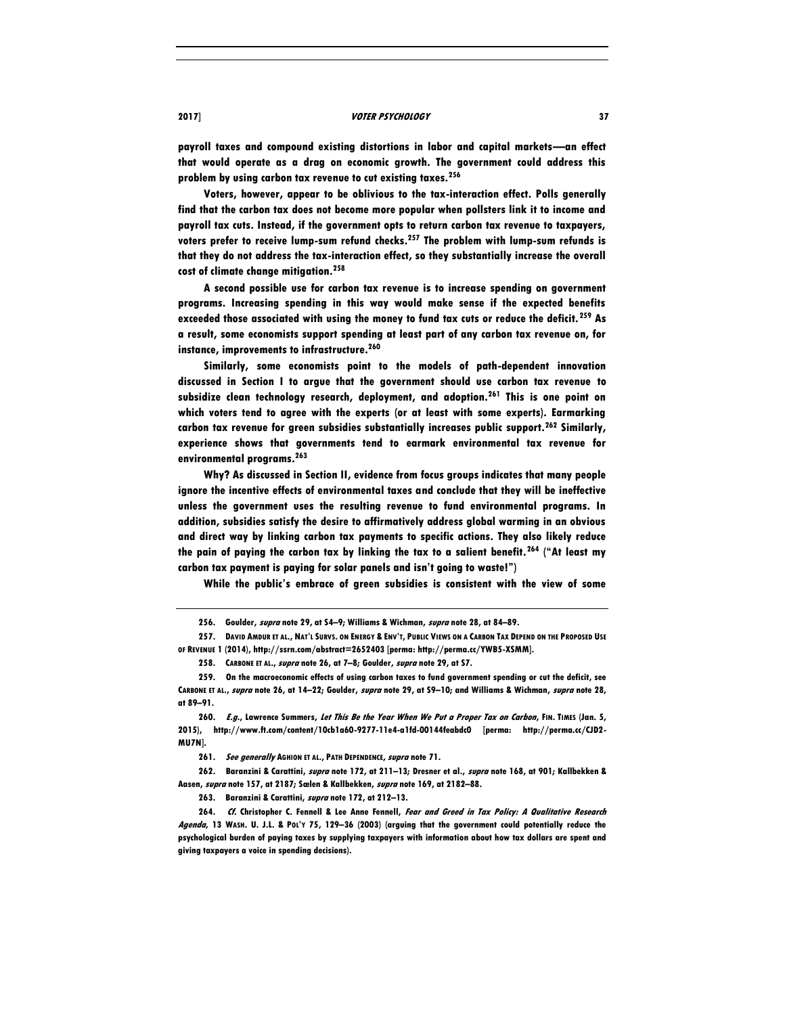**payroll taxes and compound existing distortions in labor and capital markets—an effect that would operate as a drag on economic growth. The government could address this problem by using carbon tax revenue to cut existing taxes.<sup>256</sup>**

**Voters, however, appear to be oblivious to the tax-interaction effect. Polls generally find that the carbon tax does not become more popular when pollsters link it to income and payroll tax cuts. Instead, if the government opts to return carbon tax revenue to taxpayers, voters prefer to receive lump-sum refund checks.<sup>257</sup> The problem with lump-sum refunds is that they do not address the tax-interaction effect, so they substantially increase the overall cost of climate change mitigation.<sup>258</sup>**

**A second possible use for carbon tax revenue is to increase spending on government programs. Increasing spending in this way would make sense if the expected benefits exceeded those associated with using the money to fund tax cuts or reduce the deficit.<sup>259</sup> As a result, some economists support spending at least part of any carbon tax revenue on, for instance, improvements to infrastructure.<sup>260</sup>**

**Similarly, some economists point to the models of path-dependent innovation discussed in Section I to argue that the government should use carbon tax revenue to subsidize clean technology research, deployment, and adoption.<sup>261</sup> This is one point on which voters tend to agree with the experts (or at least with some experts). Earmarking carbon tax revenue for green subsidies substantially increases public support.<sup>262</sup> Similarly, experience shows that governments tend to earmark environmental tax revenue for environmental programs.<sup>263</sup>**

**Why? As discussed in Section II, evidence from focus groups indicates that many people ignore the incentive effects of environmental taxes and conclude that they will be ineffective unless the government uses the resulting revenue to fund environmental programs. In addition, subsidies satisfy the desire to affirmatively address global warming in an obvious and direct way by linking carbon tax payments to specific actions. They also likely reduce the pain of paying the carbon tax by linking the tax to a salient benefit.<sup>264</sup> ("At least my carbon tax payment is paying for solar panels and isn't going to waste!")**

**While the public's embrace of green subsidies is consistent with the view of some** 

**261. See generally AGHION ET AL., PATH DEPENDENCE,supra note 71.** 

**262. Baranzini & Carattini, supra note 172, at 211–13; Dresner et al., supra note 168, at 901; Kallbekken & Aasen, supra note 157, at 2187; Sælen & Kallbekken, supra note 169, at 2182–88.** 

**263. Baranzini & Carattini, supra note 172, at 212–13.** 

**264. Cf. Christopher C. Fennell & Lee Anne Fennell, Fear and Greed in Tax Policy: A Qualitative Research Agenda, 13 WASH. U. J.L. & POL'Y 75, 129–36 (2003) (arguing that the government could potentially reduce the psychological burden of paying taxes by supplying taxpayers with information about how tax dollars are spent and giving taxpayers a voice in spending decisions).** 

**<sup>256.</sup> Goulder, supra note 29, at S4–9; Williams & Wichman, supra note 28, at 84–89.** 

<sup>257.</sup> DAVID AMDUR ET AL., NAT'L SURVS, ON ENERGY & ENV'T, PUBLIC VIEWS ON A CARBON TAX DEPEND ON THE PROPOSED USE **OF REVENUE 1 (2014), http://ssrn.com/abstract=2652403 [perma: http://perma.cc/YWB5-XSMM].** 

**<sup>258.</sup> CARBONE ET AL.,supra note 26, at 7–8; Goulder, supra note 29, at S7.** 

**<sup>259.</sup> On the macroeconomic effects of using carbon taxes to fund government spending or cut the deficit, see CARBONE ET AL., supra note 26, at 14–22; Goulder, supra note 29, at S9–10; and Williams & Wichman, supra note 28, at 89–91.** 

**<sup>260.</sup> E.g., Lawrence Summers, Let This Be the Year When We Put a Proper Tax on Carbon, FIN. TIMES (Jan. 5, 2015), http://www.ft.com/content/10cb1a60-9277-11e4-a1fd-00144feabdc0 [perma: http://perma.cc/CJD2- MU7N].**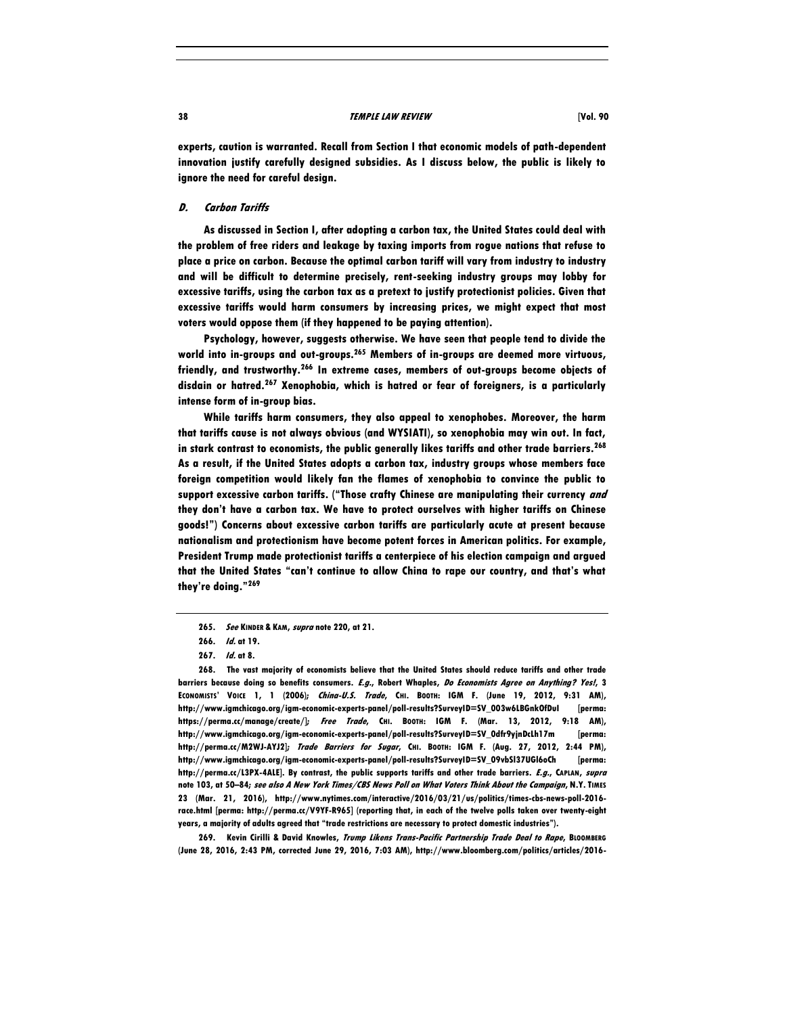**experts, caution is warranted. Recall from Section I that economic models of path-dependent innovation justify carefully designed subsidies. As I discuss below, the public is likely to ignore the need for careful design.**

## **D. Carbon Tariffs**

**As discussed in Section I, after adopting a carbon tax, the United States could deal with the problem of free riders and leakage by taxing imports from rogue nations that refuse to place a price on carbon. Because the optimal carbon tariff will vary from industry to industry and will be difficult to determine precisely, rent-seeking industry groups may lobby for excessive tariffs, using the carbon tax as a pretext to justify protectionist policies. Given that excessive tariffs would harm consumers by increasing prices, we might expect that most voters would oppose them (if they happened to be paying attention).**

**Psychology, however, suggests otherwise. We have seen that people tend to divide the world into in-groups and out-groups.<sup>265</sup> Members of in-groups are deemed more virtuous, friendly, and trustworthy.<sup>266</sup> In extreme cases, members of out-groups become objects of disdain or hatred.<sup>267</sup> Xenophobia, which is hatred or fear of foreigners, is a particularly intense form of in-group bias.**

**While tariffs harm consumers, they also appeal to xenophobes. Moreover, the harm that tariffs cause is not always obvious (and WYSIATI), so xenophobia may win out. In fact, in stark contrast to economists, the public generally likes tariffs and other trade barriers.<sup>268</sup> As a result, if the United States adopts a carbon tax, industry groups whose members face foreign competition would likely fan the flames of xenophobia to convince the public to support excessive carbon tariffs. ("Those crafty Chinese are manipulating their currency and they don't have a carbon tax. We have to protect ourselves with higher tariffs on Chinese goods!") Concerns about excessive carbon tariffs are particularly acute at present because nationalism and protectionism have become potent forces in American politics. For example, President Trump made protectionist tariffs a centerpiece of his election campaign and argued that the United States "can't continue to allow China to rape our country, and that's what they're doing."<sup>269</sup>**

**269. Kevin Cirilli & David Knowles, Trump Likens Trans-Pacific Partnership Trade Deal to Rape, BLOOMBERG (June 28, 2016, 2:43 PM, corrected June 29, 2016, 7:03 AM), http://www.bloomberg.com/politics/articles/2016-**

**<sup>265.</sup> See KINDER & KAM, supra note 220, at 21.** 

**<sup>266.</sup> Id. at 19.** 

**<sup>267.</sup> Id. at 8.** 

**<sup>268.</sup> The vast majority of economists believe that the United States should reduce tariffs and other trade barriers because doing so benefits consumers. E.g., Robert Whaples, Do Economists Agree on Anything? Yes!, 3 ECONOMISTS' VOICE 1, 1 (2006); China-U.S. Trade, CHI. BOOTH: IGM F. (June 19, 2012, 9:31 AM), http://www.igmchicago.org/igm-economic-experts-panel/poll-results?SurveyID=SV\_003w6LBGnkOfDuI [perma: https://perma.cc/manage/create/]; Free Trade, CHI. BOOTH: IGM F. (Mar. 13, 2012, 9:18 AM), http://www.igmchicago.org/igm-economic-experts-panel/poll-results?SurveyID=SV\_0dfr9yjnDcLh17m [perma: http://perma.cc/M2WJ-AYJ2]; Trade Barriers for Sugar, CHI. BOOTH: IGM F. (Aug. 27, 2012, 2:44 PM), http://www.igmchicago.org/igm-economic-experts-panel/poll-results?SurveyID=SV\_09vbSl37UGl6oCh [perma: http://perma.cc/L3PX-4ALE]. By contrast, the public supports tariffs and other trade barriers. E.g., CAPLAN, supra note 103, at 50–84; see also A New York Times/CBS News Poll on What Voters Think About the Campaign, N.Y.TIMES 23 (Mar. 21, 2016), http://www.nytimes.com/interactive/2016/03/21/us/politics/times-cbs-news-poll-2016 race.html [perma: http://perma.cc/V9YF-R965] (reporting that, in each of the twelve polls taken over twenty-eight years, a majority of adults agreed that "trade restrictions are necessary to protect domestic industries").**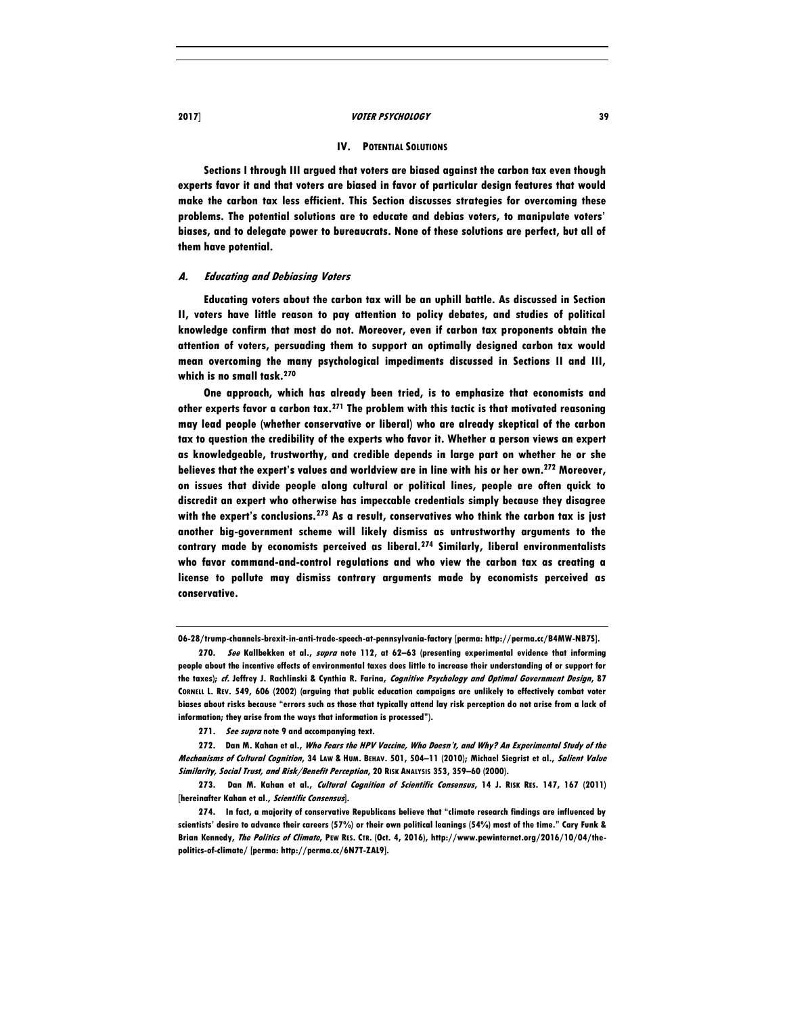## **IV. POTENTIAL SOLUTIONS**

**Sections I through III argued that voters are biased against the carbon tax even though experts favor it and that voters are biased in favor of particular design features that would make the carbon tax less efficient. This Section discusses strategies for overcoming these problems. The potential solutions are to educate and debias voters, to manipulate voters' biases, and to delegate power to bureaucrats. None of these solutions are perfect, but all of them have potential.**

#### **A. Educating and Debiasing Voters**

**Educating voters about the carbon tax will be an uphill battle. As discussed in Section II, voters have little reason to pay attention to policy debates, and studies of political knowledge confirm that most do not. Moreover, even if carbon tax proponents obtain the attention of voters, persuading them to support an optimally designed carbon tax would mean overcoming the many psychological impediments discussed in Sections II and III, which is no small task.<sup>270</sup>**

**One approach, which has already been tried, is to emphasize that economists and other experts favor a carbon tax.<sup>271</sup> The problem with this tactic is that motivated reasoning may lead people (whether conservative or liberal) who are already skeptical of the carbon tax to question the credibility of the experts who favor it. Whether a person views an expert as knowledgeable, trustworthy, and credible depends in large part on whether he or she believes that the expert's values and worldview are in line with his or her own.<sup>272</sup> Moreover, on issues that divide people along cultural or political lines, people are often quick to discredit an expert who otherwise has impeccable credentials simply because they disagree with the expert's conclusions.<sup>273</sup> As a result, conservatives who think the carbon tax is just another big-government scheme will likely dismiss as untrustworthy arguments to the contrary made by economists perceived as liberal.<sup>274</sup> Similarly, liberal environmentalists who favor command-and-control regulations and who view the carbon tax as creating a license to pollute may dismiss contrary arguments made by economists perceived as conservative.**

**<sup>06-28/</sup>trump-channels-brexit-in-anti-trade-speech-at-pennsylvania-factory [perma: http://perma.cc/B4MW-NB7S].** 

**<sup>270.</sup> See Kallbekken et al., supra note 112, at 62–63 (presenting experimental evidence that informing people about the incentive effects of environmental taxes does little to increase their understanding of or support for the taxes); cf. Jeffrey J. Rachlinski & Cynthia R. Farina, Cognitive Psychology and Optimal Government Design, 87 CORNELL L. REV. 549, 606 (2002) (arguing that public education campaigns are unlikely to effectively combat voter biases about risks because "errors such as those that typically attend lay risk perception do not arise from a lack of information; they arise from the ways that information is processed").** 

**<sup>271.</sup> See supra note 9 and accompanying text.**

**<sup>272.</sup> Dan M. Kahan et al., Who Fears the HPV Vaccine, Who Doesn't, and Why? An Experimental Study of the Mechanisms of Cultural Cognition, 34 LAW & HUM. BEHAV. 501, 504–11 (2010); Michael Siegrist et al., Salient Value Similarity, Social Trust, and Risk/Benefit Perception, 20 RISK ANALYSIS 353, 359–60 (2000).** 

**<sup>273.</sup> Dan M. Kahan et al., Cultural Cognition of Scientific Consensus, 14 J. RISK RES. 147, 167 (2011) [hereinafter Kahan et al., Scientific Consensus].** 

**<sup>274.</sup> In fact, a majority of conservative Republicans believe that "climate research findings are influenced by scientists' desire to advance their careers (57%) or their own political leanings (54%) most of the time." Cary Funk & Brian Kennedy, The Politics of Climate, PEW RES. CTR. (Oct. 4, 2016), http://www.pewinternet.org/2016/10/04/thepolitics-of-climate/ [perma: http://perma.cc/6N7T-ZAL9].**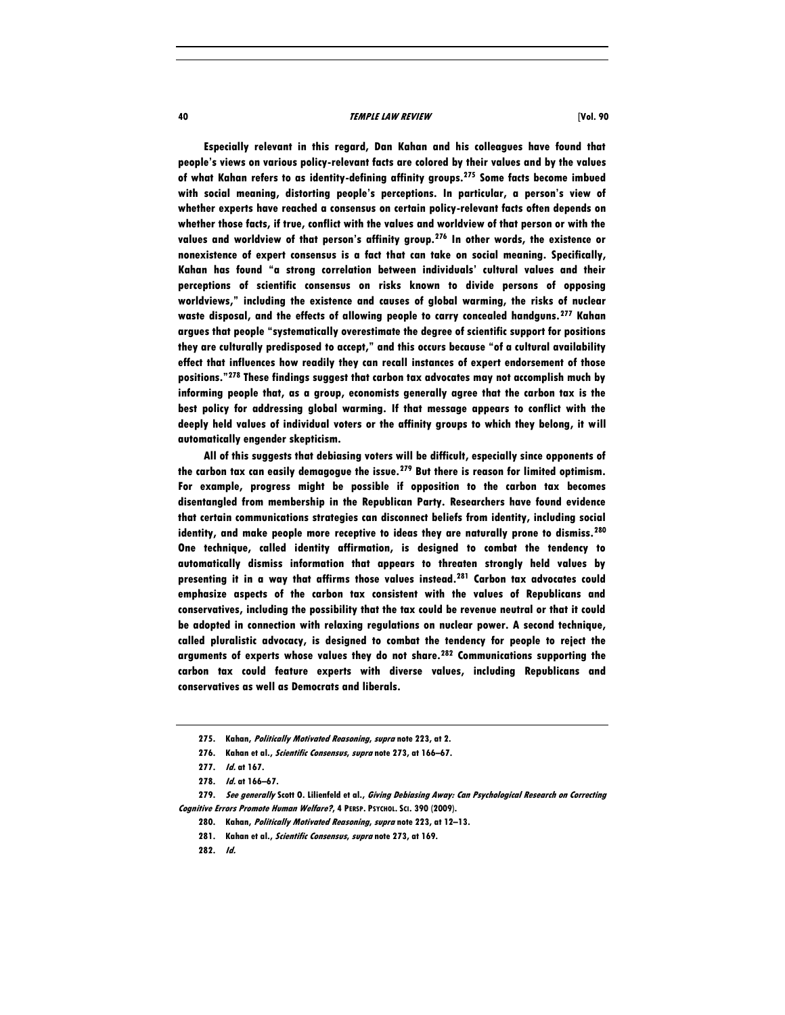**Especially relevant in this regard, Dan Kahan and his colleagues have found that people's views on various policy-relevant facts are colored by their values and by the values of what Kahan refers to as identity-defining affinity groups.<sup>275</sup> Some facts become imbued with social meaning, distorting people's perceptions. In particular, a person's view of whether experts have reached a consensus on certain policy-relevant facts often depends on whether those facts, if true, conflict with the values and worldview of that person or with the values and worldview of that person's affinity group.<sup>276</sup> In other words, the existence or nonexistence of expert consensus is a fact that can take on social meaning. Specifically, Kahan has found "a strong correlation between individuals' cultural values and their perceptions of scientific consensus on risks known to divide persons of opposing worldviews," including the existence and causes of global warming, the risks of nuclear waste disposal, and the effects of allowing people to carry concealed handguns.<sup>277</sup> Kahan argues that people "systematically overestimate the degree of scientific support for positions they are culturally predisposed to accept," and this occurs because "of a cultural availability effect that influences how readily they can recall instances of expert endorsement of those positions."<sup>278</sup> These findings suggest that carbon tax advocates may not accomplish much by informing people that, as a group, economists generally agree that the carbon tax is the best policy for addressing global warming. If that message appears to conflict with the deeply held values of individual voters or the affinity groups to which they belong, it will automatically engender skepticism.**

**All of this suggests that debiasing voters will be difficult, especially since opponents of the carbon tax can easily demagogue the issue.<sup>279</sup> But there is reason for limited optimism. For example, progress might be possible if opposition to the carbon tax becomes disentangled from membership in the Republican Party. Researchers have found evidence that certain communications strategies can disconnect beliefs from identity, including social identity, and make people more receptive to ideas they are naturally prone to dismiss.<sup>280</sup> One technique, called identity affirmation, is designed to combat the tendency to automatically dismiss information that appears to threaten strongly held values by presenting it in a way that affirms those values instead.<sup>281</sup> Carbon tax advocates could emphasize aspects of the carbon tax consistent with the values of Republicans and conservatives, including the possibility that the tax could be revenue neutral or that it could be adopted in connection with relaxing regulations on nuclear power. A second technique, called pluralistic advocacy, is designed to combat the tendency for people to reject the arguments of experts whose values they do not share.<sup>282</sup> Communications supporting the carbon tax could feature experts with diverse values, including Republicans and conservatives as well as Democrats and liberals.**

**282. Id.** 

**<sup>275.</sup> Kahan, Politically Motivated Reasoning, supra note 223, at 2.**

**<sup>276.</sup> Kahan et al., Scientific Consensus, supra note 273, at 166–67.** 

**<sup>277.</sup> Id. at 167.** 

**<sup>278.</sup> Id. at 166–67.**

**<sup>279.</sup> See generally Scott O. Lilienfeld et al., Giving Debiasing Away: Can Psychological Research on Correcting Cognitive Errors Promote Human Welfare?, 4 PERSP. PSYCHOL. SCI. 390 (2009).** 

**<sup>280.</sup> Kahan, Politically Motivated Reasoning, supra note 223, at 12–13.**

**<sup>281.</sup> Kahan et al., Scientific Consensus, supra note 273, at 169.**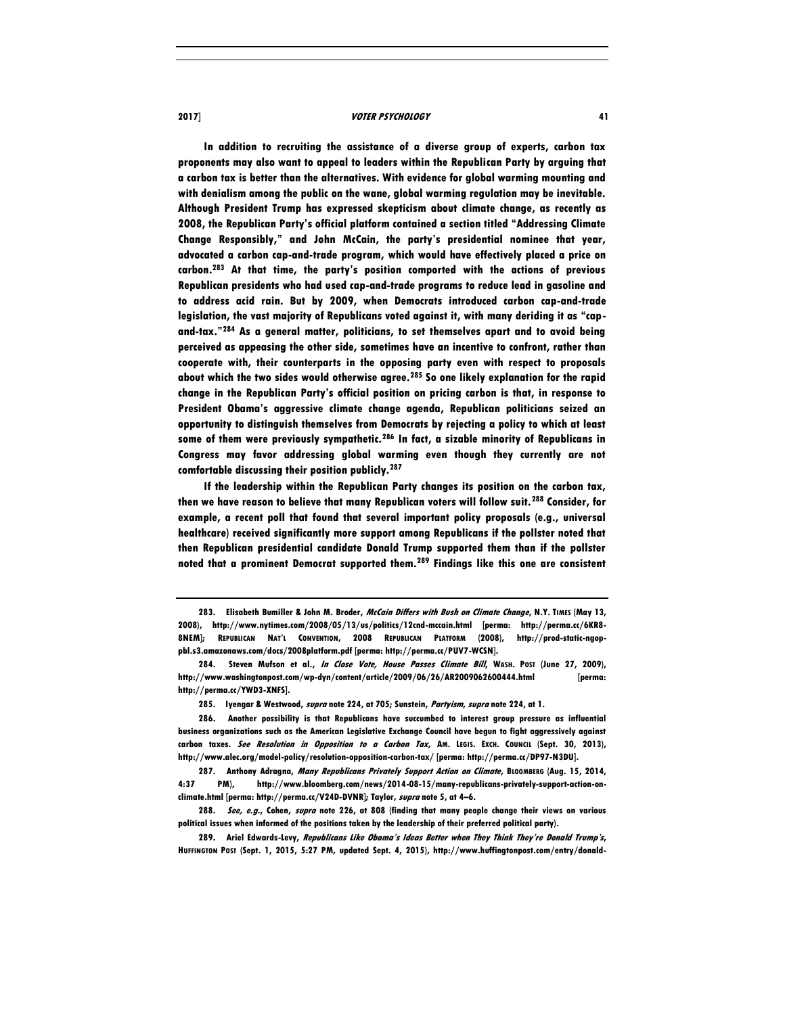**In addition to recruiting the assistance of a diverse group of experts, carbon tax proponents may also want to appeal to leaders within the Republican Party by arguing that a carbon tax is better than the alternatives. With evidence for global warming mounting and with denialism among the public on the wane, global warming regulation may be inevitable. Although President Trump has expressed skepticism about climate change, as recently as 2008, the Republican Party's official platform contained a section titled "Addressing Climate Change Responsibly," and John McCain, the party's presidential nominee that year, advocated a carbon cap-and-trade program, which would have effectively placed a price on carbon.<sup>283</sup> At that time, the party's position comported with the actions of previous Republican presidents who had used cap-and-trade programs to reduce lead in gasoline and to address acid rain. But by 2009, when Democrats introduced carbon cap-and-trade legislation, the vast majority of Republicans voted against it, with many deriding it as "capand-tax."<sup>284</sup> As a general matter, politicians, to set themselves apart and to avoid being perceived as appeasing the other side, sometimes have an incentive to confront, rather than cooperate with, their counterparts in the opposing party even with respect to proposals about which the two sides would otherwise agree.<sup>285</sup> So one likely explanation for the rapid change in the Republican Party's official position on pricing carbon is that, in response to President Obama's aggressive climate change agenda, Republican politicians seized an opportunity to distinguish themselves from Democrats by rejecting a policy to which at least some of them were previously sympathetic.<sup>286</sup> In fact, a sizable minority of Republicans in Congress may favor addressing global warming even though they currently are not comfortable discussing their position publicly.<sup>287</sup>**

**If the leadership within the Republican Party changes its position on the carbon tax, then we have reason to believe that many Republican voters will follow suit.<sup>288</sup> Consider, for example, a recent poll that found that several important policy proposals (e.g., universal healthcare) received significantly more support among Republicans if the pollster noted that then Republican presidential candidate Donald Trump supported them than if the pollster noted that a prominent Democrat supported them.<sup>289</sup> Findings like this one are consistent** 

**<sup>283.</sup> Elisabeth Bumiller & John M. Broder, McCain Differs with Bush on Climate Change, N.Y. TIMES (May 13, 2008), http://www.nytimes.com/2008/05/13/us/politics/12cnd-mccain.html [perma: http://perma.cc/6KR8- 8NEM]; REPUBLICAN NAT'L CONVENTION, 2008 REPUBLICAN PLATFORM (2008), http://prod-static-ngoppbl.s3.amazonaws.com/docs/2008platform.pdf [perma: http://perma.cc/PUV7-WCSN].** 

**<sup>284.</sup> Steven Mufson et al., In Close Vote, House Passes Climate Bill, WASH. POST (June 27, 2009), http://www.washingtonpost.com/wp-dyn/content/article/2009/06/26/AR2009062600444.html [perma: http://perma.cc/YWD3-XNFS].** 

**<sup>285.</sup> Iyengar & Westwood, supra note 224, at 705; Sunstein, Partyism, supra note 224, at 1.** 

**<sup>286.</sup> Another possibility is that Republicans have succumbed to interest group pressure as influential business organizations such as the American Legislative Exchange Council have begun to fight aggressively against carbon taxes. See Resolution in Opposition to a Carbon Tax, AM. LEGIS. EXCH. COUNCIL (Sept. 30, 2013), http://www.alec.org/model-policy/resolution-opposition-carbon-tax/ [perma: http://perma.cc/DP97-N3DU].** 

**<sup>287.</sup> Anthony Adragna, Many Republicans Privately Support Action on Climate, BLOOMBERG (Aug. 15, 2014, 4:37 PM), http://www.bloomberg.com/news/2014-08-15/many-republicans-privately-support-action-onclimate.html [perma: http://perma.cc/V24D-DVNR]; Taylor, supra note 5, at 4–6.** 

**<sup>288.</sup> See, e.g., Cohen, supra note 226, at 808 (finding that many people change their views on various political issues when informed of the positions taken by the leadership of their preferred political party).** 

**<sup>289.</sup> Ariel Edwards-Levy, Republicans Like Obama's Ideas Better when They Think They're Donald Trump's, HUFFINGTON POST (Sept. 1, 2015, 5:27 PM, updated Sept. 4, 2015), http://www.huffingtonpost.com/entry/donald-**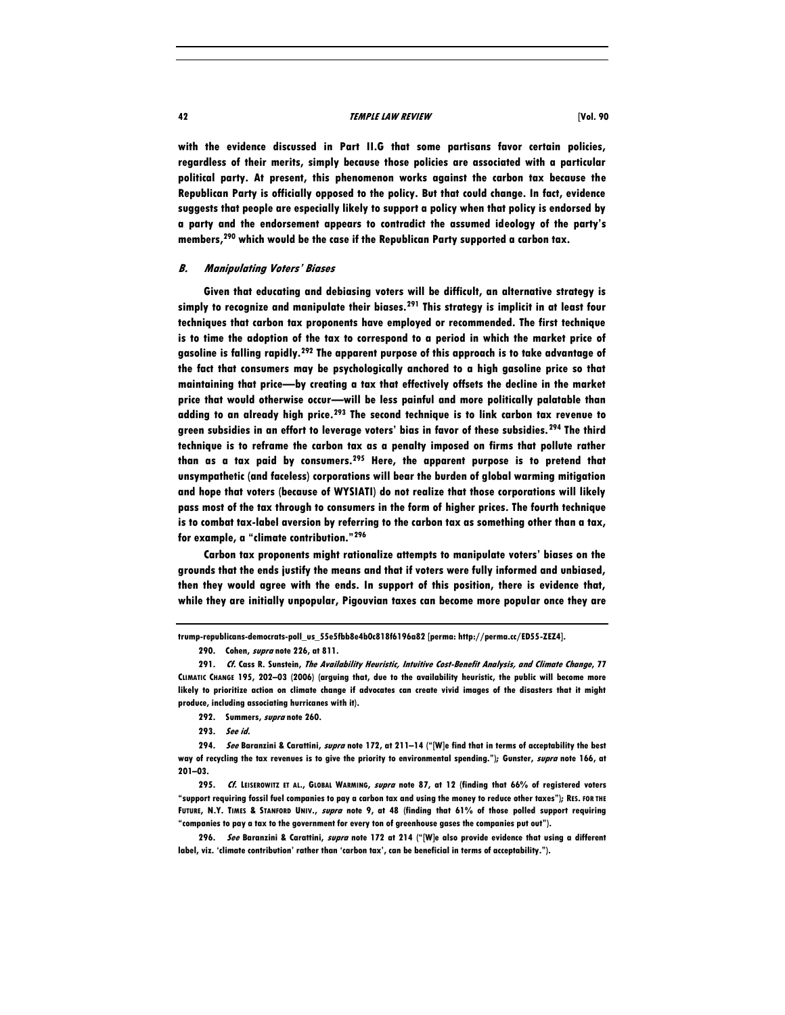**with the evidence discussed in Part II.G that some partisans favor certain policies, regardless of their merits, simply because those policies are associated with a particular political party. At present, this phenomenon works against the carbon tax because the Republican Party is officially opposed to the policy. But that could change. In fact, evidence suggests that people are especially likely to support a policy when that policy is endorsed by a party and the endorsement appears to contradict the assumed ideology of the party's members,<sup>290</sup> which would be the case if the Republican Party supported a carbon tax.**

#### **B. Manipulating Voters' Biases**

**Given that educating and debiasing voters will be difficult, an alternative strategy is simply to recognize and manipulate their biases.<sup>291</sup> This strategy is implicit in at least four techniques that carbon tax proponents have employed or recommended. The first technique is to time the adoption of the tax to correspond to a period in which the market price of gasoline is falling rapidly.<sup>292</sup> The apparent purpose of this approach is to take advantage of the fact that consumers may be psychologically anchored to a high gasoline price so that maintaining that price—by creating a tax that effectively offsets the decline in the market price that would otherwise occur—will be less painful and more politically palatable than adding to an already high price.<sup>293</sup> The second technique is to link carbon tax revenue to green subsidies in an effort to leverage voters' bias in favor of these subsidies.<sup>294</sup> The third technique is to reframe the carbon tax as a penalty imposed on firms that pollute rather than as a tax paid by consumers.<sup>295</sup> Here, the apparent purpose is to pretend that unsympathetic (and faceless) corporations will bear the burden of global warming mitigation and hope that voters (because of WYSIATI) do not realize that those corporations will likely pass most of the tax through to consumers in the form of higher prices. The fourth technique is to combat tax-label aversion by referring to the carbon tax as something other than a tax, for example, a "climate contribution."<sup>296</sup>**

**Carbon tax proponents might rationalize attempts to manipulate voters' biases on the grounds that the ends justify the means and that if voters were fully informed and unbiased, then they would agree with the ends. In support of this position, there is evidence that, while they are initially unpopular, Pigouvian taxes can become more popular once they are** 

**trump-republicans-democrats-poll\_us\_55e5fbb8e4b0c818f6196a82 [perma: http://perma.cc/ED55-ZEZ4]. 290. Cohen, supra note 226, at 811.** 

**<sup>291.</sup> Cf. Cass R. Sunstein, The Availability Heuristic, Intuitive Cost-Benefit Analysis, and Climate Change, 77 CLIMATIC CHANGE 195, 202–03 (2006) (arguing that, due to the availability heuristic, the public will become more likely to prioritize action on climate change if advocates can create vivid images of the disasters that it might produce, including associating hurricanes with it).** 

**<sup>292.</sup> Summers, supra note 260.** 

**<sup>293.</sup> See id.** 

**<sup>294.</sup> See Baranzini & Carattini, supra note 172, at 211–14 ("[W]e find that in terms of acceptability the best way of recycling the tax revenues is to give the priority to environmental spending."); Gunster, supra note 166, at 201–03.** 

**<sup>295.</sup> Cf. LEISEROWITZ ET AL., GLOBAL WARMING, supra note 87, at 12 (finding that 66% of registered voters "support requiring fossil fuel companies to pay a carbon tax and using the money to reduce other taxes"); RES. FOR THE**  FUTURE, N.Y. TIMES & STANFORD UNIV., supra note 9, at 48 (finding that 61% of those polled support requiring **"companies to pay a tax to the government for every ton of greenhouse gases the companies put out").** 

**<sup>296.</sup> See Baranzini & Carattini, supra note 172 at 214 ("[W]e also provide evidence that using a different label, viz. 'climate contribution' rather than 'carbon tax', can be beneficial in terms of acceptability.").**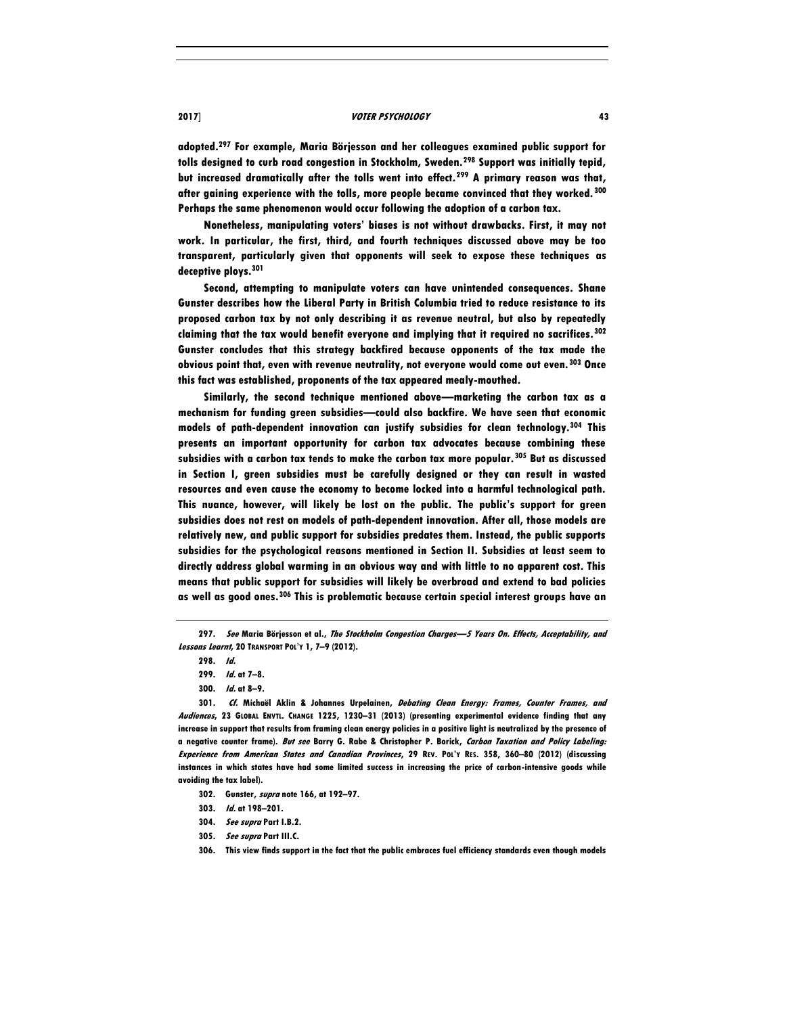**adopted.<sup>297</sup> For example, Maria Börjesson and her colleagues examined public support for tolls designed to curb road congestion in Stockholm, Sweden.<sup>298</sup> Support was initially tepid, but increased dramatically after the tolls went into effect.<sup>299</sup> A primary reason was that, after gaining experience with the tolls, more people became convinced that they worked. <sup>300</sup> Perhaps the same phenomenon would occur following the adoption of a carbon tax.**

**Nonetheless, manipulating voters' biases is not without drawbacks. First, it may not work. In particular, the first, third, and fourth techniques discussed above may be too transparent, particularly given that opponents will seek to expose these techniques as deceptive ploys.<sup>301</sup>**

**Second, attempting to manipulate voters can have unintended consequences. Shane Gunster describes how the Liberal Party in British Columbia tried to reduce resistance to its proposed carbon tax by not only describing it as revenue neutral, but also by repeatedly claiming that the tax would benefit everyone and implying that it required no sacrifices.<sup>302</sup> Gunster concludes that this strategy backfired because opponents of the tax made the obvious point that, even with revenue neutrality, not everyone would come out even.<sup>303</sup> Once this fact was established, proponents of the tax appeared mealy-mouthed.** 

**Similarly, the second technique mentioned above—marketing the carbon tax as a mechanism for funding green subsidies—could also backfire. We have seen that economic models of path-dependent innovation can justify subsidies for clean technology.<sup>304</sup> This presents an important opportunity for carbon tax advocates because combining these subsidies with a carbon tax tends to make the carbon tax more popular.<sup>305</sup> But as discussed in Section I, green subsidies must be carefully designed or they can result in wasted resources and even cause the economy to become locked into a harmful technological path. This nuance, however, will likely be lost on the public. The public's support for green subsidies does not rest on models of path-dependent innovation. After all, those models are relatively new, and public support for subsidies predates them. Instead, the public supports subsidies for the psychological reasons mentioned in Section II. Subsidies at least seem to directly address global warming in an obvious way and with little to no apparent cost. This means that public support for subsidies will likely be overbroad and extend to bad policies as well as good ones.<sup>306</sup> This is problematic because certain special interest groups have an** 

**<sup>297.</sup> See Maria Börjesson et al., The Stockholm Congestion Charges—5 Years On. Effects, Acceptability, and Lessons Learnt, 20 TRANSPORT POL'Y 1, 7–9 (2012).** 

**<sup>298.</sup> Id.**

**<sup>299.</sup> Id. at 7–8.**

**<sup>300.</sup> Id. at 8–9.** 

**<sup>301.</sup> Cf. Michaël Aklin & Johannes Urpelainen, Debating Clean Energy: Frames, Counter Frames, and Audiences, 23 GLOBAL ENVTL. CHANGE 1225, 1230–31 (2013) (presenting experimental evidence finding that any increase in support that results from framing clean energy policies in a positive light is neutralized by the presence of a negative counter frame). But see Barry G. Rabe & Christopher P. Borick, Carbon Taxation and Policy Labeling: Experience from American States and Canadian Provinces, 29 REV. POL'Y RES. 358, 360–80 (2012) (discussing instances in which states have had some limited success in increasing the price of carbon-intensive goods while avoiding the tax label).** 

**<sup>302.</sup> Gunster, supra note 166, at 192–97.** 

**<sup>303.</sup> Id. at 198–201.**

**<sup>304.</sup> See supra Part I.B.2.** 

**<sup>305.</sup> See supra Part III.C.** 

**<sup>306.</sup> This view finds support in the fact that the public embraces fuel efficiency standards even though models**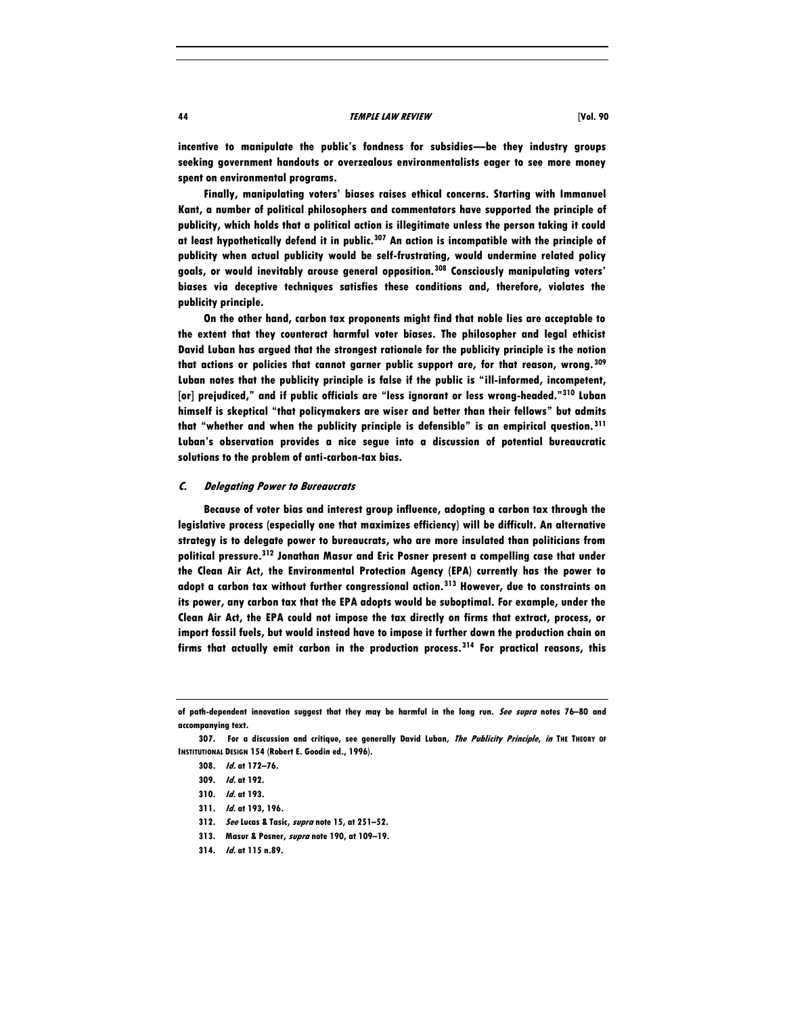**incentive to manipulate the public's fondness for subsidies—be they industry groups seeking government handouts or overzealous environmentalists eager to see more money spent on environmental programs.** 

**Finally, manipulating voters' biases raises ethical concerns. Starting with Immanuel Kant, a number of political philosophers and commentators have supported the principle of publicity, which holds that a political action is illegitimate unless the person taking it could at least hypothetically defend it in public.<sup>307</sup> An action is incompatible with the principle of publicity when actual publicity would be self-frustrating, would undermine related policy goals, or would inevitably arouse general opposition.<sup>308</sup> Consciously manipulating voters' biases via deceptive techniques satisfies these conditions and, therefore, violates the publicity principle.**

**On the other hand, carbon tax proponents might find that noble lies are acceptable to the extent that they counteract harmful voter biases. The philosopher and legal ethicist David Luban has argued that the strongest rationale for the publicity principle is the notion that actions or policies that cannot garner public support are, for that reason, wrong.<sup>309</sup> Luban notes that the publicity principle is false if the public is "ill-informed, incompetent, [or] prejudiced," and if public officials are "less ignorant or less wrong-headed."<sup>310</sup> Luban himself is skeptical "that policymakers are wiser and better than their fellows" but admits that "whether and when the publicity principle is defensible" is an empirical question.<sup>311</sup> Luban's observation provides a nice segue into a discussion of potential bureaucratic solutions to the problem of anti-carbon-tax bias.**

## **C. Delegating Power to Bureaucrats**

**Because of voter bias and interest group influence, adopting a carbon tax through the legislative process (especially one that maximizes efficiency) will be difficult. An alternative strategy is to delegate power to bureaucrats, who are more insulated than politicians from political pressure.<sup>312</sup> Jonathan Masur and Eric Posner present a compelling case that under the Clean Air Act, the Environmental Protection Agency (EPA) currently has the power to adopt a carbon tax without further congressional action.<sup>313</sup> However, due to constraints on its power, any carbon tax that the EPA adopts would be suboptimal. For example, under the Clean Air Act, the EPA could not impose the tax directly on firms that extract, process, or import fossil fuels, but would instead have to impose it further down the production chain on firms that actually emit carbon in the production process.<sup>314</sup> For practical reasons, this** 

**311. Id. at 193, 196.** 

**of path-dependent innovation suggest that they may be harmful in the long run. See supra notes 76–80 and accompanying text.** 

**<sup>307.</sup> For a discussion and critique, see generally David Luban, The Publicity Principle, in THE THEORY OF INSTITUTIONAL DESIGN 154 (Robert E. Goodin ed., 1996).** 

**<sup>308.</sup> Id. at 172–76.** 

**<sup>309.</sup> Id. at 192.** 

**<sup>310.</sup> Id. at 193.** 

**<sup>312.</sup> See Lucas & Tasic, supra note 15, at 251–52.**

**<sup>313.</sup> Masur & Posner, supra note 190, at 109–19.** 

**<sup>314.</sup> Id. at 115 n.89.**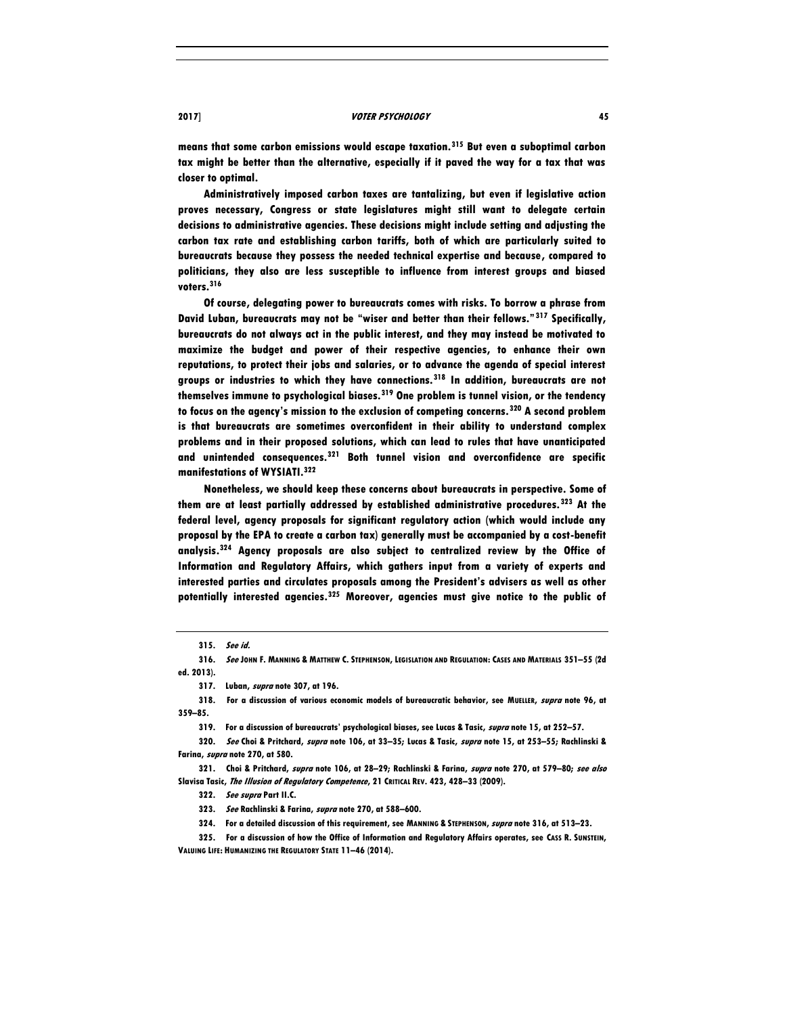**means that some carbon emissions would escape taxation.<sup>315</sup> But even a suboptimal carbon tax might be better than the alternative, especially if it paved the way for a tax that was closer to optimal.**

**Administratively imposed carbon taxes are tantalizing, but even if legislative action proves necessary, Congress or state legislatures might still want to delegate certain decisions to administrative agencies. These decisions might include setting and adjusting the carbon tax rate and establishing carbon tariffs, both of which are particularly suited to bureaucrats because they possess the needed technical expertise and because, compared to politicians, they also are less susceptible to influence from interest groups and biased voters.<sup>316</sup>**

**Of course, delegating power to bureaucrats comes with risks. To borrow a phrase from David Luban, bureaucrats may not be "wiser and better than their fellows."<sup>317</sup> Specifically, bureaucrats do not always act in the public interest, and they may instead be motivated to maximize the budget and power of their respective agencies, to enhance their own reputations, to protect their jobs and salaries, or to advance the agenda of special interest groups or industries to which they have connections.<sup>318</sup> In addition, bureaucrats are not themselves immune to psychological biases.<sup>319</sup> One problem is tunnel vision, or the tendency to focus on the agency's mission to the exclusion of competing concerns.<sup>320</sup> A second problem is that bureaucrats are sometimes overconfident in their ability to understand complex problems and in their proposed solutions, which can lead to rules that have unanticipated and unintended consequences.<sup>321</sup> Both tunnel vision and overconfidence are specific manifestations of WYSIATI.<sup>322</sup>**

**Nonetheless, we should keep these concerns about bureaucrats in perspective. Some of them are at least partially addressed by established administrative procedures.<sup>323</sup> At the federal level, agency proposals for significant regulatory action (which would include any proposal by the EPA to create a carbon tax) generally must be accompanied by a cost-benefit analysis.<sup>324</sup> Agency proposals are also subject to centralized review by the Office of Information and Regulatory Affairs, which gathers input from a variety of experts and interested parties and circulates proposals among the President's advisers as well as other potentially interested agencies.<sup>325</sup> Moreover, agencies must give notice to the public of** 

**<sup>315.</sup> See id.**

<sup>316.</sup> See JOHN F. MANNING & MATTHEW C. STEPHENSON, LEGISLATION AND REGULATION: CASES AND MATERIALS 351-55 (2d **ed. 2013).** 

**<sup>317.</sup> Luban, supra note 307, at 196.** 

**<sup>318.</sup> For a discussion of various economic models of bureaucratic behavior, see MUELLER, supra note 96, at 359–85.** 

**<sup>319.</sup> For a discussion of bureaucrats' psychological biases, see Lucas & Tasic, supra note 15, at 252–57.** 

**<sup>320.</sup> See Choi & Pritchard, supra note 106, at 33–35; Lucas & Tasic, supra note 15, at 253–55; Rachlinski & Farina, supra note 270, at 580.** 

**<sup>321.</sup> Choi & Pritchard, supra note 106, at 28–29; Rachlinski & Farina, supra note 270, at 579–80; see also Slavisa Tasic, The Illusion of Regulatory Competence, 21 CRITICAL REV. 423, 428–33 (2009).** 

**<sup>322.</sup> See supra Part II.C.** 

**<sup>323.</sup> See Rachlinski & Farina, supra note 270, at 588–600.** 

**<sup>324.</sup> For a detailed discussion of this requirement, see MANNING & STEPHENSON,supra note 316, at 513–23.** 

**<sup>325.</sup> For a discussion of how the Office of Information and Regulatory Affairs operates, see CASS R. SUNSTEIN, VALUING LIFE: HUMANIZING THE REGULATORY STATE 11–46 (2014).**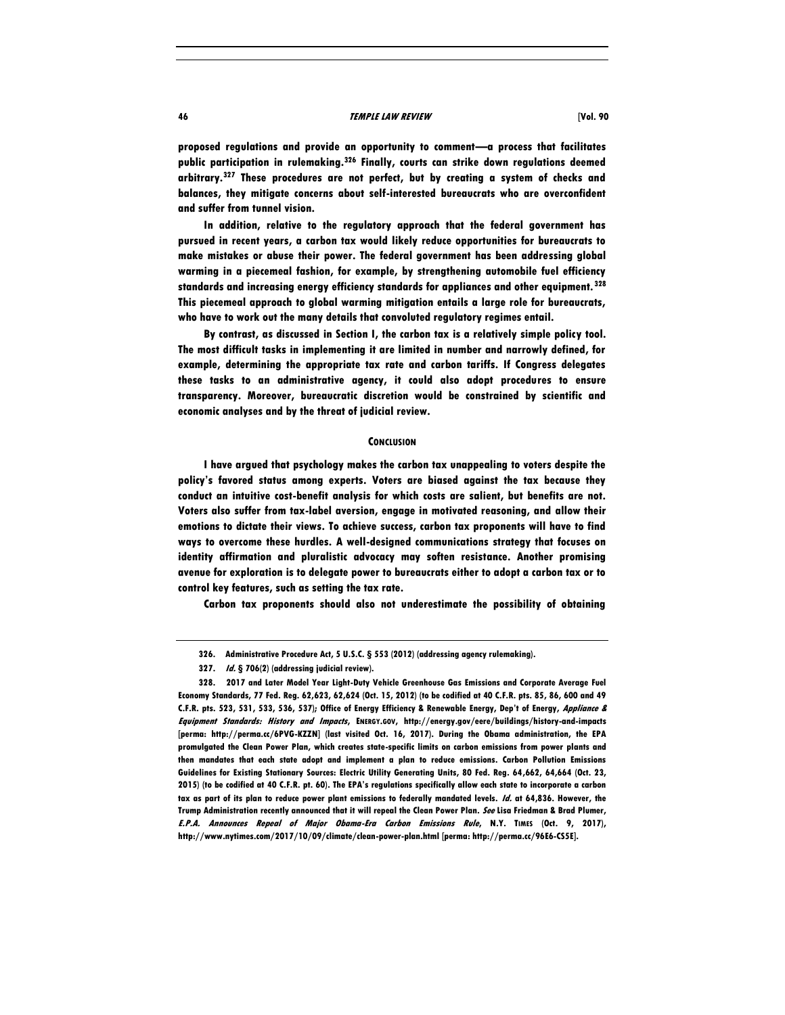**proposed regulations and provide an opportunity to comment—a process that facilitates public participation in rulemaking.<sup>326</sup> Finally, courts can strike down regulations deemed arbitrary.<sup>327</sup> These procedures are not perfect, but by creating a system of checks and balances, they mitigate concerns about self-interested bureaucrats who are overconfident and suffer from tunnel vision.**

**In addition, relative to the regulatory approach that the federal government has pursued in recent years, a carbon tax would likely reduce opportunities for bureaucrats to make mistakes or abuse their power. The federal government has been addressing global warming in a piecemeal fashion, for example, by strengthening automobile fuel efficiency standards and increasing energy efficiency standards for appliances and other equipment.<sup>328</sup> This piecemeal approach to global warming mitigation entails a large role for bureaucrats, who have to work out the many details that convoluted regulatory regimes entail.**

**By contrast, as discussed in Section I, the carbon tax is a relatively simple policy tool. The most difficult tasks in implementing it are limited in number and narrowly defined, for example, determining the appropriate tax rate and carbon tariffs. If Congress delegates these tasks to an administrative agency, it could also adopt procedures to ensure transparency. Moreover, bureaucratic discretion would be constrained by scientific and economic analyses and by the threat of judicial review.**

#### **CONCLUSION**

**I have argued that psychology makes the carbon tax unappealing to voters despite the policy's favored status among experts. Voters are biased against the tax because they conduct an intuitive cost-benefit analysis for which costs are salient, but benefits are not. Voters also suffer from tax-label aversion, engage in motivated reasoning, and allow their emotions to dictate their views. To achieve success, carbon tax proponents will have to find ways to overcome these hurdles. A well-designed communications strategy that focuses on identity affirmation and pluralistic advocacy may soften resistance. Another promising avenue for exploration is to delegate power to bureaucrats either to adopt a carbon tax or to control key features, such as setting the tax rate.**

**Carbon tax proponents should also not underestimate the possibility of obtaining** 

**<sup>326.</sup> Administrative Procedure Act, 5 U.S.C. § 553 (2012) (addressing agency rulemaking).** 

**<sup>327.</sup> Id. § 706(2) (addressing judicial review).** 

**<sup>328.</sup> 2017 and Later Model Year Light-Duty Vehicle Greenhouse Gas Emissions and Corporate Average Fuel Economy Standards, 77 Fed. Reg. 62,623, 62,624 (Oct. 15, 2012) (to be codified at 40 C.F.R. pts. 85, 86, 600 and 49 C.F.R. pts. 523, 531, 533, 536, 537); Office of Energy Efficiency & Renewable Energy, Dep't of Energy, Appliance & Equipment Standards: History and Impacts, ENERGY.GOV, http://energy.gov/eere/buildings/history-and-impacts [perma: http://perma.cc/6PVG-KZZN] (last visited Oct. 16, 2017). During the Obama administration, the EPA promulgated the Clean Power Plan, which creates state-specific limits on carbon emissions from power plants and then mandates that each state adopt and implement a plan to reduce emissions. Carbon Pollution Emissions Guidelines for Existing Stationary Sources: Electric Utility Generating Units, 80 Fed. Reg. 64,662, 64,664 (Oct. 23, 2015) (to be codified at 40 C.F.R. pt. 60). The EPA's regulations specifically allow each state to incorporate a carbon tax as part of its plan to reduce power plant emissions to federally mandated levels. Id. at 64,836. However, the Trump Administration recently announced that it will repeal the Clean Power Plan. See Lisa Friedman & Brad Plumer, E.P.A. Announces Repeal of Major Obama-Era Carbon Emissions Rule, N.Y. TIMES (Oct. 9, 2017), http://www.nytimes.com/2017/10/09/climate/clean-power-plan.html [perma: http://perma.cc/96E6-CS5E].**